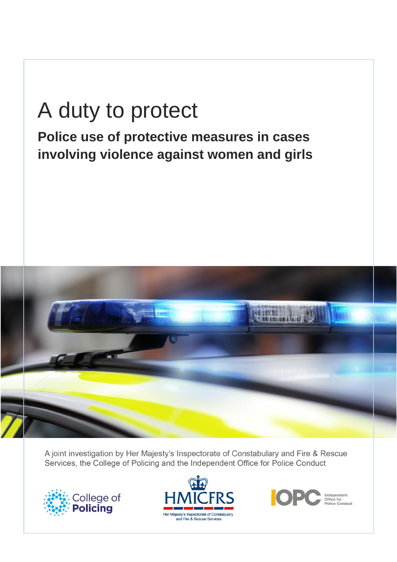# A duty to protect

**Police use of protective measures in cases involving violence against women and girls**



A joint investigation by Her Majesty's Inspectorate of Constabulary and Fire & Rescue Services, the College of Policing and the Independent Office for Police Conduct





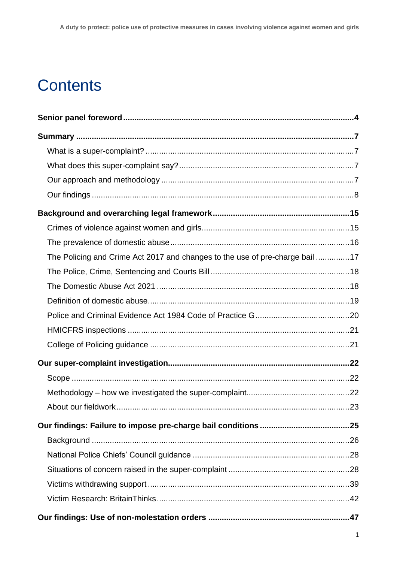## **Contents**

| The Policing and Crime Act 2017 and changes to the use of pre-charge bail 17 |  |
|------------------------------------------------------------------------------|--|
|                                                                              |  |
|                                                                              |  |
|                                                                              |  |
|                                                                              |  |
|                                                                              |  |
|                                                                              |  |
|                                                                              |  |
|                                                                              |  |
|                                                                              |  |
|                                                                              |  |
|                                                                              |  |
|                                                                              |  |
|                                                                              |  |
|                                                                              |  |
|                                                                              |  |
|                                                                              |  |
|                                                                              |  |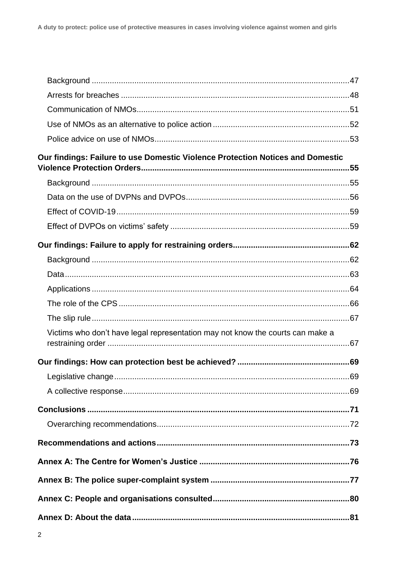| Our findings: Failure to use Domestic Violence Protection Notices and Domestic |  |
|--------------------------------------------------------------------------------|--|
|                                                                                |  |
|                                                                                |  |
|                                                                                |  |
|                                                                                |  |
|                                                                                |  |
|                                                                                |  |
|                                                                                |  |
|                                                                                |  |
|                                                                                |  |
|                                                                                |  |
|                                                                                |  |
| Victims who don't have legal representation may not know the courts can make a |  |
|                                                                                |  |
|                                                                                |  |
|                                                                                |  |
|                                                                                |  |
|                                                                                |  |
|                                                                                |  |
|                                                                                |  |
|                                                                                |  |
|                                                                                |  |
|                                                                                |  |
|                                                                                |  |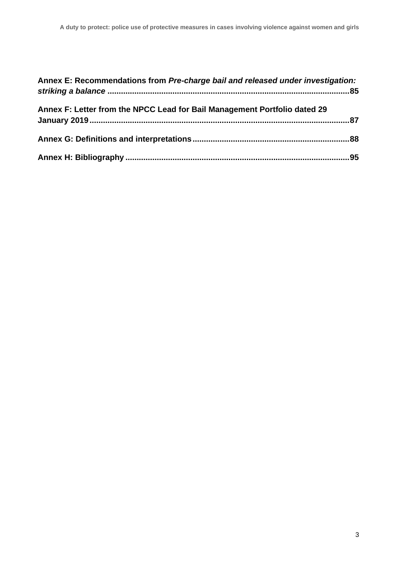| Annex E: Recommendations from Pre-charge bail and released under investigation: |  |
|---------------------------------------------------------------------------------|--|
| Annex F: Letter from the NPCC Lead for Bail Management Portfolio dated 29       |  |
|                                                                                 |  |
|                                                                                 |  |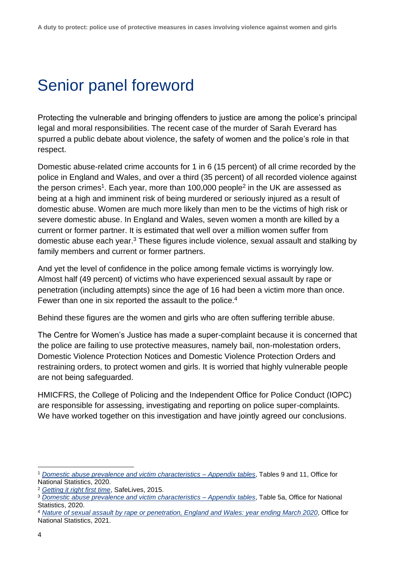## <span id="page-4-0"></span>Senior panel foreword

Protecting the vulnerable and bringing offenders to justice are among the police's principal legal and moral responsibilities. The recent case of the murder of Sarah Everard has spurred a public debate about violence, the safety of women and the police's role in that respect.

Domestic abuse-related crime accounts for 1 in 6 (15 percent) of all crime recorded by the police in England and Wales, and over a third (35 percent) of all recorded violence against the person crimes<sup>1</sup>. Each year, more than 100,000 people<sup>2</sup> in the UK are assessed as being at a high and imminent risk of being murdered or seriously injured as a result of domestic abuse. Women are much more likely than men to be the victims of high risk or severe domestic abuse. In England and Wales, seven women a month are killed by a current or former partner. It is estimated that well over a million women suffer from domestic abuse each year.<sup>3</sup> These figures include violence, sexual assault and stalking by family members and current or former partners.

And yet the level of confidence in the police among female victims is worryingly low. Almost half (49 percent) of victims who have experienced sexual assault by rape or penetration (including attempts) since the age of 16 had been a victim more than once. Fewer than one in six reported the assault to the police.<sup>4</sup>

Behind these figures are the women and girls who are often suffering terrible abuse.

The Centre for Women's Justice has made a super-complaint because it is concerned that the police are failing to use protective measures, namely bail, non-molestation orders, Domestic Violence Protection Notices and Domestic Violence Protection Orders and restraining orders, to protect women and girls. It is worried that highly vulnerable people are not being safeguarded.

HMICFRS, the College of Policing and the Independent Office for Police Conduct (IOPC) are responsible for assessing, investigating and reporting on police super-complaints. We have worked together on this investigation and have jointly agreed our conclusions.

<sup>1</sup> *[Domestic abuse prevalence and victim characteristics –](https://www.ons.gov.uk/peoplepopulationandcommunity/crimeandjustice/datasets/domesticabuseprevalenceandvictimcharacteristicsappendixtables) Appendix tables*, Tables 9 and 11, Office for National Statistics, 2020.

<sup>2</sup> *[Getting it right first time](https://safelives.org.uk/policy-evidence/getting-it-right-first-time)*, SafeLives, 2015.

<sup>3</sup> *[Domestic abuse prevalence and victim characteristics –](https://www.ons.gov.uk/peoplepopulationandcommunity/crimeandjustice/datasets/domesticabuseprevalenceandvictimcharacteristicsappendixtables) Appendix tables*, Table 5a, Office for National Statistics, 2020.

<sup>4</sup> *[Nature of sexual assault by rape or penetration, England and Wales: year ending March 2020](https://www.ons.gov.uk/peoplepopulationandcommunity/crimeandjustice/articles/natureofsexualassaultbyrapeorpenetrationenglandandwales/yearendingmarch2020)*, Office for National Statistics, 2021.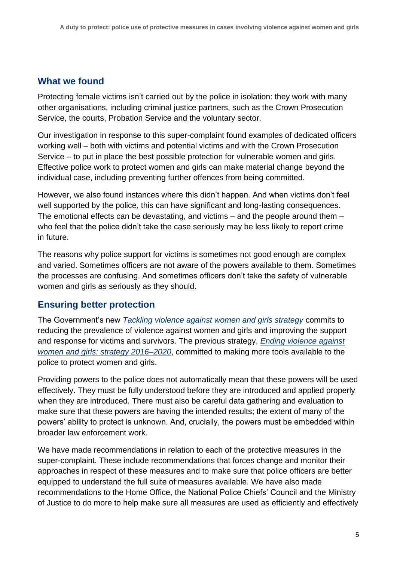## **What we found**

Protecting female victims isn't carried out by the police in isolation: they work with many other organisations, including criminal justice partners, such as the Crown Prosecution Service, the courts, Probation Service and the voluntary sector.

Our investigation in response to this super-complaint found examples of dedicated officers working well – both with victims and potential victims and with the Crown Prosecution Service – to put in place the best possible protection for vulnerable women and girls. Effective police work to protect women and girls can make material change beyond the individual case, including preventing further offences from being committed.

However, we also found instances where this didn't happen. And when victims don't feel well supported by the police, this can have significant and long-lasting consequences. The emotional effects can be devastating, and victims – and the people around them – who feel that the police didn't take the case seriously may be less likely to report crime in future.

The reasons why police support for victims is sometimes not good enough are complex and varied. Sometimes officers are not aware of the powers available to them. Sometimes the processes are confusing. And sometimes officers don't take the safety of vulnerable women and girls as seriously as they should.

## **Ensuring better protection**

The Government's new *[Tackling violence against women and girls strategy](https://www.gov.uk/government/publications/tackling-violence-against-women-and-girls-strategy/tackling-violence-against-women-and-girls-strategy)* commits to reducing the prevalence of violence against women and girls and improving the support and response for victims and survivors. The previous strategy, *[Ending violence against](https://www.gov.uk/government/publications/strategy-to-end-violence-against-women-and-girls-2016-to-2020)  [women and girls: strategy 2016–2020](https://www.gov.uk/government/publications/strategy-to-end-violence-against-women-and-girls-2016-to-2020)*, committed to making more tools available to the police to protect women and girls.

Providing powers to the police does not automatically mean that these powers will be used effectively. They must be fully understood before they are introduced and applied properly when they are introduced. There must also be careful data gathering and evaluation to make sure that these powers are having the intended results; the extent of many of the powers' ability to protect is unknown. And, crucially, the powers must be embedded within broader law enforcement work.

We have made recommendations in relation to each of the protective measures in the super-complaint. These include recommendations that forces change and monitor their approaches in respect of these measures and to make sure that police officers are better equipped to understand the full suite of measures available. We have also made recommendations to the Home Office, the National Police Chiefs' Council and the Ministry of Justice to do more to help make sure all measures are used as efficiently and effectively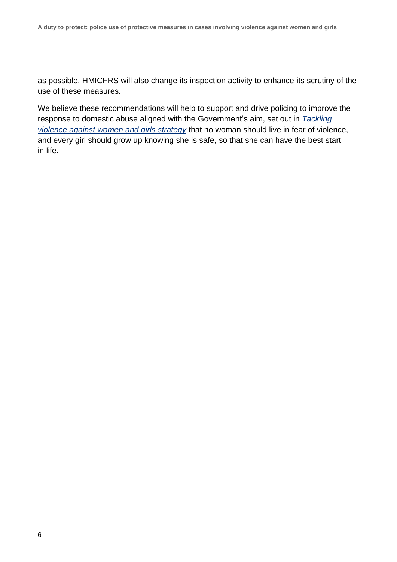as possible. HMICFRS will also change its inspection activity to enhance its scrutiny of the use of these measures.

We believe these recommendations will help to support and drive policing to improve the response to domestic abuse aligned with the Government's aim, set out in *[Tackling](https://www.gov.uk/government/publications/tackling-violence-against-women-and-girls-strategy/tackling-violence-against-women-and-girls-strategy)  [violence against women and girls strategy](https://www.gov.uk/government/publications/tackling-violence-against-women-and-girls-strategy/tackling-violence-against-women-and-girls-strategy)* that no woman should live in fear of violence, and every girl should grow up knowing she is safe, so that she can have the best start in life.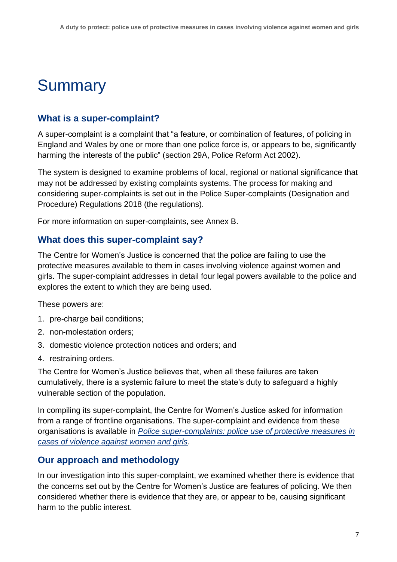## <span id="page-7-0"></span>**Summary**

## <span id="page-7-1"></span>**What is a super-complaint?**

A super-complaint is a complaint that "a feature, or combination of features, of policing in England and Wales by one or more than one police force is, or appears to be, significantly harming the interests of the public" (section 29A, Police Reform Act 2002).

The system is designed to examine problems of local, regional or national significance that may not be addressed by existing complaints systems. The process for making and considering super-complaints is set out in the Police Super-complaints (Designation and Procedure) Regulations 2018 (the regulations).

For more information on super-complaints, see Annex B.

## <span id="page-7-2"></span>**What does this super-complaint say?**

The Centre for Women's Justice is concerned that the police are failing to use the protective measures available to them in cases involving violence against women and girls. The super-complaint addresses in detail four legal powers available to the police and explores the extent to which they are being used.

These powers are:

- 1. pre-charge bail conditions;
- 2. non-molestation orders;
- 3. domestic violence protection notices and orders; and
- 4. restraining orders.

The Centre for Women's Justice believes that, when all these failures are taken cumulatively, there is a systemic failure to meet the state's duty to safeguard a highly vulnerable section of the population.

In compiling its super-complaint, the Centre for Women's Justice asked for information from a range of frontline organisations. The super-complaint and evidence from these organisations is available in *[Police super-complaints: police use of protective measures in](https://www.gov.uk/government/publications/police-use-of-protective-measures-in-cases-of-violence-against-women-and-girls)  [cases of violence against women and girls](https://www.gov.uk/government/publications/police-use-of-protective-measures-in-cases-of-violence-against-women-and-girls)*.

## <span id="page-7-3"></span>**Our approach and methodology**

In our investigation into this super-complaint, we examined whether there is evidence that the concerns set out by the Centre for Women's Justice are features of policing. We then considered whether there is evidence that they are, or appear to be, causing significant harm to the public interest.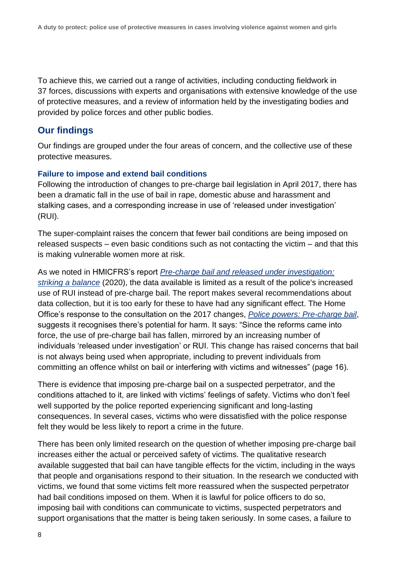To achieve this, we carried out a range of activities, including conducting fieldwork in 37 forces, discussions with experts and organisations with extensive knowledge of the use of protective measures, and a review of information held by the investigating bodies and provided by police forces and other public bodies.

## <span id="page-8-0"></span>**Our findings**

Our findings are grouped under the four areas of concern, and the collective use of these protective measures.

### **Failure to impose and extend bail conditions**

Following the introduction of changes to pre-charge bail legislation in April 2017, there has been a dramatic fall in the use of bail in rape, domestic abuse and harassment and stalking cases, and a corresponding increase in use of 'released under investigation' (RUI).

The super-complaint raises the concern that fewer bail conditions are being imposed on released suspects – even basic conditions such as not contacting the victim – and that this is making vulnerable women more at risk.

As we noted in HMICFRS's report *[Pre-charge bail and released under investigation:](https://www.justiceinspectorates.gov.uk/hmicfrs/publications/pre-charge-bail-and-released-under-investigation-striking-a-balance/)  [striking a balance](https://www.justiceinspectorates.gov.uk/hmicfrs/publications/pre-charge-bail-and-released-under-investigation-striking-a-balance/)* (2020), the data available is limited as a result of the police's increased use of RUI instead of pre-charge bail. The report makes several recommendations about data collection, but it is too early for these to have had any significant effect. The Home Office's response to the consultation on the 2017 changes, *[Police powers: Pre-charge bail](https://www.gov.uk/government/consultations/police-powers-pre-charge-bail)*, suggests it recognises there's potential for harm. It says: "Since the reforms came into force, the use of pre-charge bail has fallen, mirrored by an increasing number of individuals 'released under investigation' or RUI. This change has raised concerns that bail is not always being used when appropriate, including to prevent individuals from committing an offence whilst on bail or interfering with victims and witnesses" (page 16).

There is evidence that imposing pre-charge bail on a suspected perpetrator, and the conditions attached to it, are linked with victims' feelings of safety. Victims who don't feel well supported by the police reported experiencing significant and long-lasting consequences. In several cases, victims who were dissatisfied with the police response felt they would be less likely to report a crime in the future.

There has been only limited research on the question of whether imposing pre-charge bail increases either the actual or perceived safety of victims. The qualitative research available suggested that bail can have tangible effects for the victim, including in the ways that people and organisations respond to their situation. In the research we conducted with victims, we found that some victims felt more reassured when the suspected perpetrator had bail conditions imposed on them. When it is lawful for police officers to do so, imposing bail with conditions can communicate to victims, suspected perpetrators and support organisations that the matter is being taken seriously. In some cases, a failure to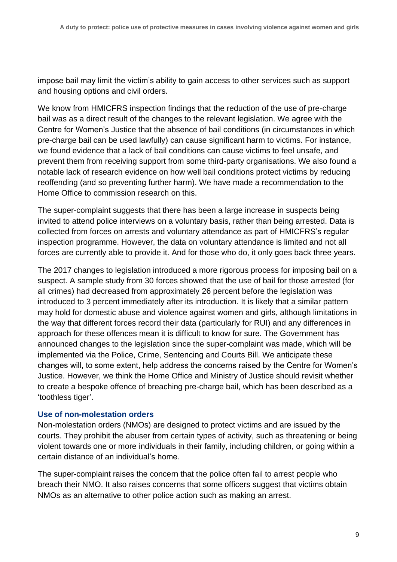impose bail may limit the victim's ability to gain access to other services such as support and housing options and civil orders.

We know from HMICFRS inspection findings that the reduction of the use of pre-charge bail was as a direct result of the changes to the relevant legislation. We agree with the Centre for Women's Justice that the absence of bail conditions (in circumstances in which pre-charge bail can be used lawfully) can cause significant harm to victims. For instance, we found evidence that a lack of bail conditions can cause victims to feel unsafe, and prevent them from receiving support from some third-party organisations. We also found a notable lack of research evidence on how well bail conditions protect victims by reducing reoffending (and so preventing further harm). We have made a recommendation to the Home Office to commission research on this.

The super-complaint suggests that there has been a large increase in suspects being invited to attend police interviews on a voluntary basis, rather than being arrested. Data is collected from forces on arrests and voluntary attendance as part of HMICFRS's regular inspection programme. However, the data on voluntary attendance is limited and not all forces are currently able to provide it. And for those who do, it only goes back three years.

The 2017 changes to legislation introduced a more rigorous process for imposing bail on a suspect. A sample study from 30 forces showed that the use of bail for those arrested (for all crimes) had decreased from approximately 26 percent before the legislation was introduced to 3 percent immediately after its introduction. It is likely that a similar pattern may hold for domestic abuse and violence against women and girls, although limitations in the way that different forces record their data (particularly for RUI) and any differences in approach for these offences mean it is difficult to know for sure. The Government has announced changes to the legislation since the super-complaint was made, which will be implemented via the Police, Crime, Sentencing and Courts Bill. We anticipate these changes will, to some extent, help address the concerns raised by the Centre for Women's Justice. However, we think the Home Office and Ministry of Justice should revisit whether to create a bespoke offence of breaching pre-charge bail, which has been described as a 'toothless tiger'.

### **Use of non-molestation orders**

Non-molestation orders (NMOs) are designed to protect victims and are issued by the courts. They prohibit the abuser from certain types of activity, such as threatening or being violent towards one or more individuals in their family, including children, or going within a certain distance of an individual's home.

The super-complaint raises the concern that the police often fail to arrest people who breach their NMO. It also raises concerns that some officers suggest that victims obtain NMOs as an alternative to other police action such as making an arrest.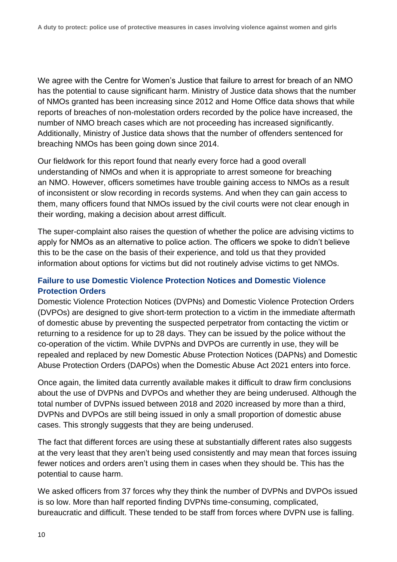We agree with the Centre for Women's Justice that failure to arrest for breach of an NMO has the potential to cause significant harm. Ministry of Justice data shows that the number of NMOs granted has been increasing since 2012 and Home Office data shows that while reports of breaches of non-molestation orders recorded by the police have increased, the number of NMO breach cases which are not proceeding has increased significantly. Additionally, Ministry of Justice data shows that the number of offenders sentenced for breaching NMOs has been going down since 2014.

Our fieldwork for this report found that nearly every force had a good overall understanding of NMOs and when it is appropriate to arrest someone for breaching an NMO. However, officers sometimes have trouble gaining access to NMOs as a result of inconsistent or slow recording in records systems. And when they can gain access to them, many officers found that NMOs issued by the civil courts were not clear enough in their wording, making a decision about arrest difficult.

The super-complaint also raises the question of whether the police are advising victims to apply for NMOs as an alternative to police action. The officers we spoke to didn't believe this to be the case on the basis of their experience, and told us that they provided information about options for victims but did not routinely advise victims to get NMOs.

## **Failure to use Domestic Violence Protection Notices and Domestic Violence Protection Orders**

Domestic Violence Protection Notices (DVPNs) and Domestic Violence Protection Orders (DVPOs) are designed to give short-term protection to a victim in the immediate aftermath of domestic abuse by preventing the suspected perpetrator from contacting the victim or returning to a residence for up to 28 days. They can be issued by the police without the co-operation of the victim. While DVPNs and DVPOs are currently in use, they will be repealed and replaced by new Domestic Abuse Protection Notices (DAPNs) and Domestic Abuse Protection Orders (DAPOs) when the Domestic Abuse Act 2021 enters into force.

Once again, the limited data currently available makes it difficult to draw firm conclusions about the use of DVPNs and DVPOs and whether they are being underused. Although the total number of DVPNs issued between 2018 and 2020 increased by more than a third, DVPNs and DVPOs are still being issued in only a small proportion of domestic abuse cases. This strongly suggests that they are being underused.

The fact that different forces are using these at substantially different rates also suggests at the very least that they aren't being used consistently and may mean that forces issuing fewer notices and orders aren't using them in cases when they should be. This has the potential to cause harm.

We asked officers from 37 forces why they think the number of DVPNs and DVPOs issued is so low. More than half reported finding DVPNs time-consuming, complicated, bureaucratic and difficult. These tended to be staff from forces where DVPN use is falling.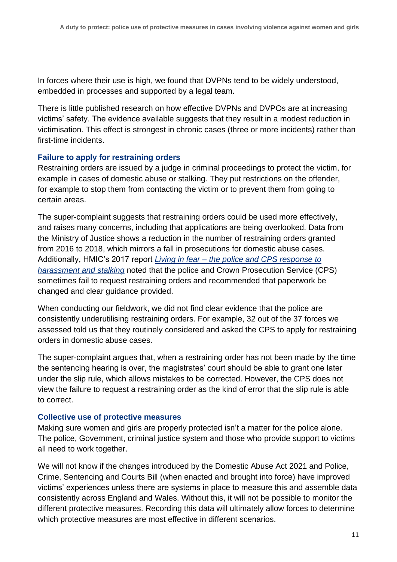In forces where their use is high, we found that DVPNs tend to be widely understood, embedded in processes and supported by a legal team.

There is little published research on how effective DVPNs and DVPOs are at increasing victims' safety. The evidence available suggests that they result in a modest reduction in victimisation. This effect is strongest in chronic cases (three or more incidents) rather than first-time incidents.

### **Failure to apply for restraining orders**

Restraining orders are issued by a judge in criminal proceedings to protect the victim, for example in cases of domestic abuse or stalking. They put restrictions on the offender, for example to stop them from contacting the victim or to prevent them from going to certain areas.

The super-complaint suggests that restraining orders could be used more effectively, and raises many concerns, including that applications are being overlooked. Data from the Ministry of Justice shows a reduction in the number of restraining orders granted from 2016 to 2018, which mirrors a fall in prosecutions for domestic abuse cases. Additionally, HMIC's 2017 report *Living in fear – [the police and CPS response to](https://www.justiceinspectorates.gov.uk/hmicfrs/publications/living-in-fear-the-police-and-cps-response-to-harassment-and-stalking/#report)  [harassment and stalking](https://www.justiceinspectorates.gov.uk/hmicfrs/publications/living-in-fear-the-police-and-cps-response-to-harassment-and-stalking/#report)* noted that the police and Crown Prosecution Service (CPS) sometimes fail to request restraining orders and recommended that paperwork be changed and clear guidance provided.

When conducting our fieldwork, we did not find clear evidence that the police are consistently underutilising restraining orders. For example, 32 out of the 37 forces we assessed told us that they routinely considered and asked the CPS to apply for restraining orders in domestic abuse cases.

The super-complaint argues that, when a restraining order has not been made by the time the sentencing hearing is over, the magistrates' court should be able to grant one later under the slip rule, which allows mistakes to be corrected. However, the CPS does not view the failure to request a restraining order as the kind of error that the slip rule is able to correct.

### **Collective use of protective measures**

Making sure women and girls are properly protected isn't a matter for the police alone. The police, Government, criminal justice system and those who provide support to victims all need to work together.

We will not know if the changes introduced by the Domestic Abuse Act 2021 and Police, Crime, Sentencing and Courts Bill (when enacted and brought into force) have improved victims' experiences unless there are systems in place to measure this and assemble data consistently across England and Wales. Without this, it will not be possible to monitor the different protective measures. Recording this data will ultimately allow forces to determine which protective measures are most effective in different scenarios.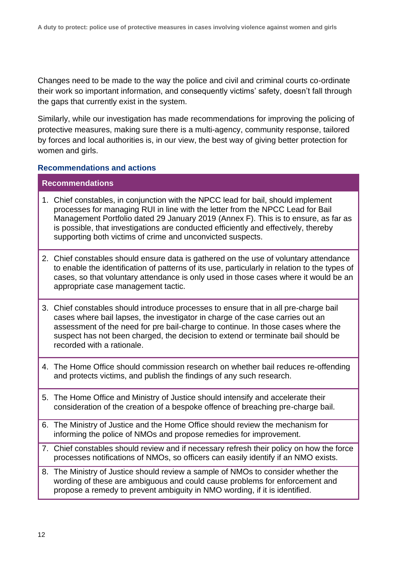Changes need to be made to the way the police and civil and criminal courts co-ordinate their work so important information, and consequently victims' safety, doesn't fall through the gaps that currently exist in the system.

Similarly, while our investigation has made recommendations for improving the policing of protective measures, making sure there is a multi-agency, community response, tailored by forces and local authorities is, in our view, the best way of giving better protection for women and girls.

### **Recommendations and actions**

#### **Recommendations**

- 1. Chief constables, in conjunction with the NPCC lead for bail, should implement processes for managing RUI in line with the letter from the NPCC Lead for Bail Management Portfolio dated 29 January 2019 (Annex F). This is to ensure, as far as is possible, that investigations are conducted efficiently and effectively, thereby supporting both victims of crime and unconvicted suspects.
- 2. Chief constables should ensure data is gathered on the use of voluntary attendance to enable the identification of patterns of its use, particularly in relation to the types of cases, so that voluntary attendance is only used in those cases where it would be an appropriate case management tactic.
- 3. Chief constables should introduce processes to ensure that in all pre-charge bail cases where bail lapses, the investigator in charge of the case carries out an assessment of the need for pre bail-charge to continue. In those cases where the suspect has not been charged, the decision to extend or terminate bail should be recorded with a rationale.
- 4. The Home Office should commission research on whether bail reduces re-offending and protects victims, and publish the findings of any such research.
- 5. The Home Office and Ministry of Justice should intensify and accelerate their consideration of the creation of a bespoke offence of breaching pre-charge bail.
- 6. The Ministry of Justice and the Home Office should review the mechanism for informing the police of NMOs and propose remedies for improvement.
- 7. Chief constables should review and if necessary refresh their policy on how the force processes notifications of NMOs, so officers can easily identify if an NMO exists.
- 8. The Ministry of Justice should review a sample of NMOs to consider whether the wording of these are ambiguous and could cause problems for enforcement and propose a remedy to prevent ambiguity in NMO wording, if it is identified.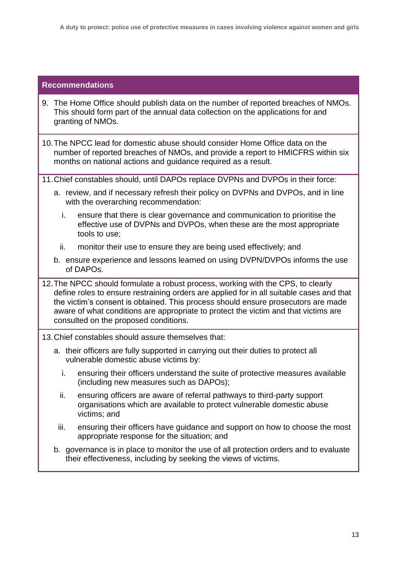### **Recommendations**

- 9. The Home Office should publish data on the number of reported breaches of NMOs. This should form part of the annual data collection on the applications for and granting of NMOs.
- 10.The NPCC lead for domestic abuse should consider Home Office data on the number of reported breaches of NMOs, and provide a report to HMICFRS within six months on national actions and guidance required as a result.
- 11.Chief constables should, until DAPOs replace DVPNs and DVPOs in their force:
	- a. review, and if necessary refresh their policy on DVPNs and DVPOs, and in line with the overarching recommendation:
		- i. ensure that there is clear governance and communication to prioritise the effective use of DVPNs and DVPOs, when these are the most appropriate tools to use;
		- ii. monitor their use to ensure they are being used effectively; and
	- b. ensure experience and lessons learned on using DVPN/DVPOs informs the use of DAPOs.
- 12.The NPCC should formulate a robust process, working with the CPS, to clearly define roles to ensure restraining orders are applied for in all suitable cases and that the victim's consent is obtained. This process should ensure prosecutors are made aware of what conditions are appropriate to protect the victim and that victims are consulted on the proposed conditions.
- 13.Chief constables should assure themselves that:
	- a. their officers are fully supported in carrying out their duties to protect all vulnerable domestic abuse victims by:
		- i. ensuring their officers understand the suite of protective measures available (including new measures such as DAPOs);
		- ii. ensuring officers are aware of referral pathways to third-party support organisations which are available to protect vulnerable domestic abuse victims; and
		- iii. ensuring their officers have guidance and support on how to choose the most appropriate response for the situation; and
	- b. governance is in place to monitor the use of all protection orders and to evaluate their effectiveness, including by seeking the views of victims.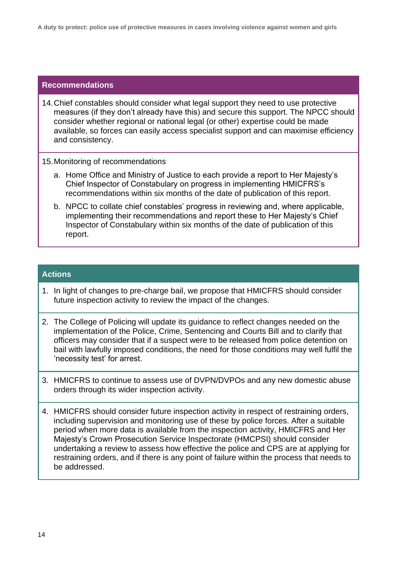### **Recommendations**

- 14.Chief constables should consider what legal support they need to use protective measures (if they don't already have this) and secure this support. The NPCC should consider whether regional or national legal (or other) expertise could be made available, so forces can easily access specialist support and can maximise efficiency and consistency.
- 15.Monitoring of recommendations
	- a. Home Office and Ministry of Justice to each provide a report to Her Majesty's Chief Inspector of Constabulary on progress in implementing HMICFRS's recommendations within six months of the date of publication of this report.
	- b. NPCC to collate chief constables' progress in reviewing and, where applicable, implementing their recommendations and report these to Her Majesty's Chief Inspector of Constabulary within six months of the date of publication of this report.

#### **Actions**

- 1. In light of changes to pre-charge bail, we propose that HMICFRS should consider future inspection activity to review the impact of the changes.
- 2. The College of Policing will update its guidance to reflect changes needed on the implementation of the Police, Crime, Sentencing and Courts Bill and to clarify that officers may consider that if a suspect were to be released from police detention on bail with lawfully imposed conditions, the need for those conditions may well fulfil the 'necessity test' for arrest.
- 3. HMICFRS to continue to assess use of DVPN/DVPOs and any new domestic abuse orders through its wider inspection activity.
- 4. HMICFRS should consider future inspection activity in respect of restraining orders, including supervision and monitoring use of these by police forces. After a suitable period when more data is available from the inspection activity, HMICFRS and Her Majesty's Crown Prosecution Service Inspectorate (HMCPSI) should consider undertaking a review to assess how effective the police and CPS are at applying for restraining orders, and if there is any point of failure within the process that needs to be addressed.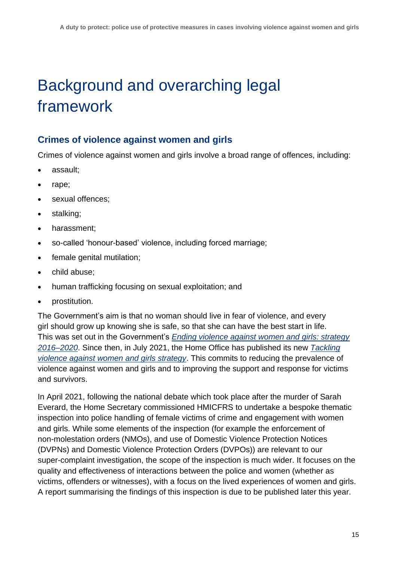## <span id="page-15-0"></span>Background and overarching legal framework

## <span id="page-15-1"></span>**Crimes of violence against women and girls**

Crimes of violence against women and girls involve a broad range of offences, including:

- assault;
- rape;
- sexual offences;
- stalking;
- harassment;
- so-called 'honour-based' violence, including forced marriage;
- female genital mutilation;
- child abuse;
- human trafficking focusing on sexual exploitation; and
- prostitution.

The Government's aim is that no woman should live in fear of violence, and every girl should grow up knowing she is safe, so that she can have the best start in life. This was set out in the Government's *[Ending violence against women and girls: strategy](https://www.gov.uk/government/publications/strategy-to-end-violence-against-women-and-girls-2016-to-2020)  [2016–2020](https://www.gov.uk/government/publications/strategy-to-end-violence-against-women-and-girls-2016-to-2020)*. Since then, in July 2021, the Home Office has published its new *[Tackling](https://www.gov.uk/government/publications/tackling-violence-against-women-and-girls-strategy/tackling-violence-against-women-and-girls-strategy)  [violence against women and girls strategy](https://www.gov.uk/government/publications/tackling-violence-against-women-and-girls-strategy/tackling-violence-against-women-and-girls-strategy)*. This commits to reducing the prevalence of violence against women and girls and to improving the support and response for victims and survivors.

In April 2021, following the national debate which took place after the murder of Sarah Everard, the Home Secretary commissioned HMICFRS to undertake a bespoke thematic inspection into police handling of female victims of crime and engagement with women and girls. While some elements of the inspection (for example the enforcement of non-molestation orders (NMOs), and use of Domestic Violence Protection Notices (DVPNs) and Domestic Violence Protection Orders (DVPOs)) are relevant to our super-complaint investigation, the scope of the inspection is much wider. It focuses on the quality and effectiveness of interactions between the police and women (whether as victims, offenders or witnesses), with a focus on the lived experiences of women and girls. A report summarising the findings of this inspection is due to be published later this year.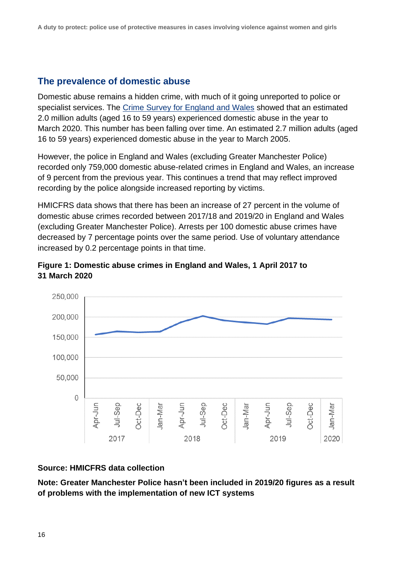## <span id="page-16-0"></span>**The prevalence of domestic abuse**

Domestic abuse remains a hidden crime, with much of it going unreported to police or specialist services. The [Crime Survey for England and Wales](https://www.ons.gov.uk/peoplepopulationandcommunity/crimeandjustice/articles/domesticabuseprevalenceandtrendsenglandandwales/yearendingmarch2020) showed that an estimated 2.0 million adults (aged 16 to 59 years) experienced domestic abuse in the year to March 2020. This number has been falling over time. An estimated 2.7 million adults (aged 16 to 59 years) experienced domestic abuse in the year to March 2005.

However, the police in England and Wales (excluding Greater Manchester Police) recorded only 759,000 domestic abuse-related crimes in England and Wales, an increase of 9 percent from the previous year. This continues a trend that may reflect improved recording by the police alongside increased reporting by victims.

HMICFRS data shows that there has been an increase of 27 percent in the volume of domestic abuse crimes recorded between 2017/18 and 2019/20 in England and Wales (excluding Greater Manchester Police). Arrests per 100 domestic abuse crimes have decreased by 7 percentage points over the same period. Use of voluntary attendance increased by 0.2 percentage points in that time.





### **Source: HMICFRS data collection**

**Note: Greater Manchester Police hasn't been included in 2019/20 figures as a result of problems with the implementation of new ICT systems**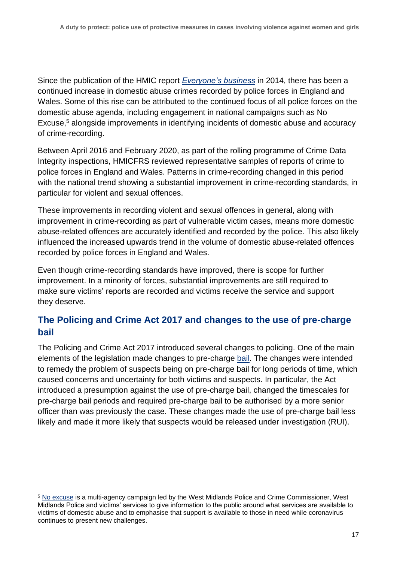Since the publication of the HMIC report *[Everyone's business](https://www.justiceinspectorates.gov.uk/hmicfrs/publications/improving-the-police-response-to-domestic-abuse/)* in 2014, there has been a continued increase in domestic abuse crimes recorded by police forces in England and Wales. Some of this rise can be attributed to the continued focus of all police forces on the domestic abuse agenda, including engagement in national campaigns such as No Excuse,<sup>5</sup> alongside improvements in identifying incidents of domestic abuse and accuracy of crime-recording.

Between April 2016 and February 2020, as part of the rolling programme of Crime Data Integrity inspections, HMICFRS reviewed representative samples of reports of crime to police forces in England and Wales. Patterns in crime-recording changed in this period with the national trend showing a substantial improvement in crime-recording standards, in particular for violent and sexual offences.

These improvements in recording violent and sexual offences in general, along with improvement in crime-recording as part of vulnerable victim cases, means more domestic abuse-related offences are accurately identified and recorded by the police. This also likely influenced the increased upwards trend in the volume of domestic abuse-related offences recorded by police forces in England and Wales.

Even though crime-recording standards have improved, there is scope for further improvement. In a minority of forces, substantial improvements are still required to make sure victims' reports are recorded and victims receive the service and support they deserve.

## <span id="page-17-0"></span>**The Policing and Crime Act 2017 and changes to the use of pre-charge bail**

The Policing and Crime Act 2017 introduced several changes to policing. One of the main elements of the legislation made changes to pre-charge [bail.](https://www.justiceinspectorates.gov.uk/hmicfrs/glossary/bail/) The changes were intended to remedy the problem of suspects being on pre-charge bail for long periods of time, which caused concerns and uncertainty for both victims and suspects. In particular, the Act introduced a presumption against the use of pre-charge bail, changed the timescales for pre-charge bail periods and required pre-charge bail to be authorised by a more senior officer than was previously the case. These changes made the use of pre-charge bail less likely and made it more likely that suspects would be released under investigation (RUI).

<sup>5</sup> [No excuse](https://www.westmidlands-pcc.gov.uk/police-say-noexcuseforabuse-as-new-campaign-launched-to-prevent-domestic-violence/) is a multi-agency campaign led by the West Midlands Police and Crime Commissioner, West Midlands Police and victims' services to give information to the public around what services are available to victims of domestic abuse and to emphasise that support is available to those in need while coronavirus continues to present new challenges.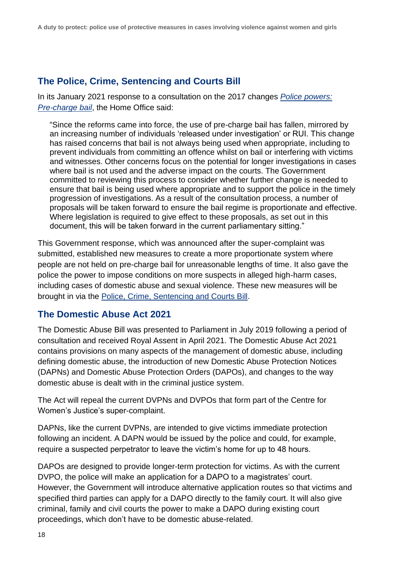## <span id="page-18-0"></span>**The Police, Crime, Sentencing and Courts Bill**

In its January 2021 response to a consultation on the 2017 changes *[Police powers:](https://www.gov.uk/government/consultations/police-powers-pre-charge-bail)  [Pre-charge bail](https://www.gov.uk/government/consultations/police-powers-pre-charge-bail)*, the Home Office said:

"Since the reforms came into force, the use of pre-charge bail has fallen, mirrored by an increasing number of individuals 'released under investigation' or RUI. This change has raised concerns that bail is not always being used when appropriate, including to prevent individuals from committing an offence whilst on bail or interfering with victims and witnesses. Other concerns focus on the potential for longer investigations in cases where bail is not used and the adverse impact on the courts. The Government committed to reviewing this process to consider whether further change is needed to ensure that bail is being used where appropriate and to support the police in the timely progression of investigations. As a result of the consultation process, a number of proposals will be taken forward to ensure the bail regime is proportionate and effective. Where legislation is required to give effect to these proposals, as set out in this document, this will be taken forward in the current parliamentary sitting."

This Government response, which was announced after the super-complaint was submitted, established new measures to create a more proportionate system where people are not held on pre-charge bail for unreasonable lengths of time. It also gave the police the power to impose conditions on more suspects in alleged high-harm cases, including cases of domestic abuse and sexual violence. These new measures will be brought in via the [Police, Crime, Sentencing and Courts Bill.](https://www.gov.uk/government/publications/police-crime-sentencing-and-courts-bill-2021-factsheets/police-crime-sentencing-and-courts-bill-2021-pre-charge-bail-factsheet)

## <span id="page-18-1"></span>**The Domestic Abuse Act 2021**

The Domestic Abuse Bill was presented to Parliament in July 2019 following a period of consultation and received Royal Assent in April 2021. The Domestic Abuse Act 2021 contains provisions on many aspects of the management of domestic abuse, including defining domestic abuse, the introduction of new Domestic Abuse Protection Notices (DAPNs) and Domestic Abuse Protection Orders (DAPOs), and changes to the way domestic abuse is dealt with in the criminal justice system.

The Act will repeal the current DVPNs and DVPOs that form part of the Centre for Women's Justice's super-complaint.

DAPNs, like the current DVPNs, are intended to give victims immediate protection following an incident. A DAPN would be issued by the police and could, for example, require a suspected perpetrator to leave the victim's home for up to 48 hours.

DAPOs are designed to provide longer-term protection for victims. As with the current DVPO, the police will make an application for a DAPO to a magistrates' court. However, the Government will introduce alternative application routes so that victims and specified third parties can apply for a DAPO directly to the family court. It will also give criminal, family and civil courts the power to make a DAPO during existing court proceedings, which don't have to be domestic abuse-related.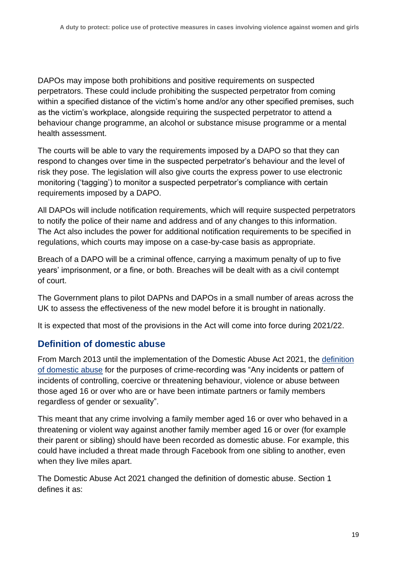DAPOs may impose both prohibitions and positive requirements on suspected perpetrators. These could include prohibiting the suspected perpetrator from coming within a specified distance of the victim's home and/or any other specified premises, such as the victim's workplace, alongside requiring the suspected perpetrator to attend a behaviour change programme, an alcohol or substance misuse programme or a mental health assessment.

The courts will be able to vary the requirements imposed by a DAPO so that they can respond to changes over time in the suspected perpetrator's behaviour and the level of risk they pose. The legislation will also give courts the express power to use electronic monitoring ('tagging') to monitor a suspected perpetrator's compliance with certain requirements imposed by a DAPO.

All DAPOs will include notification requirements, which will require suspected perpetrators to notify the police of their name and address and of any changes to this information. The Act also includes the power for additional notification requirements to be specified in regulations, which courts may impose on a case-by-case basis as appropriate.

Breach of a DAPO will be a criminal offence, carrying a maximum penalty of up to five years' imprisonment, or a fine, or both. Breaches will be dealt with as a civil contempt of court.

The Government plans to pilot DAPNs and DAPOs in a small number of areas across the UK to assess the effectiveness of the new model before it is brought in nationally.

It is expected that most of the provisions in the Act will come into force during 2021/22.

## <span id="page-19-0"></span>**Definition of domestic abuse**

From March 2013 until the implementation of the Domestic Abuse Act 2021, the definition [of domestic abuse](https://www.gov.uk/government/publications/new-government-domestic-violence-and-abuse-definition/circular-0032013-new-government-domestic-violence-and-abuse-definition) for the purposes of crime-recording was "Any incidents or pattern of incidents of controlling, coercive or threatening behaviour, violence or abuse between those aged 16 or over who are or have been intimate partners or family members regardless of gender or sexuality".

This meant that any crime involving a family member aged 16 or over who behaved in a threatening or violent way against another family member aged 16 or over (for example their parent or sibling) should have been recorded as domestic abuse. For example, this could have included a threat made through Facebook from one sibling to another, even when they live miles apart.

The Domestic Abuse Act 2021 changed the definition of domestic abuse. Section 1 defines it as: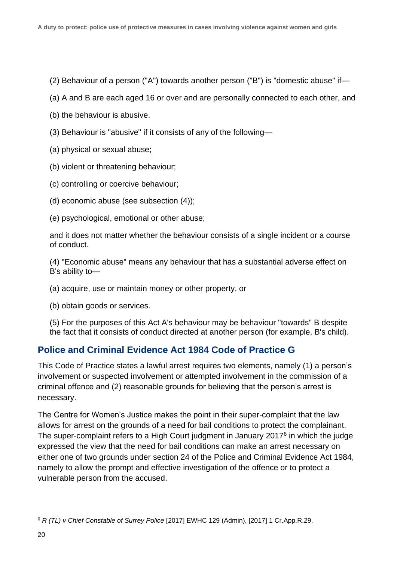### (2) Behaviour of a person ("A") towards another person ("B") is "domestic abuse" if—

- (a) A and B are each aged 16 or over and are personally connected to each other, and
- (b) the behaviour is abusive.
- (3) Behaviour is "abusive" if it consists of any of the following—
- (a) physical or sexual abuse;
- (b) violent or threatening behaviour;
- (c) controlling or coercive behaviour;
- (d) economic abuse (see subsection (4));
- (e) psychological, emotional or other abuse;

and it does not matter whether the behaviour consists of a single incident or a course of conduct.

(4) "Economic abuse" means any behaviour that has a substantial adverse effect on B's ability to—

- (a) acquire, use or maintain money or other property, or
- (b) obtain goods or services.

(5) For the purposes of this Act A's behaviour may be behaviour "towards" B despite the fact that it consists of conduct directed at another person (for example, B's child).

## <span id="page-20-0"></span>**Police and Criminal Evidence Act 1984 Code of Practice G**

This Code of Practice states a lawful arrest requires two elements, namely (1) a person's involvement or suspected involvement or attempted involvement in the commission of a criminal offence and (2) reasonable grounds for believing that the person's arrest is necessary.

The Centre for Women's Justice makes the point in their super-complaint that the law allows for arrest on the grounds of a need for bail conditions to protect the complainant. The super-complaint refers to a High Court judgment in January 2017 $6$  in which the judge expressed the view that the need for bail conditions can make an arrest necessary on either one of two grounds under section 24 of the Police and Criminal Evidence Act 1984, namely to allow the prompt and effective investigation of the offence or to protect a vulnerable person from the accused.

<sup>6</sup> *R (TL) v Chief Constable of Surrey Police* [2017] EWHC 129 (Admin), [2017] 1 Cr.App.R.29.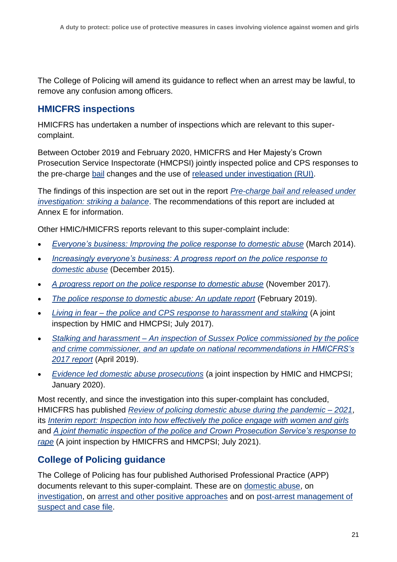The College of Policing will amend its guidance to reflect when an arrest may be lawful, to remove any confusion among officers.

## <span id="page-21-0"></span>**HMICFRS inspections**

HMICFRS has undertaken a number of inspections which are relevant to this supercomplaint.

Between October 2019 and February 2020, HMICFRS and Her Majesty's Crown Prosecution Service Inspectorate (HMCPSI) jointly inspected police and CPS responses to the pre-charge [bail](https://www.justiceinspectorates.gov.uk/hmicfrs/glossary/bail/) changes and the use of [released under investigation \(RUI\).](https://www.justiceinspectorates.gov.uk/hmicfrs/glossary/released-under-investigation/)

The findings of this inspection are set out in the report *[Pre-charge bail and released under](https://www.justiceinspectorates.gov.uk/hmicfrs/publications/pre-charge-bail-and-released-under-investigation-striking-a-balance/)  [investigation: striking a balance](https://www.justiceinspectorates.gov.uk/hmicfrs/publications/pre-charge-bail-and-released-under-investigation-striking-a-balance/)*. The recommendations of this report are included at Annex E for information.

Other HMIC/HMICFRS reports relevant to this super-complaint include:

- *[Everyone's business: Improving the police response to domestic abuse](https://www.justiceinspectorates.gov.uk/hmicfrs/publications/improving-the-police-response-to-domestic-abuse/)* (March 2014).
- *[Increasingly everyone's business: A progress report on the police response to](https://www.justiceinspectorates.gov.uk/hmicfrs/publications/increasingly-everyones-business-a-progress-report-on-the-police-response-to-domestic-abuse/)  [domestic abuse](https://www.justiceinspectorates.gov.uk/hmicfrs/publications/increasingly-everyones-business-a-progress-report-on-the-police-response-to-domestic-abuse/)* (December 2015).
- *[A progress report on the police response to domestic abuse](https://www.justiceinspectorates.gov.uk/hmicfrs/publications/a-progress-report-on-the-police-response-to-domestic-abuse/)* (November 2017).
- *[The police response to domestic abuse: An update report](https://www.justiceinspectorates.gov.uk/hmicfrs/publications/the-police-response-to-domestic-abuse-an-update-report/)* (February 2019).
- *Living in fear – [the police and CPS response to harassment and stalking](https://www.justiceinspectorates.gov.uk/hmicfrs/publications/living-in-fear-the-police-and-cps-response-to-harassment-and-stalking/#report)* (A joint inspection by HMIC and HMCPSI; July 2017).
- *Stalking and harassment – [An inspection of Sussex Police commissioned by the police](https://www.justiceinspectorates.gov.uk/hmicfrs/publications/sussex-police-response-to-stalking-and-harassment/)  [and crime commissioner, and an update on national recommendations in HMICFRS's](https://www.justiceinspectorates.gov.uk/hmicfrs/publications/sussex-police-response-to-stalking-and-harassment/)  [2017 report](https://www.justiceinspectorates.gov.uk/hmicfrs/publications/sussex-police-response-to-stalking-and-harassment/)* (April 2019).
- *[Evidence led domestic abuse prosecutions](https://www.justiceinspectorates.gov.uk/hmicfrs/publications/evidence-led-domestic-abuse-prosecutions/)* (a joint inspection by HMIC and HMCPSI; January 2020).

Most recently, and since the investigation into this super-complaint has concluded, HMICFRS has published *[Review of policing domestic abuse during the pandemic –](https://www.justiceinspectorates.gov.uk/hmicfrs/publications/review-of-policing-domestic-abuse-during-pandemic/) 2021*, its *[Interim report: Inspection into how effectively the police engage with women and girls](https://www.justiceinspectorates.gov.uk/hmicfrs/publications/interim-report-inspection-into-how-effectively-the-police-engage-with-women-and-girls/)* and *[A joint thematic inspection of the police and Crown Prosecution Service's response to](https://www.justiceinspectorates.gov.uk/hmicfrs/publications/a-joint-thematic-inspection-of-the-police-and-crown-prosecution-services-response-to-rape/)  [rape](https://www.justiceinspectorates.gov.uk/hmicfrs/publications/a-joint-thematic-inspection-of-the-police-and-crown-prosecution-services-response-to-rape/)* (A joint inspection by HMICFRS and HMCPSI; July 2021).

## <span id="page-21-1"></span>**College of Policing guidance**

The College of Policing has four published Authorised Professional Practice (APP) documents relevant to this super-complaint. These are on [domestic abuse,](https://www.app.college.police.uk/app-content/major-investigation-and-public-protection/domestic-abuse/) on [investigation,](https://www.app.college.police.uk/app-content/investigations/?s=) on [arrest and other positive approaches](https://www.app.college.police.uk/app-content/major-investigation-and-public-protection/domestic-abuse/arrest-and-other-positive-approaches/?highlight=positive%20action?s=positive+action) and on [post-arrest management of](https://www.app.college.police.uk/app-content/major-investigation-and-public-protection/domestic-abuse/post-arrest-management-of-suspect-and-casefile/)  [suspect and case file.](https://www.app.college.police.uk/app-content/major-investigation-and-public-protection/domestic-abuse/post-arrest-management-of-suspect-and-casefile/)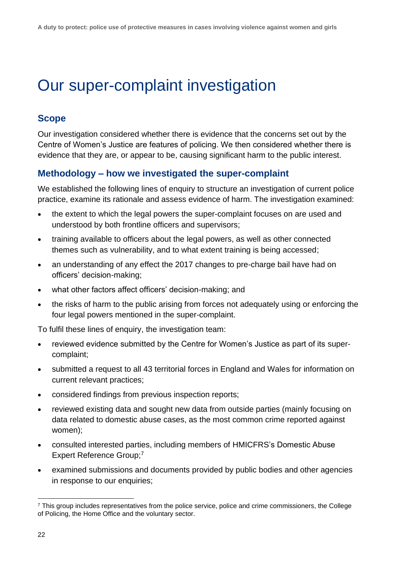## <span id="page-22-0"></span>Our super-complaint investigation

## <span id="page-22-1"></span>**Scope**

Our investigation considered whether there is evidence that the concerns set out by the Centre of Women's Justice are features of policing. We then considered whether there is evidence that they are, or appear to be, causing significant harm to the public interest.

## <span id="page-22-2"></span>**Methodology – how we investigated the super-complaint**

We established the following lines of enquiry to structure an investigation of current police practice, examine its rationale and assess evidence of harm. The investigation examined:

- the extent to which the legal powers the super-complaint focuses on are used and understood by both frontline officers and supervisors;
- training available to officers about the legal powers, as well as other connected themes such as vulnerability, and to what extent training is being accessed;
- an understanding of any effect the 2017 changes to pre-charge bail have had on officers' decision-making;
- what other factors affect officers' decision-making; and
- the risks of harm to the public arising from forces not adequately using or enforcing the four legal powers mentioned in the super-complaint.

To fulfil these lines of enquiry, the investigation team:

- reviewed evidence submitted by the Centre for Women's Justice as part of its supercomplaint;
- submitted a request to all 43 territorial forces in England and Wales for information on current relevant practices;
- considered findings from previous inspection reports;
- reviewed existing data and sought new data from outside parties (mainly focusing on data related to domestic abuse cases, as the most common crime reported against women);
- consulted interested parties, including members of HMICFRS's Domestic Abuse Expert Reference Group;<sup>7</sup>
- examined submissions and documents provided by public bodies and other agencies in response to our enquiries;

<sup>&</sup>lt;sup>7</sup> This group includes representatives from the police service, police and crime commissioners, the College of Policing, the Home Office and the voluntary sector.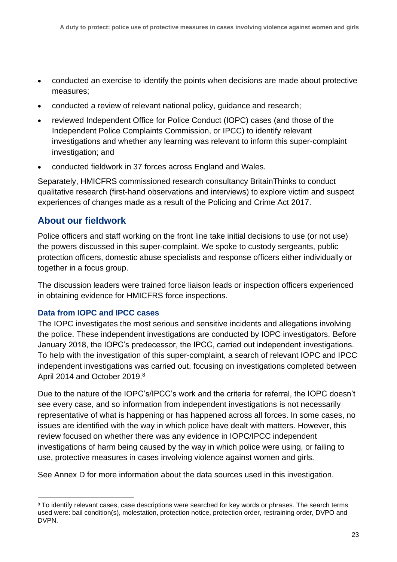- conducted an exercise to identify the points when decisions are made about protective measures;
- conducted a review of relevant national policy, guidance and research;
- reviewed Independent Office for Police Conduct (IOPC) cases (and those of the Independent Police Complaints Commission, or IPCC) to identify relevant investigations and whether any learning was relevant to inform this super-complaint investigation; and
- conducted fieldwork in 37 forces across England and Wales.

Separately, HMICFRS commissioned research consultancy BritainThinks to conduct qualitative research (first-hand observations and interviews) to explore victim and suspect experiences of changes made as a result of the Policing and Crime Act 2017.

## <span id="page-23-0"></span>**About our fieldwork**

Police officers and staff working on the front line take initial decisions to use (or not use) the powers discussed in this super-complaint. We spoke to custody sergeants, public protection officers, domestic abuse specialists and response officers either individually or together in a focus group.

The discussion leaders were trained force liaison leads or inspection officers experienced in obtaining evidence for HMICFRS force inspections.

### **Data from IOPC and IPCC cases**

The IOPC investigates the most serious and sensitive incidents and allegations involving the police. These independent investigations are conducted by IOPC investigators. Before January 2018, the IOPC's predecessor, the IPCC, carried out independent investigations. To help with the investigation of this super-complaint, a search of relevant IOPC and IPCC independent investigations was carried out, focusing on investigations completed between April 2014 and October 2019.<sup>8</sup>

Due to the nature of the IOPC's/IPCC's work and the criteria for referral, the IOPC doesn't see every case, and so information from independent investigations is not necessarily representative of what is happening or has happened across all forces. In some cases, no issues are identified with the way in which police have dealt with matters. However, this review focused on whether there was any evidence in IOPC/IPCC independent investigations of harm being caused by the way in which police were using, or failing to use, protective measures in cases involving violence against women and girls.

See Annex D for more information about the data sources used in this investigation.

<sup>&</sup>lt;sup>8</sup> To identify relevant cases, case descriptions were searched for key words or phrases. The search terms used were: bail condition(s), molestation, protection notice, protection order, restraining order, DVPO and DVPN.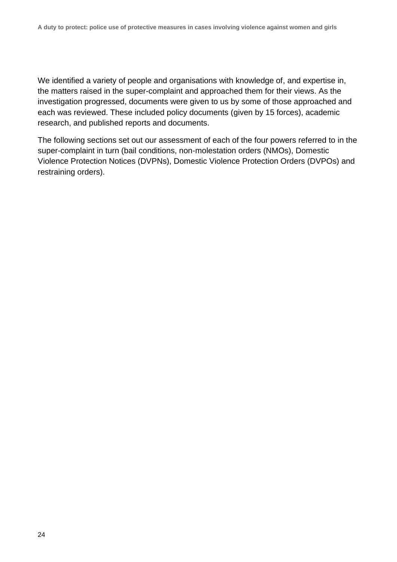We identified a variety of people and organisations with knowledge of, and expertise in, the matters raised in the super-complaint and approached them for their views. As the investigation progressed, documents were given to us by some of those approached and each was reviewed. These included policy documents (given by 15 forces), academic research, and published reports and documents.

The following sections set out our assessment of each of the four powers referred to in the super-complaint in turn (bail conditions, non-molestation orders (NMOs), Domestic Violence Protection Notices (DVPNs), Domestic Violence Protection Orders (DVPOs) and restraining orders).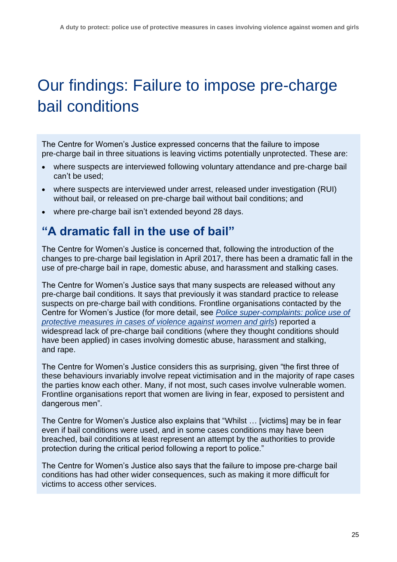## <span id="page-25-0"></span>Our findings: Failure to impose pre-charge bail conditions

The Centre for Women's Justice expressed concerns that the failure to impose pre-charge bail in three situations is leaving victims potentially unprotected. These are:

- where suspects are interviewed following voluntary attendance and pre-charge bail can't be used;
- where suspects are interviewed under arrest, released under investigation (RUI) without bail, or released on pre-charge bail without bail conditions; and
- where pre-charge bail isn't extended beyond 28 days.

## **"A dramatic fall in the use of bail"**

The Centre for Women's Justice is concerned that, following the introduction of the changes to pre-charge bail legislation in April 2017, there has been a dramatic fall in the use of pre-charge bail in rape, domestic abuse, and harassment and stalking cases.

The Centre for Women's Justice says that many suspects are released without any pre-charge bail conditions. It says that previously it was standard practice to release suspects on pre-charge bail with conditions. Frontline organisations contacted by the Centre for Women's Justice (for more detail, see *[Police super-complaints: police use of](https://www.gov.uk/government/publications/police-use-of-protective-measures-in-cases-of-violence-against-women-and-girls)  [protective measures in cases of violence against women and girls](https://www.gov.uk/government/publications/police-use-of-protective-measures-in-cases-of-violence-against-women-and-girls)*) reported a widespread lack of pre-charge bail conditions (where they thought conditions should have been applied) in cases involving domestic abuse, harassment and stalking, and rape.

The Centre for Women's Justice considers this as surprising, given "the first three of these behaviours invariably involve repeat victimisation and in the majority of rape cases the parties know each other. Many, if not most, such cases involve vulnerable women. Frontline organisations report that women are living in fear, exposed to persistent and dangerous men".

The Centre for Women's Justice also explains that "Whilst … [victims] may be in fear even if bail conditions were used, and in some cases conditions may have been breached, bail conditions at least represent an attempt by the authorities to provide protection during the critical period following a report to police."

The Centre for Women's Justice also says that the failure to impose pre-charge bail conditions has had other wider consequences, such as making it more difficult for victims to access other services.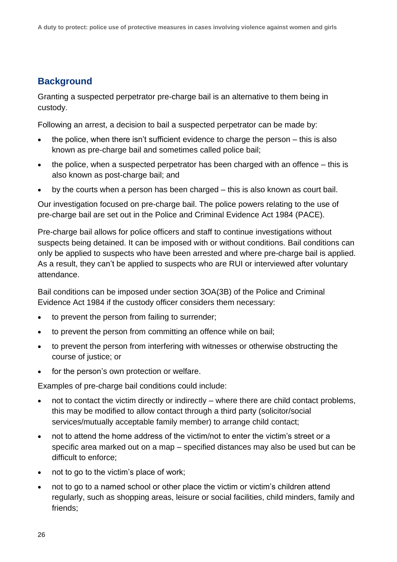## <span id="page-26-0"></span>**Background**

Granting a suspected perpetrator pre-charge bail is an alternative to them being in custody.

Following an arrest, a decision to bail a suspected perpetrator can be made by:

- the police, when there isn't sufficient evidence to charge the person this is also known as pre-charge bail and sometimes called police bail;
- the police, when a suspected perpetrator has been charged with an offence this is also known as post-charge bail; and
- by the courts when a person has been charged this is also known as court bail.

Our investigation focused on pre-charge bail. The police powers relating to the use of pre-charge bail are set out in the Police and Criminal Evidence Act 1984 (PACE).

Pre-charge bail allows for police officers and staff to continue investigations without suspects being detained. It can be imposed with or without conditions. Bail conditions can only be applied to suspects who have been arrested and where pre-charge bail is applied. As a result, they can't be applied to suspects who are RUI or interviewed after voluntary attendance.

Bail conditions can be imposed under section 3OA(3B) of the Police and Criminal Evidence Act 1984 if the custody officer considers them necessary:

- to prevent the person from failing to surrender;
- to prevent the person from committing an offence while on bail;
- to prevent the person from interfering with witnesses or otherwise obstructing the course of justice; or
- for the person's own protection or welfare.

Examples of pre-charge bail conditions could include:

- not to contact the victim directly or indirectly where there are child contact problems, this may be modified to allow contact through a third party (solicitor/social services/mutually acceptable family member) to arrange child contact;
- not to attend the home address of the victim/not to enter the victim's street or a specific area marked out on a map – specified distances may also be used but can be difficult to enforce;
- not to go to the victim's place of work;
- not to go to a named school or other place the victim or victim's children attend regularly, such as shopping areas, leisure or social facilities, child minders, family and friends;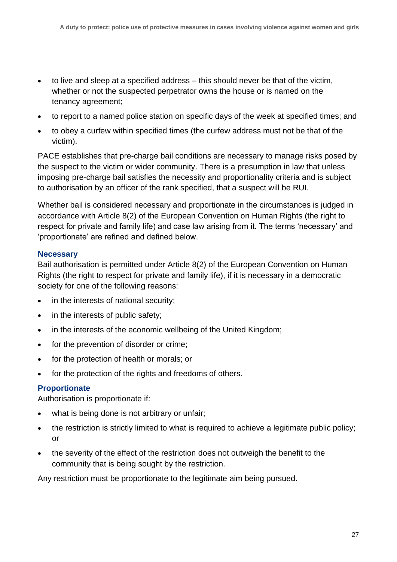- to live and sleep at a specified address this should never be that of the victim, whether or not the suspected perpetrator owns the house or is named on the tenancy agreement;
- to report to a named police station on specific days of the week at specified times; and
- to obey a curfew within specified times (the curfew address must not be that of the victim).

PACE establishes that pre-charge bail conditions are necessary to manage risks posed by the suspect to the victim or wider community. There is a presumption in law that unless imposing pre-charge bail satisfies the necessity and proportionality criteria and is subject to authorisation by an officer of the rank specified, that a suspect will be RUI.

Whether bail is considered necessary and proportionate in the circumstances is judged in accordance with Article 8(2) of the European Convention on Human Rights (the right to respect for private and family life) and case law arising from it. The terms 'necessary' and 'proportionate' are refined and defined below.

### **Necessary**

Bail authorisation is permitted under Article 8(2) of the European Convention on Human Rights (the right to respect for private and family life), if it is necessary in a democratic society for one of the following reasons:

- in the interests of national security;
- in the interests of public safety;
- in the interests of the economic wellbeing of the United Kingdom;
- for the prevention of disorder or crime;
- for the protection of health or morals; or
- for the protection of the rights and freedoms of others.

### **Proportionate**

Authorisation is proportionate if:

- what is being done is not arbitrary or unfair:
- the restriction is strictly limited to what is required to achieve a legitimate public policy; or
- the severity of the effect of the restriction does not outweigh the benefit to the community that is being sought by the restriction.

Any restriction must be proportionate to the legitimate aim being pursued.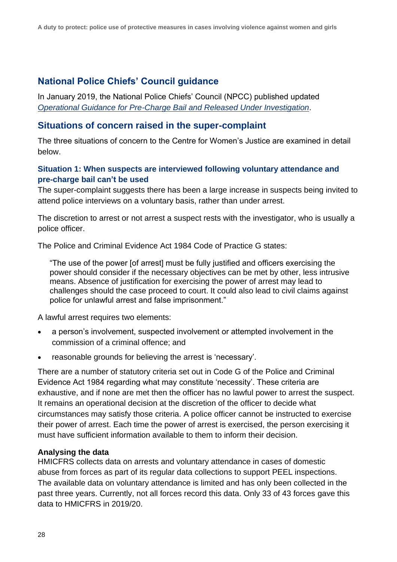## <span id="page-28-0"></span>**National Police Chiefs' Council guidance**

In January 2019, the National Police Chiefs' Council (NPCC) published updated *[Operational Guidance for Pre-Charge Bail](https://news.npcc.police.uk/releases/police-chiefs-guide-officers-to-impose-bail-conditions-protecting-victims-and-vulnerable-people#:~:text=New%20operational%20guidance%20has%20been%20issued%20to%20officers,public%20following%20a%20decrease%20its%20use%20since%202017.) and Released Under Investigation*.

## <span id="page-28-1"></span>**Situations of concern raised in the super-complaint**

The three situations of concern to the Centre for Women's Justice are examined in detail below.

### **Situation 1: When suspects are interviewed following voluntary attendance and pre-charge bail can't be used**

The super-complaint suggests there has been a large increase in suspects being invited to attend police interviews on a voluntary basis, rather than under arrest.

The discretion to arrest or not arrest a suspect rests with the investigator, who is usually a police officer.

The Police and Criminal Evidence Act 1984 Code of Practice G states:

"The use of the power [of arrest] must be fully justified and officers exercising the power should consider if the necessary objectives can be met by other, less intrusive means. Absence of justification for exercising the power of arrest may lead to challenges should the case proceed to court. It could also lead to civil claims against police for unlawful arrest and false imprisonment."

A lawful arrest requires two elements:

- a person's involvement, suspected involvement or attempted involvement in the commission of a criminal offence; and
- reasonable grounds for believing the arrest is 'necessary'.

There are a number of statutory criteria set out in Code G of the Police and Criminal Evidence Act 1984 regarding what may constitute 'necessity'. These criteria are exhaustive, and if none are met then the officer has no lawful power to arrest the suspect. It remains an operational decision at the discretion of the officer to decide what circumstances may satisfy those criteria. A police officer cannot be instructed to exercise their power of arrest. Each time the power of arrest is exercised, the person exercising it must have sufficient information available to them to inform their decision.

### **Analysing the data**

HMICFRS collects data on arrests and voluntary attendance in cases of domestic abuse from forces as part of its regular data collections to support PEEL inspections. The available data on voluntary attendance is limited and has only been collected in the past three years. Currently, not all forces record this data. Only 33 of 43 forces gave this data to HMICFRS in 2019/20.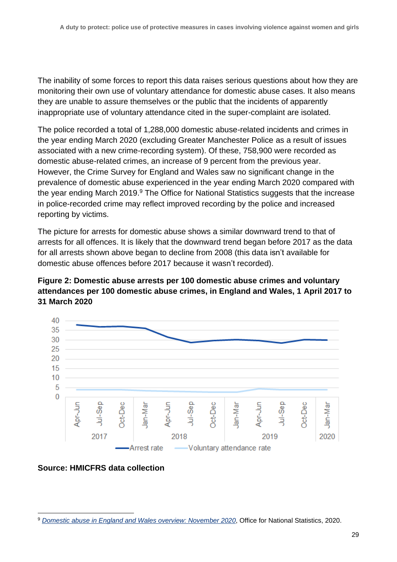The inability of some forces to report this data raises serious questions about how they are monitoring their own use of voluntary attendance for domestic abuse cases. It also means they are unable to assure themselves or the public that the incidents of apparently inappropriate use of voluntary attendance cited in the super-complaint are isolated.

The police recorded a total of 1,288,000 domestic abuse-related incidents and crimes in the year ending March 2020 (excluding Greater Manchester Police as a result of issues associated with a new crime-recording system). Of these, 758,900 were recorded as domestic abuse-related crimes, an increase of 9 percent from the previous year. However, the Crime Survey for England and Wales saw no significant change in the prevalence of domestic abuse experienced in the year ending March 2020 compared with the year ending March 2019.<sup>9</sup> The Office for National Statistics suggests that the increase in police-recorded crime may reflect improved recording by the police and increased reporting by victims.

The picture for arrests for domestic abuse shows a similar downward trend to that of arrests for all offences. It is likely that the downward trend began before 2017 as the data for all arrests shown above began to decline from 2008 (this data isn't available for domestic abuse offences before 2017 because it wasn't recorded).

### **Figure 2: Domestic abuse arrests per 100 domestic abuse crimes and voluntary attendances per 100 domestic abuse crimes, in England and Wales, 1 April 2017 to 31 March 2020**



### **Source: HMICFRS data collection**

<sup>9</sup> *[Domestic abuse in England and Wales overview: November 2020](https://www.ons.gov.uk/peoplepopulationandcommunity/crimeandjustice/bulletins/domesticabuseinenglandandwalesoverview/november2020)*, Office for National Statistics, 2020.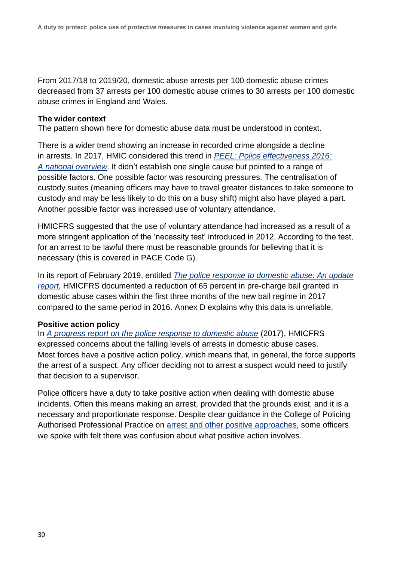From 2017/18 to 2019/20, domestic abuse arrests per 100 domestic abuse crimes decreased from 37 arrests per 100 domestic abuse crimes to 30 arrests per 100 domestic abuse crimes in England and Wales.

#### **The wider context**

The pattern shown here for domestic abuse data must be understood in context.

There is a wider trend showing an increase in recorded crime alongside a decline in arrests. In 2017, HMIC considered this trend in *[PEEL: Police effectiveness 2016:](https://www.justiceinspectorates.gov.uk/hmicfrs/publications/peel-police-effectiveness-2016/)  A [national overview](https://www.justiceinspectorates.gov.uk/hmicfrs/publications/peel-police-effectiveness-2016/)*. It didn't establish one single cause but pointed to a range of possible factors. One possible factor was resourcing pressures. The centralisation of custody suites (meaning officers may have to travel greater distances to take someone to custody and may be less likely to do this on a busy shift) might also have played a part. Another possible factor was increased use of voluntary attendance.

HMICFRS suggested that the use of voluntary attendance had increased as a result of a more stringent application of the 'necessity test' introduced in 2012. According to the test, for an arrest to be lawful there must be reasonable grounds for believing that it is necessary (this is covered in PACE Code G).

In its report of February 2019, entitled *[The police response to domestic](https://www.justiceinspectorates.gov.uk/hmicfrs/publications/the-police-response-to-domestic-abuse-an-update-report/) abuse: An update [report](https://www.justiceinspectorates.gov.uk/hmicfrs/publications/the-police-response-to-domestic-abuse-an-update-report/)*, HMICFRS documented a reduction of 65 percent in pre-charge bail granted in domestic abuse cases within the first three months of the new bail regime in 2017 compared to the same period in 2016. Annex D explains why this data is unreliable.

### **Positive action policy**

In *[A progress report on the police response to domestic abuse](https://www.justiceinspectorates.gov.uk/hmicfrs/publications/a-progress-report-on-the-police-response-to-domestic-abuse/)* (2017), HMICFRS expressed concerns about the falling levels of arrests in domestic abuse cases. Most forces have a positive action policy, which means that, in general, the force supports the arrest of a suspect. Any officer deciding not to arrest a suspect would need to justify that decision to a supervisor.

Police officers have a duty to take positive action when dealing with domestic abuse incidents. Often this means making an arrest, provided that the grounds exist, and it is a necessary and proportionate response. Despite clear guidance in the College of Policing Authorised Professional Practice on arrest and other [positive approaches,](https://www.app.college.police.uk/app-content/major-investigation-and-public-protection/domestic-abuse/arrest-and-other-positive-approaches/?highlight=positive%20action?s=positive+action) some officers we spoke with felt there was confusion about what positive action involves.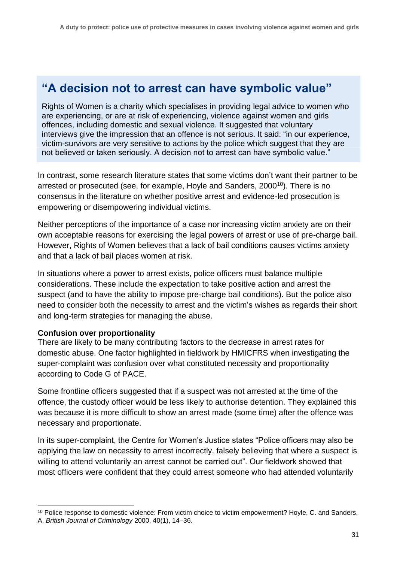## **"A decision not to arrest can have symbolic value"**

Rights of Women is a charity which specialises in providing legal advice to women who are experiencing, or are at risk of experiencing, violence against women and girls offences, including domestic and sexual violence. It suggested that voluntary interviews give the impression that an offence is not serious. It said: "in our experience, victim-survivors are very sensitive to actions by the police which suggest that they are not believed or taken seriously. A decision not to arrest can have symbolic value."

In contrast, some research literature states that some victims don't want their partner to be arrested or prosecuted (see, for example, Hoyle and Sanders, 2000<sup>10</sup>). There is no consensus in the literature on whether positive arrest and evidence-led prosecution is empowering or disempowering individual victims.

Neither perceptions of the importance of a case nor increasing victim anxiety are on their own acceptable reasons for exercising the legal powers of arrest or use of pre-charge bail. However, Rights of Women believes that a lack of bail conditions causes victims anxiety and that a lack of bail places women at risk.

In situations where a power to arrest exists, police officers must balance multiple considerations. These include the expectation to take positive action and arrest the suspect (and to have the ability to impose pre-charge bail conditions). But the police also need to consider both the necessity to arrest and the victim's wishes as regards their short and long-term strategies for managing the abuse.

### **Confusion over proportionality**

There are likely to be many contributing factors to the decrease in arrest rates for domestic abuse. One factor highlighted in fieldwork by HMICFRS when investigating the super-complaint was confusion over what constituted necessity and proportionality according to Code G of PACE.

Some frontline officers suggested that if a suspect was not arrested at the time of the offence, the custody officer would be less likely to authorise detention. They explained this was because it is more difficult to show an arrest made (some time) after the offence was necessary and proportionate.

In its super-complaint, the Centre for Women's Justice states "Police officers may also be applying the law on necessity to arrest incorrectly, falsely believing that where a suspect is willing to attend voluntarily an arrest cannot be carried out". Our fieldwork showed that most officers were confident that they could arrest someone who had attended voluntarily

<sup>&</sup>lt;sup>10</sup> Police response to domestic violence: From victim choice to victim empowerment? Hoyle, C. and Sanders, A. *British Journal of Criminology* 2000. 40(1), 14–36.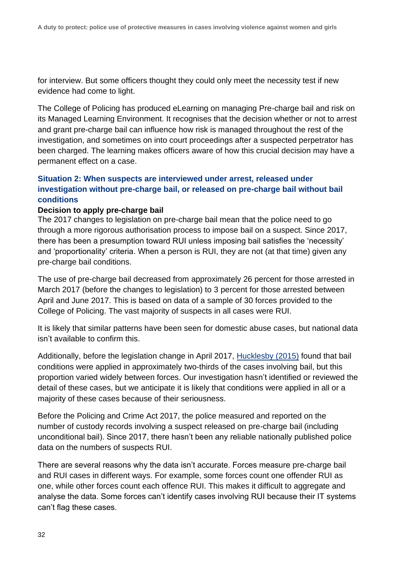for interview. But some officers thought they could only meet the necessity test if new evidence had come to light.

The College of Policing has produced eLearning on managing Pre-charge bail and risk on its Managed Learning Environment. It recognises that the decision whether or not to arrest and grant pre-charge bail can influence how risk is managed throughout the rest of the investigation, and sometimes on into court proceedings after a suspected perpetrator has been charged. The learning makes officers aware of how this crucial decision may have a permanent effect on a case.

## **Situation 2: When suspects are interviewed under arrest, released under investigation without pre-charge bail, or released on pre-charge bail without bail conditions**

### **Decision to apply pre-charge bail**

The 2017 changes to legislation on pre-charge bail mean that the police need to go through a more rigorous authorisation process to impose bail on a suspect. Since 2017, there has been a presumption toward RUI unless imposing bail satisfies the 'necessity' and 'proportionality' criteria. When a person is RUI, they are not (at that time) given any pre-charge bail conditions.

The use of pre-charge bail decreased from approximately 26 percent for those arrested in March 2017 (before the changes to legislation) to 3 percent for those arrested between April and June 2017. This is based on data of a sample of 30 forces provided to the College of Policing. The vast majority of suspects in all cases were RUI.

It is likely that similar patterns have been seen for domestic abuse cases, but national data isn't available to confirm this.

Additionally, before the legislation change in April 2017, [Hucklesby](https://essl.leeds.ac.uk/download/downloads/id/636/the_future_of_pre-charge_police_bail_an_introduction.pdf) (2015) found that bail conditions were applied in approximately two-thirds of the cases involving bail, but this proportion varied widely between forces. Our investigation hasn't identified or reviewed the detail of these cases, but we anticipate it is likely that conditions were applied in all or a majority of these cases because of their seriousness.

Before the Policing and Crime Act 2017, the police measured and reported on the number of custody records involving a suspect released on pre-charge bail (including unconditional bail). Since 2017, there hasn't been any reliable nationally published police data on the numbers of suspects RUI.

There are several reasons why the data isn't accurate. Forces measure pre-charge bail and RUI cases in different ways. For example, some forces count one offender RUI as one, while other forces count each offence RUI. This makes it difficult to aggregate and analyse the data. Some forces can't identify cases involving RUI because their IT systems can't flag these cases.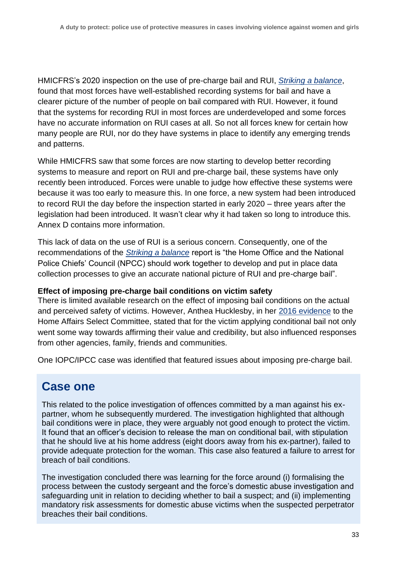HMICFRS's 2020 inspection on the use of pre-charge bail and RUI, *[Striking a balance](https://www.justiceinspectorates.gov.uk/hmicfrs/publications/pre-charge-bail-and-released-under-investigation-striking-a-balance/)*, found that most forces have well-established recording systems for bail and have a clearer picture of the number of people on bail compared with RUI. However, it found that the systems for recording RUI in most forces are underdeveloped and some forces have no accurate information on RUI cases at all. So not all forces knew for certain how many people are RUI, nor do they have systems in place to identify any emerging trends and patterns.

While HMICFRS saw that some forces are now starting to develop better recording systems to measure and report on RUI and pre-charge bail, these systems have only recently been introduced. Forces were unable to judge how effective these systems were because it was too early to measure this. In one force, a new system had been introduced to record RUI the day before the inspection started in early 2020 – three years after the legislation had been introduced. It wasn't clear why it had taken so long to introduce this. Annex D contains more information.

This lack of data on the use of RUI is a serious concern. Consequently, one of the recommendations of the *[Striking a balance](https://www.justiceinspectorates.gov.uk/hmicfrs/publications/pre-charge-bail-and-released-under-investigation-striking-a-balance/)* report is "the Home Office and the National Police Chiefs' Council (NPCC) should work together to develop and put in place data collection processes to give an accurate national picture of RUI and pre-charge bail".

### **Effect of imposing pre-charge bail conditions on victim safety**

There is limited available research on the effect of imposing bail conditions on the actual and perceived safety of victims. However, Anthea Hucklesby, in her [2016 evidence](https://publications.parliament.uk/pa/cm201516/cmpublic/policingandcrime/memo/pcb40.htm) to the Home Affairs Select Committee, stated that for the victim applying conditional bail not only went some way towards affirming their value and credibility, but also influenced responses from other agencies, family, friends and communities.

One IOPC/IPCC case was identified that featured issues about imposing pre-charge bail.

## **Case one**

This related to the police investigation of offences committed by a man against his expartner, whom he subsequently murdered. The investigation highlighted that although bail conditions were in place, they were arguably not good enough to protect the victim. It found that an officer's decision to release the man on conditional bail, with stipulation that he should live at his home address (eight doors away from his ex-partner), failed to provide adequate protection for the woman. This case also featured a failure to arrest for breach of bail conditions.

The investigation concluded there was learning for the force around (i) formalising the process between the custody sergeant and the force's domestic abuse investigation and safeguarding unit in relation to deciding whether to bail a suspect; and (ii) implementing mandatory risk assessments for domestic abuse victims when the suspected perpetrator breaches their bail conditions.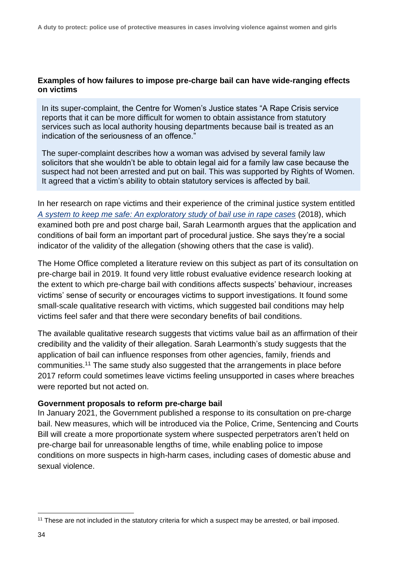### **Examples of how failures to impose pre-charge bail can have wide-ranging effects on victims**

In its super-complaint, the Centre for Women's Justice states "A Rape Crisis service reports that it can be more difficult for women to obtain assistance from statutory services such as local authority housing departments because bail is treated as an indication of the seriousness of an offence."

The super-complaint describes how a woman was advised by several family law solicitors that she wouldn't be able to obtain legal aid for a family law case because the suspect had not been arrested and put on bail. This was supported by Rights of Women. It agreed that a victim's ability to obtain statutory services is affected by bail.

In her research on rape victims and their experience of the criminal justice system entitled *[A system to keep me safe: An exploratory study of bail use in rape cases](https://assets.publishing.service.gov.uk/government/uploads/system/uploads/attachment_data/file/797416/Sarah_Learmonth_Masters_dissertation.pdf)* (2018), which examined both pre and post charge bail, Sarah Learmonth argues that the application and conditions of bail form an important part of procedural justice. She says they're a social indicator of the validity of the allegation (showing others that the case is valid).

The Home Office completed a literature review on this subject as part of its consultation on pre-charge bail in 2019. It found very little robust evaluative evidence research looking at the extent to which pre-charge bail with conditions affects suspects' behaviour, increases victims' sense of security or encourages victims to support investigations. It found some small-scale qualitative research with victims, which suggested bail conditions may help victims feel safer and that there were secondary benefits of bail conditions.

The available qualitative research suggests that victims value bail as an affirmation of their credibility and the validity of their allegation. Sarah Learmonth's study suggests that the application of bail can influence responses from other agencies, family, friends and communities.<sup>11</sup> The same study also suggested that the arrangements in place before 2017 reform could sometimes leave victims feeling unsupported in cases where breaches were reported but not acted on.

### **Government proposals to reform pre-charge bail**

In January 2021, the Government published a response to its consultation on pre-charge bail. New measures, which will be introduced via the Police, Crime, Sentencing and Courts Bill will create a more proportionate system where suspected perpetrators aren't held on pre-charge bail for unreasonable lengths of time, while enabling police to impose conditions on more suspects in high-harm cases, including cases of domestic abuse and sexual violence.

<sup>&</sup>lt;sup>11</sup> These are not included in the statutory criteria for which a suspect may be arrested, or bail imposed.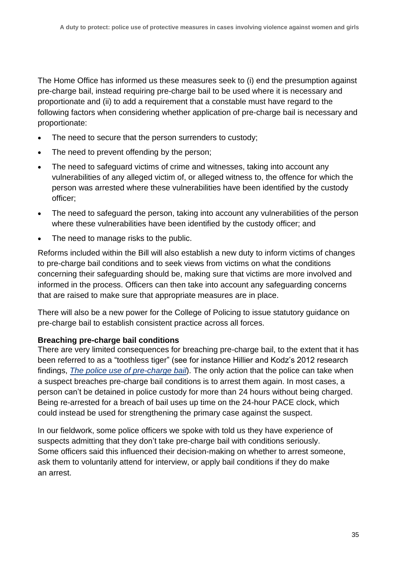The Home Office has informed us these measures seek to (i) end the presumption against pre-charge bail, instead requiring pre-charge bail to be used where it is necessary and proportionate and (ii) to add a requirement that a constable must have regard to the following factors when considering whether application of pre-charge bail is necessary and proportionate:

- The need to secure that the person surrenders to custody;
- The need to prevent offending by the person;
- The need to safeguard victims of crime and witnesses, taking into account any vulnerabilities of any alleged victim of, or alleged witness to, the offence for which the person was arrested where these vulnerabilities have been identified by the custody officer;
- The need to safeguard the person, taking into account any vulnerabilities of the person where these vulnerabilities have been identified by the custody officer; and
- The need to manage risks to the public.

Reforms included within the Bill will also establish a new duty to inform victims of changes to pre-charge bail conditions and to seek views from victims on what the conditions concerning their safeguarding should be, making sure that victims are more involved and informed in the process. Officers can then take into account any safeguarding concerns that are raised to make sure that appropriate measures are in place.

There will also be a new power for the College of Policing to issue statutory guidance on pre-charge bail to establish consistent practice across all forces.

### **Breaching pre-charge bail conditions**

There are very limited consequences for breaching pre-charge bail, to the extent that it has been referred to as a "toothless tiger" (see for instance Hillier and Kodz's 2012 research findings, *[The police use of pre-charge bail](https://whatworks.college.police.uk/Research/Documents/Pre_charge_bail.pdf)*). The only action that the police can take when a suspect breaches pre-charge bail conditions is to arrest them again. In most cases, a person can't be detained in police custody for more than 24 hours without being charged. Being re-arrested for a breach of bail uses up time on the 24-hour PACE clock, which could instead be used for strengthening the primary case against the suspect.

In our fieldwork, some police officers we spoke with told us they have experience of suspects admitting that they don't take pre-charge bail with conditions seriously. Some officers said this influenced their decision-making on whether to arrest someone, ask them to voluntarily attend for interview, or apply bail conditions if they do make an arrest.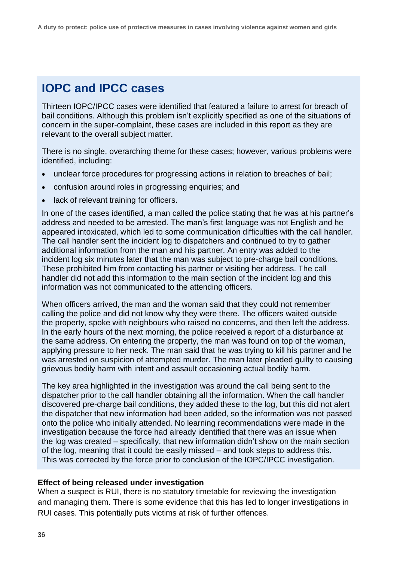# **IOPC and IPCC cases**

Thirteen IOPC/IPCC cases were identified that featured a failure to arrest for breach of bail conditions. Although this problem isn't explicitly specified as one of the situations of concern in the super-complaint, these cases are included in this report as they are relevant to the overall subject matter.

There is no single, overarching theme for these cases; however, various problems were identified, including:

- unclear force procedures for progressing actions in relation to breaches of bail;
- confusion around roles in progressing enquiries; and
- lack of relevant training for officers.

In one of the cases identified, a man called the police stating that he was at his partner's address and needed to be arrested. The man's first language was not English and he appeared intoxicated, which led to some communication difficulties with the call handler. The call handler sent the incident log to dispatchers and continued to try to gather additional information from the man and his partner. An entry was added to the incident log six minutes later that the man was subject to pre-charge bail conditions. These prohibited him from contacting his partner or visiting her address. The call handler did not add this information to the main section of the incident log and this information was not communicated to the attending officers.

When officers arrived, the man and the woman said that they could not remember calling the police and did not know why they were there. The officers waited outside the property, spoke with neighbours who raised no concerns, and then left the address. In the early hours of the next morning, the police received a report of a disturbance at the same address. On entering the property, the man was found on top of the woman, applying pressure to her neck. The man said that he was trying to kill his partner and he was arrested on suspicion of attempted murder. The man later pleaded guilty to causing grievous bodily harm with intent and assault occasioning actual bodily harm.

The key area highlighted in the investigation was around the call being sent to the dispatcher prior to the call handler obtaining all the information. When the call handler discovered pre-charge bail conditions, they added these to the log, but this did not alert the dispatcher that new information had been added, so the information was not passed onto the police who initially attended. No learning recommendations were made in the investigation because the force had already identified that there was an issue when the log was created – specifically, that new information didn't show on the main section of the log, meaning that it could be easily missed – and took steps to address this. This was corrected by the force prior to conclusion of the IOPC/IPCC investigation.

#### **Effect of being released under investigation**

When a suspect is RUI, there is no statutory timetable for reviewing the investigation and managing them. There is some evidence that this has led to longer investigations in RUI cases. This potentially puts victims at risk of further offences.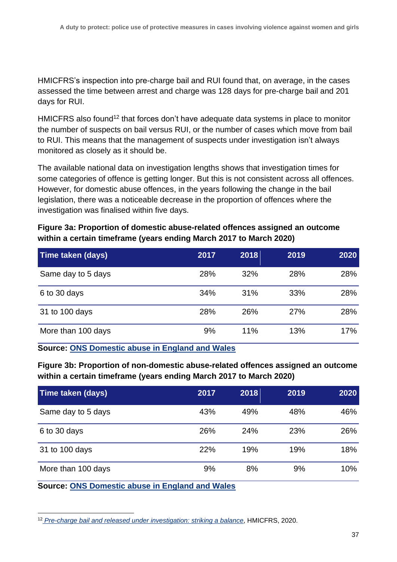HMICFRS's inspection into pre-charge bail and RUI found that, on average, in the cases assessed the time between arrest and charge was 128 days for pre-charge bail and 201 days for RUI.

HMICFRS also found<sup>12</sup> that forces don't have adequate data systems in place to monitor the number of suspects on bail versus RUI, or the number of cases which move from bail to RUI. This means that the management of suspects under investigation isn't always monitored as closely as it should be.

The available national data on investigation lengths shows that investigation times for some categories of offence is getting longer. But this is not consistent across all offences. However, for domestic abuse offences, in the years following the change in the bail legislation, there was a noticeable decrease in the proportion of offences where the investigation was finalised within five days.

#### **Figure 3a: Proportion of domestic abuse-related offences assigned an outcome within a certain timeframe (years ending March 2017 to March 2020)**

| Time taken (days)  | 2017 | 2018 | 2019       | 2020 |
|--------------------|------|------|------------|------|
| Same day to 5 days | 28%  | 32%  | 28%        | 28%  |
| 6 to 30 days       | 34%  | 31%  | 33%        | 28%  |
| 31 to 100 days     | 28%  | 26%  | <b>27%</b> | 28%  |
| More than 100 days | 9%   | 11%  | 13%        | 17%  |

**Source: [ONS Domestic abuse in England and Wales](https://www.ons.gov.uk/file?uri=/peoplepopulationandcommunity/crimeandjustice/datasets/domesticabuseandthecriminaljusticesystemappendixtables/november2020/appendixtablesdaandthecjs2020corrected.xlsx)**

**Figure 3b: Proportion of non-domestic abuse-related offences assigned an outcome within a certain timeframe (years ending March 2017 to March 2020)**

| Time taken (days)  | 2017 | 2018 | 2019 | 2020 |
|--------------------|------|------|------|------|
| Same day to 5 days | 43%  | 49%  | 48%  | 46%  |
| 6 to 30 days       | 26%  | 24%  | 23%  | 26%  |
| 31 to 100 days     | 22%  | 19%  | 19%  | 18%  |
| More than 100 days | 9%   | 8%   | 9%   | 10%  |

**Source: [ONS Domestic abuse in England and Wales](https://www.ons.gov.uk/file?uri=/peoplepopulationandcommunity/crimeandjustice/datasets/domesticabuseandthecriminaljusticesystemappendixtables/november2020/appendixtablesdaandthecjs2020corrected.xlsx)**

<sup>12</sup> *[Pre-charge bail and released under investigation: striking a balance](https://www.justiceinspectorates.gov.uk/hmicfrs/publications/pre-charge-bail-and-released-under-investigation-striking-a-balance/)*, HMICFRS, 2020.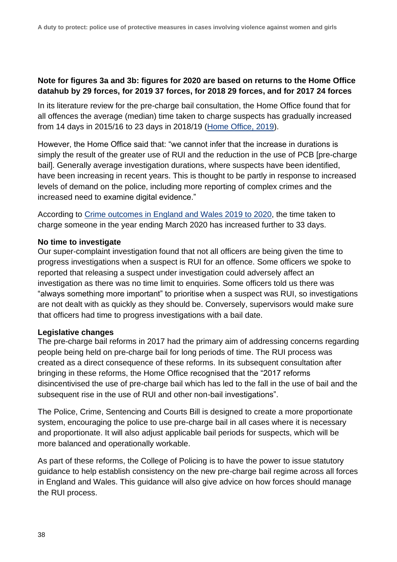#### **Note for figures 3a and 3b: figures for 2020 are based on returns to the Home Office datahub by 29 forces, for 2019 37 forces, for 2018 29 forces, and for 2017 24 forces**

In its literature review for the pre-charge bail consultation, the Home Office found that for all offences the average (median) time taken to charge suspects has gradually increased from 14 days in 2015/16 to 23 days in 2018/19 [\(Home Office, 2019\)](https://assets.publishing.service.gov.uk/government/uploads/system/uploads/attachment_data/file/879759/20191127_ConDoc_PCB_May.pdf).

However, the Home Office said that: "we cannot infer that the increase in durations is simply the result of the greater use of RUI and the reduction in the use of PCB [pre-charge bail]. Generally average investigation durations, where suspects have been identified, have been increasing in recent years. This is thought to be partly in response to increased levels of demand on the police, including more reporting of complex crimes and the increased need to examine digital evidence."

According to [Crime outcomes in England and Wales 2019 to 2020,](https://assets.publishing.service.gov.uk/government/uploads/system/uploads/attachment_data/file/901028/crime-outcomes-1920-hosb1720.pdf) the time taken to charge someone in the year ending March 2020 has increased further to 33 days.

#### **No time to investigate**

Our super-complaint investigation found that not all officers are being given the time to progress investigations when a suspect is RUI for an offence. Some officers we spoke to reported that releasing a suspect under investigation could adversely affect an investigation as there was no time limit to enquiries. Some officers told us there was "always something more important" to prioritise when a suspect was RUI, so investigations are not dealt with as quickly as they should be. Conversely, supervisors would make sure that officers had time to progress investigations with a bail date.

#### **Legislative changes**

The pre-charge bail reforms in 2017 had the primary aim of addressing concerns regarding people being held on pre-charge bail for long periods of time. The RUI process was created as a direct consequence of these reforms. In its subsequent consultation after bringing in these reforms, the Home Office recognised that the "2017 reforms disincentivised the use of pre-charge bail which has led to the fall in the use of bail and the subsequent rise in the use of RUI and other non-bail investigations".

The Police, Crime, Sentencing and Courts Bill is designed to create a more proportionate system, encouraging the police to use pre-charge bail in all cases where it is necessary and proportionate. It will also adjust applicable bail periods for suspects, which will be more balanced and operationally workable.

As part of these reforms, the College of Policing is to have the power to issue statutory guidance to help establish consistency on the new pre-charge bail regime across all forces in England and Wales. This guidance will also give advice on how forces should manage the RUI process.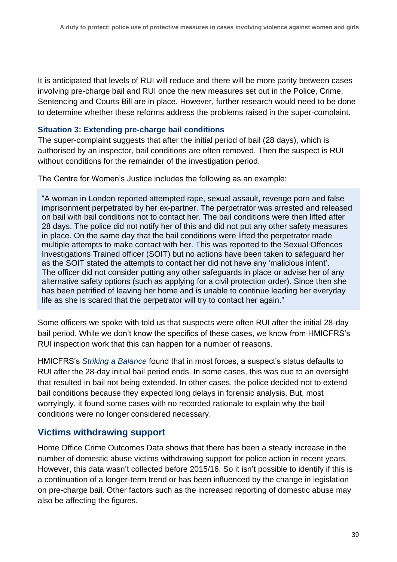It is anticipated that levels of RUI will reduce and there will be more parity between cases involving pre-charge bail and RUI once the new measures set out in the Police, Crime, Sentencing and Courts Bill are in place. However, further research would need to be done to determine whether these reforms address the problems raised in the super-complaint.

#### **Situation 3: Extending pre-charge bail conditions**

The super-complaint suggests that after the initial period of bail (28 days), which is authorised by an inspector, bail conditions are often removed. Then the suspect is RUI without conditions for the remainder of the investigation period.

The Centre for Women's Justice includes the following as an example:

"A woman in London reported attempted rape, sexual assault, revenge porn and false imprisonment perpetrated by her ex-partner. The perpetrator was arrested and released on bail with bail conditions not to contact her. The bail conditions were then lifted after 28 days. The police did not notify her of this and did not put any other safety measures in place. On the same day that the bail conditions were lifted the perpetrator made multiple attempts to make contact with her. This was reported to the Sexual Offences Investigations Trained officer (SOIT) but no actions have been taken to safeguard her as the SOIT stated the attempts to contact her did not have any 'malicious intent'. The officer did not consider putting any other safeguards in place or advise her of any alternative safety options (such as applying for a civil protection order). Since then she has been petrified of leaving her home and is unable to continue leading her everyday life as she is scared that the perpetrator will try to contact her again."

Some officers we spoke with told us that suspects were often RUI after the initial 28-day bail period. While we don't know the specifics of these cases, we know from HMICFRS's RUI inspection work that this can happen for a number of reasons.

HMICFRS's *[Striking a Balance](https://www.justiceinspectorates.gov.uk/hmicfrs/wp-content/uploads/pre-charge-bail-and-released-under-investigation-striking-a-balance-1.pdf)* found that in most forces, a suspect's status defaults to RUI after the 28-day initial bail period ends. In some cases, this was due to an oversight that resulted in bail not being extended. In other cases, the police decided not to extend bail conditions because they expected long delays in forensic analysis. But, most worryingly, it found some cases with no recorded rationale to explain why the bail conditions were no longer considered necessary.

#### **Victims withdrawing support**

Home Office Crime Outcomes Data shows that there has been a steady increase in the number of domestic abuse victims withdrawing support for police action in recent years. However, this data wasn't collected before 2015/16. So it isn't possible to identify if this is a continuation of a longer-term trend or has been influenced by the change in legislation on pre-charge bail. Other factors such as the increased reporting of domestic abuse may also be affecting the figures.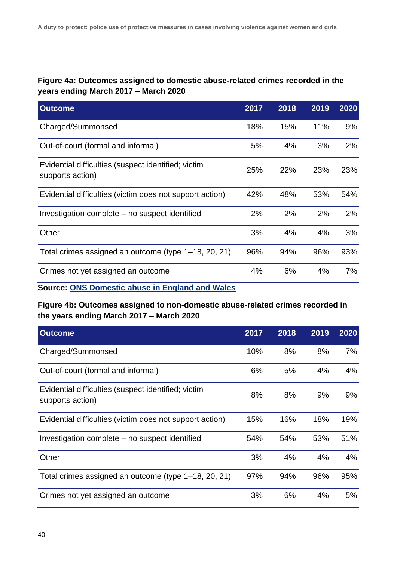#### **Figure 4a: Outcomes assigned to domestic abuse-related crimes recorded in the years ending March 2017 – March 2020**

| <b>Outcome</b>                                                          | 2017 | 2018 | 2019 | 2020 |
|-------------------------------------------------------------------------|------|------|------|------|
| Charged/Summonsed                                                       | 18%  | 15%  | 11%  | 9%   |
| Out-of-court (formal and informal)                                      | 5%   | 4%   | 3%   | 2%   |
| Evidential difficulties (suspect identified; victim<br>supports action) | 25%  | 22%  | 23%  | 23%  |
| Evidential difficulties (victim does not support action)                | 42%  | 48%  | 53%  | 54%  |
| Investigation complete – no suspect identified                          | 2%   | 2%   | 2%   | 2%   |
| Other                                                                   | 3%   | 4%   | 4%   | 3%   |
| Total crimes assigned an outcome (type 1–18, 20, 21)                    | 96%  | 94%  | 96%  | 93%  |
| Crimes not yet assigned an outcome                                      | 4%   | 6%   | 4%   | 7%   |

**Source: ONS Domestic [abuse in England and Wales](https://www.ons.gov.uk/file?uri=/peoplepopulationandcommunity/crimeandjustice/datasets/domesticabuseandthecriminaljusticesystemappendixtables/november2020/appendixtablesdaandthecjs2020corrected.xlsx)**

**Figure 4b: Outcomes assigned to non-domestic abuse-related crimes recorded in the years ending March 2017 – March 2020**

| <b>Outcome</b>                                                          | 2017 | 2018 | 2019 | 2020 |
|-------------------------------------------------------------------------|------|------|------|------|
| Charged/Summonsed                                                       | 10%  | 8%   | 8%   | 7%   |
| Out-of-court (formal and informal)                                      | 6%   | 5%   | 4%   | 4%   |
| Evidential difficulties (suspect identified; victim<br>supports action) | 8%   | 8%   | 9%   | 9%   |
| Evidential difficulties (victim does not support action)                | 15%  | 16%  | 18%  | 19%  |
| Investigation complete – no suspect identified                          | 54%  | 54%  | 53%  | 51%  |
| Other                                                                   | 3%   | 4%   | 4%   | 4%   |
| Total crimes assigned an outcome (type 1-18, 20, 21)                    | 97%  | 94%  | 96%  | 95%  |
| Crimes not yet assigned an outcome                                      | 3%   | 6%   | 4%   | 5%   |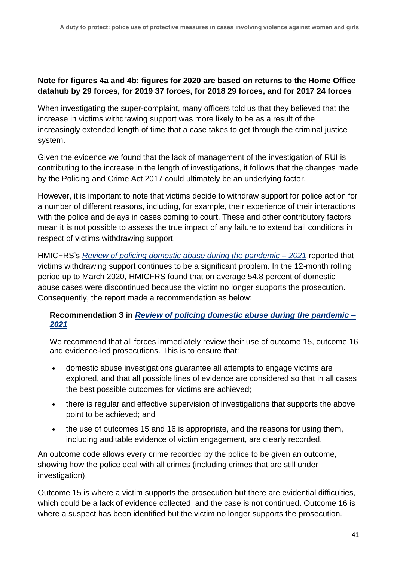#### **Note for figures 4a and 4b: figures for 2020 are based on returns to the Home Office datahub by 29 forces, for 2019 37 forces, for 2018 29 forces, and for 2017 24 forces**

When investigating the super-complaint, many officers told us that they believed that the increase in victims withdrawing support was more likely to be as a result of the increasingly extended length of time that a case takes to get through the criminal justice system.

Given the evidence we found that the lack of management of the investigation of RUI is contributing to the increase in the length of investigations, it follows that the changes made by the Policing and Crime Act 2017 could ultimately be an underlying factor.

However, it is important to note that victims decide to withdraw support for police action for a number of different reasons, including, for example, their experience of their interactions with the police and delays in cases coming to court. These and other contributory factors mean it is not possible to assess the true impact of any failure to extend bail conditions in respect of victims withdrawing support.

HMICFRS's *[Review of policing domestic abuse during the pandemic –](https://www.justiceinspectorates.gov.uk/hmicfrs/publications/review-of-policing-domestic-abuse-during-pandemic/) 2021* reported that victims withdrawing support continues to be a significant problem. In the 12-month rolling period up to March 2020, HMICFRS found that on average 54.8 percent of domestic abuse cases were discontinued because the victim no longer supports the prosecution. Consequently, the report made a recommendation as below:

#### **Recommendation 3 in** *[Review of policing domestic abuse during the pandemic –](https://www.justiceinspectorates.gov.uk/hmicfrs/publications/review-of-policing-domestic-abuse-during-pandemic/) [2021](https://www.justiceinspectorates.gov.uk/hmicfrs/publications/review-of-policing-domestic-abuse-during-pandemic/)*

We recommend that all forces immediately review their use of outcome 15, outcome 16 and evidence-led prosecutions. This is to ensure that:

- domestic abuse investigations guarantee all attempts to engage victims are explored, and that all possible lines of evidence are considered so that in all cases the best possible outcomes for victims are achieved;
- there is regular and effective supervision of investigations that supports the above point to be achieved; and
- the use of outcomes 15 and 16 is appropriate, and the reasons for using them, including auditable evidence of victim engagement, are clearly recorded.

An outcome code allows every crime recorded by the police to be given an outcome, showing how the police deal with all crimes (including crimes that are still under investigation).

Outcome 15 is where a victim supports the prosecution but there are evidential difficulties, which could be a lack of evidence collected, and the case is not continued. Outcome 16 is where a suspect has been identified but the victim no longer supports the prosecution.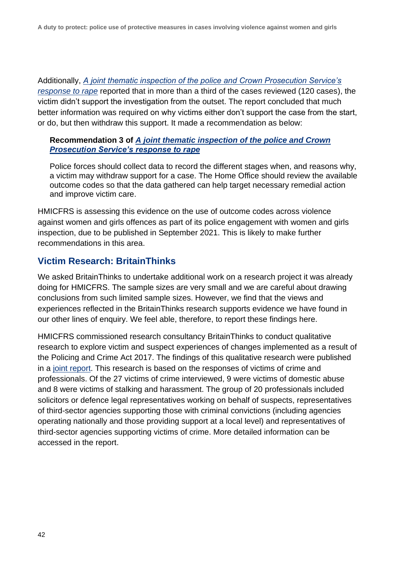Additionally, *[A joint thematic inspection of the police and Crown Prosecution Service's](https://www.justiceinspectorates.gov.uk/hmicfrs/publications/a-joint-thematic-inspection-of-the-police-and-crown-prosecution-services-response-to-rape/)  [response to rape](https://www.justiceinspectorates.gov.uk/hmicfrs/publications/a-joint-thematic-inspection-of-the-police-and-crown-prosecution-services-response-to-rape/)* reported that in more than a third of the cases reviewed (120 cases), the victim didn't support the investigation from the outset. The report concluded that much better information was required on why victims either don't support the case from the start, or do, but then withdraw this support. It made a recommendation as below:

#### **Recommendation 3 of** *[A joint thematic inspection of the police and Crown](https://www.justiceinspectorates.gov.uk/hmicfrs/publications/a-joint-thematic-inspection-of-the-police-and-crown-prosecution-services-response-to-rape/)  [Prosecution Service's response to rape](https://www.justiceinspectorates.gov.uk/hmicfrs/publications/a-joint-thematic-inspection-of-the-police-and-crown-prosecution-services-response-to-rape/)*

Police forces should collect data to record the different stages when, and reasons why, a victim may withdraw support for a case. The Home Office should review the available outcome codes so that the data gathered can help target necessary remedial action and improve victim care.

HMICFRS is assessing this evidence on the use of outcome codes across violence against women and girls offences as part of its police engagement with women and girls inspection, due to be published in September 2021. This is likely to make further recommendations in this area.

### **Victim Research: BritainThinks**

We asked BritainThinks to undertake additional work on a research project it was already doing for HMICFRS. The sample sizes are very small and we are careful about drawing conclusions from such limited sample sizes. However, we find that the views and experiences reflected in the BritainThinks research supports evidence we have found in our other lines of enquiry. We feel able, therefore, to report these findings here.

HMICFRS commissioned research consultancy BritainThinks to conduct qualitative research to explore victim and suspect experiences of changes implemented as a result of the Policing and Crime Act 2017. The findings of this qualitative research were published in a [joint report.](https://www.justiceinspectorates.gov.uk/hmicfrs/publications/research-into-victim-and-suspect-experiences-of-changes-to-the-police-and-crime-act-2017/) This research is based on the responses of victims of crime and professionals. Of the 27 victims of crime interviewed, 9 were victims of domestic abuse and 8 were victims of stalking and harassment. The group of 20 professionals included solicitors or defence legal representatives working on behalf of suspects, representatives of third-sector agencies supporting those with criminal convictions (including agencies operating nationally and those providing support at a local level) and representatives of third-sector agencies supporting victims of crime. More detailed information can be accessed in the report.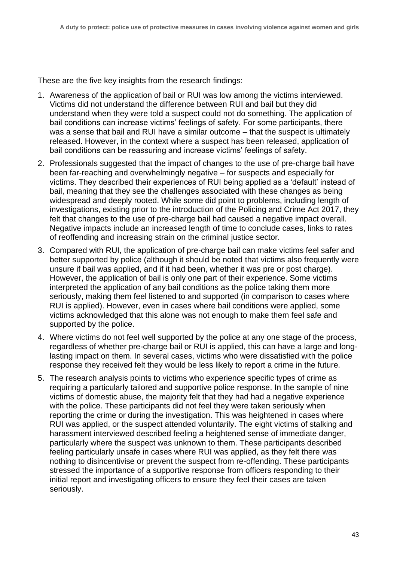These are the five key insights from the research findings:

- 1. Awareness of the application of bail or RUI was low among the victims interviewed. Victims did not understand the difference between RUI and bail but they did understand when they were told a suspect could not do something. The application of bail conditions can increase victims' feelings of safety. For some participants, there was a sense that bail and RUI have a similar outcome – that the suspect is ultimately released. However, in the context where a suspect has been released, application of bail conditions can be reassuring and increase victims' feelings of safety.
- 2. Professionals suggested that the impact of changes to the use of pre-charge bail have been far-reaching and overwhelmingly negative – for suspects and especially for victims. They described their experiences of RUI being applied as a 'default' instead of bail, meaning that they see the challenges associated with these changes as being widespread and deeply rooted. While some did point to problems, including length of investigations, existing prior to the introduction of the Policing and Crime Act 2017, they felt that changes to the use of pre-charge bail had caused a negative impact overall. Negative impacts include an increased length of time to conclude cases, links to rates of reoffending and increasing strain on the criminal justice sector.
- 3. Compared with RUI, the application of pre-charge bail can make victims feel safer and better supported by police (although it should be noted that victims also frequently were unsure if bail was applied, and if it had been, whether it was pre or post charge). However, the application of bail is only one part of their experience. Some victims interpreted the application of any bail conditions as the police taking them more seriously, making them feel listened to and supported (in comparison to cases where RUI is applied). However, even in cases where bail conditions were applied, some victims acknowledged that this alone was not enough to make them feel safe and supported by the police.
- 4. Where victims do not feel well supported by the police at any one stage of the process, regardless of whether pre-charge bail or RUI is applied, this can have a large and longlasting impact on them. In several cases, victims who were dissatisfied with the police response they received felt they would be less likely to report a crime in the future.
- 5. The research analysis points to victims who experience specific types of crime as requiring a particularly tailored and supportive police response. In the sample of nine victims of domestic abuse, the majority felt that they had had a negative experience with the police. These participants did not feel they were taken seriously when reporting the crime or during the investigation. This was heightened in cases where RUI was applied, or the suspect attended voluntarily. The eight victims of stalking and harassment interviewed described feeling a heightened sense of immediate danger, particularly where the suspect was unknown to them. These participants described feeling particularly unsafe in cases where RUI was applied, as they felt there was nothing to disincentivise or prevent the suspect from re-offending. These participants stressed the importance of a supportive response from officers responding to their initial report and investigating officers to ensure they feel their cases are taken seriously.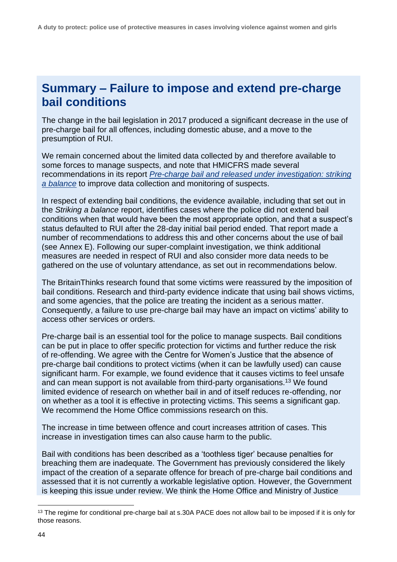# **Summary – Failure to impose and extend pre-charge bail conditions**

The change in the bail legislation in 2017 produced a significant decrease in the use of pre-charge bail for all offences, including domestic abuse, and a move to the presumption of RUI.

We remain concerned about the limited data collected by and therefore available to some forces to manage suspects, and note that HMICFRS made several recommendations in its report *[Pre-charge bail and released under investigation: striking](https://www.justiceinspectorates.gov.uk/hmicfrs/publications/pre-charge-bail-and-released-under-investigation-striking-a-balance/)  [a balance](https://www.justiceinspectorates.gov.uk/hmicfrs/publications/pre-charge-bail-and-released-under-investigation-striking-a-balance/)* to improve data collection and monitoring of suspects.

In respect of extending bail conditions, the evidence available, including that set out in the *Striking a balance* report, identifies cases where the police did not extend bail conditions when that would have been the most appropriate option, and that a suspect's status defaulted to RUI after the 28-day initial bail period ended. That report made a number of recommendations to address this and other concerns about the use of bail (see Annex E). Following our super-complaint investigation, we think additional measures are needed in respect of RUI and also consider more data needs to be gathered on the use of voluntary attendance, as set out in recommendations below.

The BritainThinks research found that some victims were reassured by the imposition of bail conditions. Research and third-party evidence indicate that using bail shows victims, and some agencies, that the police are treating the incident as a serious matter. Consequently, a failure to use pre-charge bail may have an impact on victims' ability to access other services or orders.

Pre-charge bail is an essential tool for the police to manage suspects. Bail conditions can be put in place to offer specific protection for victims and further reduce the risk of re-offending. We agree with the Centre for Women's Justice that the absence of pre-charge bail conditions to protect victims (when it can be lawfully used) can cause significant harm. For example, we found evidence that it causes victims to feel unsafe and can mean support is not available from third-party organisations.<sup>13</sup> We found limited evidence of research on whether bail in and of itself reduces re-offending, nor on whether as a tool it is effective in protecting victims. This seems a significant gap. We recommend the Home Office commissions research on this.

The increase in time between offence and court increases attrition of cases. This increase in investigation times can also cause harm to the public.

Bail with conditions has been described as a 'toothless tiger' because penalties for breaching them are inadequate. The Government has previously considered the likely impact of the creation of a separate offence for breach of pre-charge bail conditions and assessed that it is not currently a workable legislative option. However, the Government is keeping this issue under review. We think the Home Office and Ministry of Justice

<sup>&</sup>lt;sup>13</sup> The regime for conditional pre-charge bail at s.30A PACE does not allow bail to be imposed if it is only for those reasons.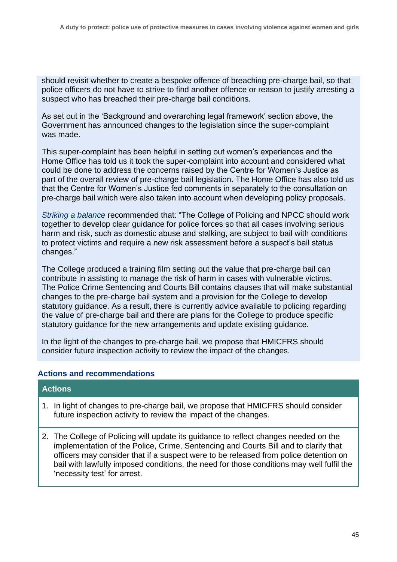should revisit whether to create a bespoke offence of breaching pre-charge bail, so that police officers do not have to strive to find another offence or reason to justify arresting a suspect who has breached their pre-charge bail conditions.

As set out in the 'Background and overarching legal framework' section above, the Government has announced changes to the legislation since the super-complaint was made.

This super-complaint has been helpful in setting out women's experiences and the Home Office has told us it took the super-complaint into account and considered what could be done to address the concerns raised by the Centre for Women's Justice as part of the overall review of pre-charge bail legislation. The Home Office has also told us that the Centre for Women's Justice fed comments in separately to the consultation on pre-charge bail which were also taken into account when developing policy proposals.

*[Striking a balance](https://www.justiceinspectorates.gov.uk/hmicfrs/publications/pre-charge-bail-and-released-under-investigation-striking-a-balance/)* recommended that: "The College of Policing and NPCC should work together to develop clear guidance for police forces so that all cases involving serious harm and risk, such as domestic abuse and stalking, are subject to bail with conditions to protect victims and require a new risk assessment before a suspect's bail status changes."

The College produced a training film setting out the value that pre-charge bail can contribute in assisting to manage the risk of harm in cases with vulnerable victims. The Police Crime Sentencing and Courts Bill contains clauses that will make substantial changes to the pre-charge bail system and a provision for the College to develop statutory guidance. As a result, there is currently advice available to policing regarding the value of pre-charge bail and there are plans for the College to produce specific statutory guidance for the new arrangements and update existing guidance.

In the light of the changes to pre-charge bail, we propose that HMICFRS should consider future inspection activity to review the impact of the changes.

#### **Actions and recommendations**

#### **Actions**

- 1. In light of changes to pre-charge bail, we propose that HMICFRS should consider future inspection activity to review the impact of the changes.
- 2. The College of Policing will update its guidance to reflect changes needed on the implementation of the Police, Crime, Sentencing and Courts Bill and to clarify that officers may consider that if a suspect were to be released from police detention on bail with lawfully imposed conditions, the need for those conditions may well fulfil the 'necessity test' for arrest.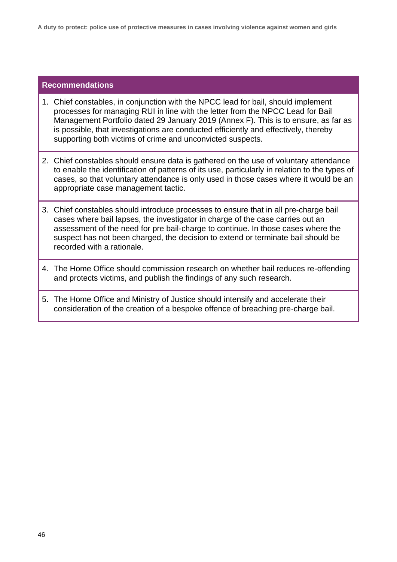**A duty to protect: police use of protective measures in cases involving violence against women and girls**

#### **Recommendations**

- 1. Chief constables, in conjunction with the NPCC lead for bail, should implement processes for managing RUI in line with the letter from the NPCC Lead for Bail Management Portfolio dated 29 January 2019 (Annex F). This is to ensure, as far as is possible, that investigations are conducted efficiently and effectively, thereby supporting both victims of crime and unconvicted suspects.
- 2. Chief constables should ensure data is gathered on the use of voluntary attendance to enable the identification of patterns of its use, particularly in relation to the types of cases, so that voluntary attendance is only used in those cases where it would be an appropriate case management tactic.
- 3. Chief constables should introduce processes to ensure that in all pre-charge bail cases where bail lapses, the investigator in charge of the case carries out an assessment of the need for pre bail-charge to continue. In those cases where the suspect has not been charged, the decision to extend or terminate bail should be recorded with a rationale.
- 4. The Home Office should commission research on whether bail reduces re-offending and protects victims, and publish the findings of any such research.
- 5. The Home Office and Ministry of Justice should intensify and accelerate their consideration of the creation of a bespoke offence of breaching pre-charge bail.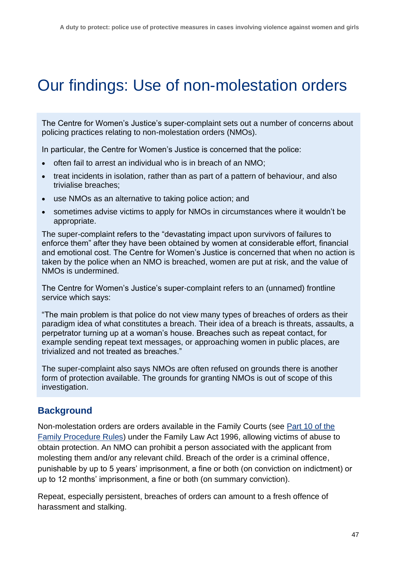# Our findings: Use of non-molestation orders

The Centre for Women's Justice's super-complaint sets out a number of concerns about policing practices relating to non-molestation orders (NMOs).

In particular, the Centre for Women's Justice is concerned that the police:

- often fail to arrest an individual who is in breach of an NMO;
- treat incidents in isolation, rather than as part of a pattern of behaviour, and also trivialise breaches;
- use NMOs as an alternative to taking police action; and
- sometimes advise victims to apply for NMOs in circumstances where it wouldn't be appropriate.

The super-complaint refers to the "devastating impact upon survivors of failures to enforce them" after they have been obtained by women at considerable effort, financial and emotional cost. The Centre for Women's Justice is concerned that when no action is taken by the police when an NMO is breached, women are put at risk, and the value of NMOs is undermined.

The Centre for Women's Justice's super-complaint refers to an (unnamed) frontline service which says:

"The main problem is that police do not view many types of breaches of orders as their paradigm idea of what constitutes a breach. Their idea of a breach is threats, assaults, a perpetrator turning up at a woman's house. Breaches such as repeat contact, for example sending repeat text messages, or approaching women in public places, are trivialized and not treated as breaches."

The super-complaint also says NMOs are often refused on grounds there is another form of protection available. The grounds for granting NMOs is out of scope of this investigation.

## **Background**

Non-molestation orders are orders available in the Family Courts (see [Part 10 of the](https://www.justice.gov.uk/courts/procedure-rules/family/parts/part_10)  [Family Procedure Rules\)](https://www.justice.gov.uk/courts/procedure-rules/family/parts/part_10) under the Family Law Act 1996, allowing victims of abuse to obtain protection. An NMO can prohibit a person associated with the applicant from molesting them and/or any relevant child. Breach of the order is a criminal offence, punishable by up to 5 years' imprisonment, a fine or both (on conviction on indictment) or up to 12 months' imprisonment, a fine or both (on summary conviction).

Repeat, especially persistent, breaches of orders can amount to a fresh offence of harassment and stalking.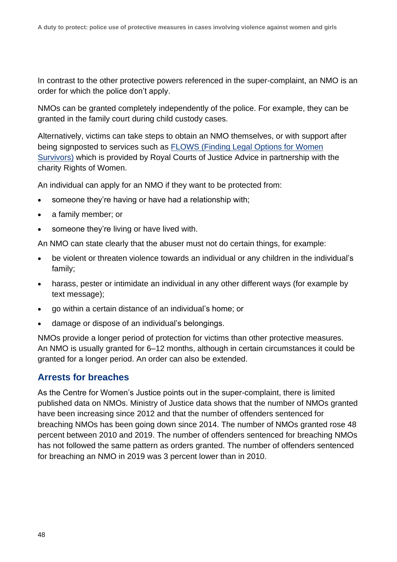In contrast to the other protective powers referenced in the super-complaint, an NMO is an order for which the police don't apply.

NMOs can be granted completely independently of the police. For example, they can be granted in the family court during child custody cases.

Alternatively, victims can take steps to obtain an NMO themselves, or with support after being signposted to services such as [FLOWS \(Finding Legal Options for Women](https://www.flows.org.uk/)  [Survivors\)](https://www.flows.org.uk/) which is provided by Royal Courts of Justice Advice in partnership with the charity Rights of Women.

An individual can apply for an NMO if they want to be protected from:

- someone they're having or have had a relationship with;
- a family member; or
- someone they're living or have lived with.

An NMO can state clearly that the abuser must not do certain things, for example:

- be violent or threaten violence towards an individual or any children in the individual's family;
- harass, pester or intimidate an individual in any other different ways (for example by text message);
- go within a certain distance of an individual's home; or
- damage or dispose of an individual's belongings.

NMOs provide a longer period of protection for victims than other protective measures. An NMO is usually granted for 6–12 months, although in certain circumstances it could be granted for a longer period. An order can also be extended.

#### **Arrests for breaches**

As the Centre for Women's Justice points out in the super-complaint, there is limited published data on NMOs. Ministry of Justice data shows that the number of NMOs granted have been increasing since 2012 and that the number of offenders sentenced for breaching NMOs has been going down since 2014. The number of NMOs granted rose 48 percent between 2010 and 2019. The number of offenders sentenced for breaching NMOs has not followed the same pattern as orders granted. The number of offenders sentenced for breaching an NMO in 2019 was 3 percent lower than in 2010.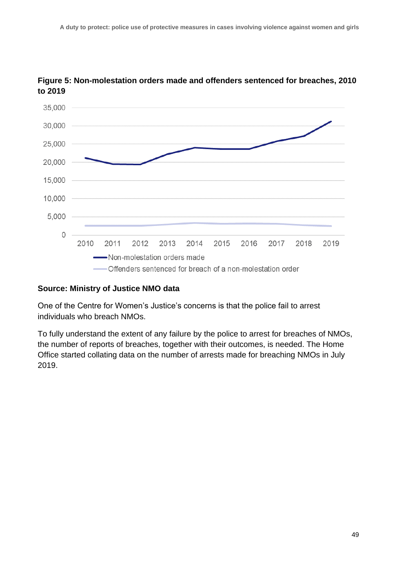



#### **Source: Ministry of Justice NMO data**

One of the Centre for Women's Justice's concerns is that the police fail to arrest individuals who breach NMOs.

To fully understand the extent of any failure by the police to arrest for breaches of NMOs, the number of reports of breaches, together with their outcomes, is needed. The Home Office started collating data on the number of arrests made for breaching NMOs in July 2019.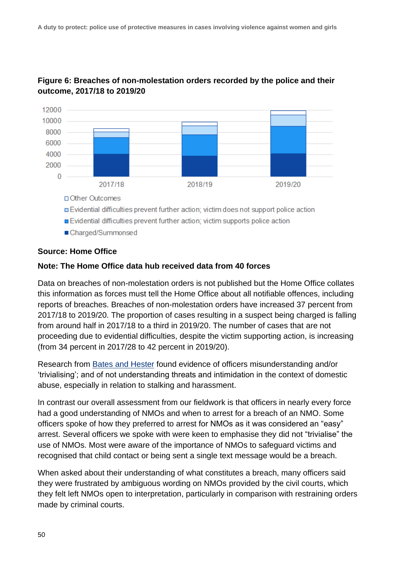

#### **Figure 6: Breaches of non-molestation orders recorded by the police and their outcome, 2017/18 to 2019/20**

- Evidential difficulties prevent further action; victim supports police action
- Charged/Summonsed

#### **Source: Home Office**

#### **Note: The Home Office data hub received data from 40 forces**

Data on breaches of non-molestation orders is not published but the Home Office collates this information as forces must tell the Home Office about all notifiable offences, including reports of breaches. Breaches of non-molestation orders have increased 37 percent from 2017/18 to 2019/20. The proportion of cases resulting in a suspect being charged is falling from around half in 2017/18 to a third in 2019/20. The number of cases that are not proceeding due to evidential difficulties, despite the victim supporting action, is increasing (from 34 percent in 2017/28 to 42 percent in 2019/20).

Research from [Bates and Hester](https://research-information.bris.ac.uk/explore/en/publications/no-longer-a-civil-matter-the-design-and-use-of-protection-orders-for-domestic-violence-in-england-and-wales(97d531d7-2394-4478-aa70-4c0c7a2e1fd5).html) found evidence of officers misunderstanding and/or 'trivialising'; and of not understanding threats and intimidation in the context of domestic abuse, especially in relation to stalking and harassment.

In contrast our overall assessment from our fieldwork is that officers in nearly every force had a good understanding of NMOs and when to arrest for a breach of an NMO. Some officers spoke of how they preferred to arrest for NMOs as it was considered an "easy" arrest. Several officers we spoke with were keen to emphasise they did not "trivialise" the use of NMOs. Most were aware of the importance of NMOs to safeguard victims and recognised that child contact or being sent a single text message would be a breach.

When asked about their understanding of what constitutes a breach, many officers said they were frustrated by ambiguous wording on NMOs provided by the civil courts, which they felt left NMOs open to interpretation, particularly in comparison with restraining orders made by criminal courts.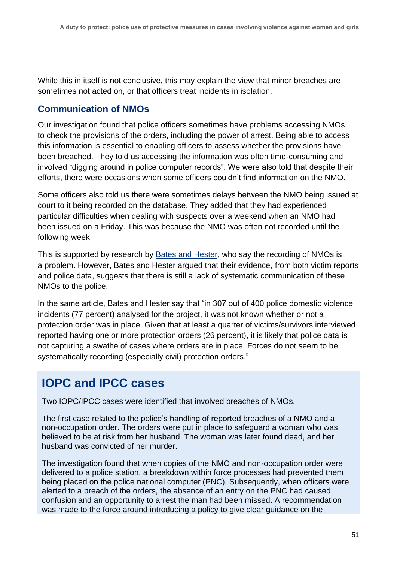While this in itself is not conclusive, this may explain the view that minor breaches are sometimes not acted on, or that officers treat incidents in isolation.

## **Communication of NMOs**

Our investigation found that police officers sometimes have problems accessing NMOs to check the provisions of the orders, including the power of arrest. Being able to access this information is essential to enabling officers to assess whether the provisions have been breached. They told us accessing the information was often time-consuming and involved "digging around in police computer records". We were also told that despite their efforts, there were occasions when some officers couldn't find information on the NMO.

Some officers also told us there were sometimes delays between the NMO being issued at court to it being recorded on the database. They added that they had experienced particular difficulties when dealing with suspects over a weekend when an NMO had been issued on a Friday. This was because the NMO was often not recorded until the following week.

This is supported by research by [Bates and Hester,](https://research-information.bris.ac.uk/explore/en/publications/no-longer-a-civil-matter-the-design-and-use-of-protection-orders-for-domestic-violence-in-england-and-wales(97d531d7-2394-4478-aa70-4c0c7a2e1fd5).html) who say the recording of NMOs is a problem. However, Bates and Hester argued that their evidence, from both victim reports and police data, suggests that there is still a lack of systematic communication of these NMOs to the police.

In the same article, Bates and Hester say that "in 307 out of 400 police domestic violence incidents (77 percent) analysed for the project, it was not known whether or not a protection order was in place. Given that at least a quarter of victims/survivors interviewed reported having one or more protection orders (26 percent), it is likely that police data is not capturing a swathe of cases where orders are in place. Forces do not seem to be systematically recording (especially civil) protection orders."

# **IOPC and IPCC cases**

Two IOPC/IPCC cases were identified that involved breaches of NMOs.

The first case related to the police's handling of reported breaches of a NMO and a non-occupation order. The orders were put in place to safeguard a woman who was believed to be at risk from her husband. The woman was later found dead, and her husband was convicted of her murder.

The investigation found that when copies of the NMO and non-occupation order were delivered to a police station, a breakdown within force processes had prevented them being placed on the police national computer (PNC). Subsequently, when officers were alerted to a breach of the orders, the absence of an entry on the PNC had caused confusion and an opportunity to arrest the man had been missed. A recommendation was made to the force around introducing a policy to give clear guidance on the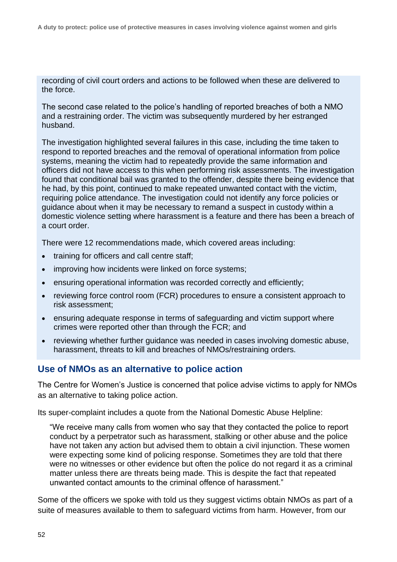recording of civil court orders and actions to be followed when these are delivered to the force.

The second case related to the police's handling of reported breaches of both a NMO and a restraining order. The victim was subsequently murdered by her estranged husband.

The investigation highlighted several failures in this case, including the time taken to respond to reported breaches and the removal of operational information from police systems, meaning the victim had to repeatedly provide the same information and officers did not have access to this when performing risk assessments. The investigation found that conditional bail was granted to the offender, despite there being evidence that he had, by this point, continued to make repeated unwanted contact with the victim, requiring police attendance. The investigation could not identify any force policies or guidance about when it may be necessary to remand a suspect in custody within a domestic violence setting where harassment is a feature and there has been a breach of a court order.

There were 12 recommendations made, which covered areas including:

- training for officers and call centre staff;
- improving how incidents were linked on force systems:
- ensuring operational information was recorded correctly and efficiently;
- reviewing force control room (FCR) procedures to ensure a consistent approach to risk assessment;
- ensuring adequate response in terms of safeguarding and victim support where crimes were reported other than through the FCR; and
- reviewing whether further guidance was needed in cases involving domestic abuse, harassment, threats to kill and breaches of NMOs/restraining orders.

#### **Use of NMOs as an alternative to police action**

The Centre for Women's Justice is concerned that police advise victims to apply for NMOs as an alternative to taking police action.

Its super-complaint includes a quote from the National Domestic Abuse Helpline:

"We receive many calls from women who say that they contacted the police to report conduct by a perpetrator such as harassment, stalking or other abuse and the police have not taken any action but advised them to obtain a civil injunction. These women were expecting some kind of policing response. Sometimes they are told that there were no witnesses or other evidence but often the police do not regard it as a criminal matter unless there are threats being made. This is despite the fact that repeated unwanted contact amounts to the criminal offence of harassment."

Some of the officers we spoke with told us they suggest victims obtain NMOs as part of a suite of measures available to them to safeguard victims from harm. However, from our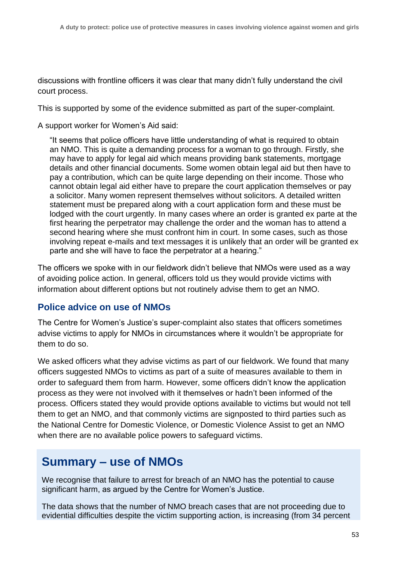discussions with frontline officers it was clear that many didn't fully understand the civil court process.

This is supported by some of the evidence submitted as part of the super-complaint.

A support worker for Women's Aid said:

"It seems that police officers have little understanding of what is required to obtain an NMO. This is quite a demanding process for a woman to go through. Firstly, she may have to apply for legal aid which means providing bank statements, mortgage details and other financial documents. Some women obtain legal aid but then have to pay a contribution, which can be quite large depending on their income. Those who cannot obtain legal aid either have to prepare the court application themselves or pay a solicitor. Many women represent themselves without solicitors. A detailed written statement must be prepared along with a court application form and these must be lodged with the court urgently. In many cases where an order is granted ex parte at the first hearing the perpetrator may challenge the order and the woman has to attend a second hearing where she must confront him in court. In some cases, such as those involving repeat e-mails and text messages it is unlikely that an order will be granted ex parte and she will have to face the perpetrator at a hearing."

The officers we spoke with in our fieldwork didn't believe that NMOs were used as a way of avoiding police action. In general, officers told us they would provide victims with information about different options but not routinely advise them to get an NMO.

## **Police advice on use of NMOs**

The Centre for Women's Justice's super-complaint also states that officers sometimes advise victims to apply for NMOs in circumstances where it wouldn't be appropriate for them to do so.

We asked officers what they advise victims as part of our fieldwork. We found that many officers suggested NMOs to victims as part of a suite of measures available to them in order to safeguard them from harm. However, some officers didn't know the application process as they were not involved with it themselves or hadn't been informed of the process. Officers stated they would provide options available to victims but would not tell them to get an NMO, and that commonly victims are signposted to third parties such as the National Centre for Domestic Violence, or Domestic Violence Assist to get an NMO when there are no available police powers to safeguard victims.

# **Summary – use of NMOs**

We recognise that failure to arrest for breach of an NMO has the potential to cause significant harm, as argued by the Centre for Women's Justice.

The data shows that the number of NMO breach cases that are not proceeding due to evidential difficulties despite the victim supporting action, is increasing (from 34 percent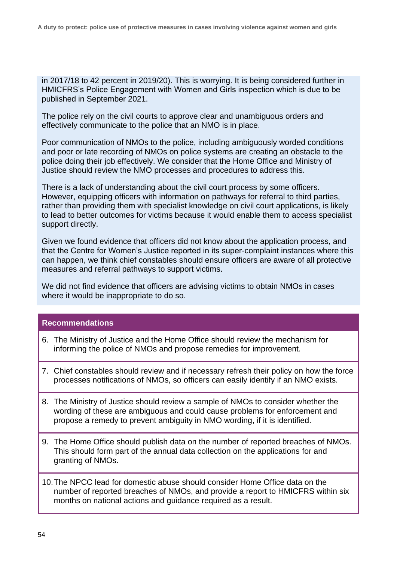in 2017/18 to 42 percent in 2019/20). This is worrying. It is being considered further in HMICFRS's Police Engagement with Women and Girls inspection which is due to be published in September 2021.

The police rely on the civil courts to approve clear and unambiguous orders and effectively communicate to the police that an NMO is in place.

Poor communication of NMOs to the police, including ambiguously worded conditions and poor or late recording of NMOs on police systems are creating an obstacle to the police doing their job effectively. We consider that the Home Office and Ministry of Justice should review the NMO processes and procedures to address this.

There is a lack of understanding about the civil court process by some officers. However, equipping officers with information on pathways for referral to third parties, rather than providing them with specialist knowledge on civil court applications, is likely to lead to better outcomes for victims because it would enable them to access specialist support directly.

Given we found evidence that officers did not know about the application process, and that the Centre for Women's Justice reported in its super-complaint instances where this can happen, we think chief constables should ensure officers are aware of all protective measures and referral pathways to support victims.

We did not find evidence that officers are advising victims to obtain NMOs in cases where it would be inappropriate to do so.

#### **Recommendations**

- 6. The Ministry of Justice and the Home Office should review the mechanism for informing the police of NMOs and propose remedies for improvement.
- 7. Chief constables should review and if necessary refresh their policy on how the force processes notifications of NMOs, so officers can easily identify if an NMO exists.
- 8. The Ministry of Justice should review a sample of NMOs to consider whether the wording of these are ambiguous and could cause problems for enforcement and propose a remedy to prevent ambiguity in NMO wording, if it is identified.
- 9. The Home Office should publish data on the number of reported breaches of NMOs. This should form part of the annual data collection on the applications for and granting of NMOs.
- 10.The NPCC lead for domestic abuse should consider Home Office data on the number of reported breaches of NMOs, and provide a report to HMICFRS within six months on national actions and guidance required as a result.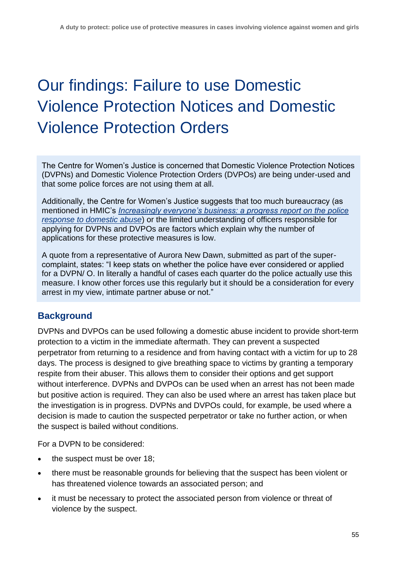# Our findings: Failure to use Domestic Violence Protection Notices and Domestic Violence Protection Orders

The Centre for Women's Justice is concerned that Domestic Violence Protection Notices (DVPNs) and Domestic Violence Protection Orders (DVPOs) are being under-used and that some police forces are not using them at all.

Additionally, the Centre for Women's Justice suggests that too much bureaucracy (as mentioned in HMIC's *[Increasingly everyone's business: a progress report on the police](https://www.justiceinspectorates.gov.uk/hmicfrs/publications/increasingly-everyones-business-a-progress-report-on-the-police-response-to-domestic-abuse/)  [response to domestic abuse](https://www.justiceinspectorates.gov.uk/hmicfrs/publications/increasingly-everyones-business-a-progress-report-on-the-police-response-to-domestic-abuse/)*) or the limited understanding of officers responsible for applying for DVPNs and DVPOs are factors which explain why the number of applications for these protective measures is low.

A quote from a representative of Aurora New Dawn, submitted as part of the supercomplaint, states: "I keep stats on whether the police have ever considered or applied for a DVPN/ O. In literally a handful of cases each quarter do the police actually use this measure. I know other forces use this regularly but it should be a consideration for every arrest in my view, intimate partner abuse or not."

# **Background**

DVPNs and DVPOs can be used following a domestic abuse incident to provide short-term protection to a victim in the immediate aftermath. They can prevent a suspected perpetrator from returning to a residence and from having contact with a victim for up to 28 days. The process is designed to give breathing space to victims by granting a temporary respite from their abuser. This allows them to consider their options and get support without interference. DVPNs and DVPOs can be used when an arrest has not been made but positive action is required. They can also be used where an arrest has taken place but the investigation is in progress. DVPNs and DVPOs could, for example, be used where a decision is made to caution the suspected perpetrator or take no further action, or when the suspect is bailed without conditions.

For a DVPN to be considered:

- the suspect must be over 18;
- there must be reasonable grounds for believing that the suspect has been violent or has threatened violence towards an associated person; and
- it must be necessary to protect the associated person from violence or threat of violence by the suspect.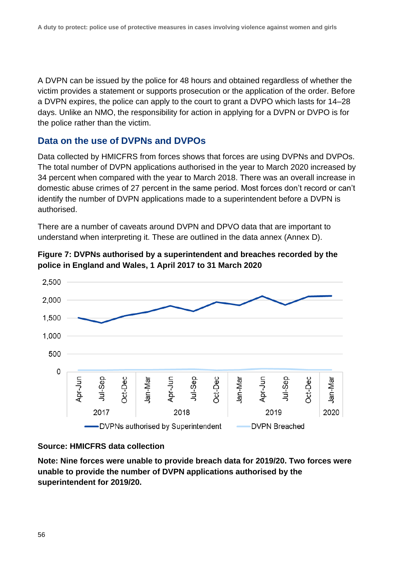A DVPN can be issued by the police for 48 hours and obtained regardless of whether the victim provides a statement or supports prosecution or the application of the order. Before a DVPN expires, the police can apply to the court to grant a DVPO which lasts for 14–28 days. Unlike an NMO, the responsibility for action in applying for a DVPN or DVPO is for the police rather than the victim.

### **Data on the use of DVPNs and DVPOs**

Data collected by HMICFRS from forces shows that forces are using DVPNs and DVPOs. The total number of DVPN applications authorised in the year to March 2020 increased by 34 percent when compared with the year to March 2018. There was an overall increase in domestic abuse crimes of 27 percent in the same period. Most forces don't record or can't identify the number of DVPN applications made to a superintendent before a DVPN is authorised.

There are a number of caveats around DVPN and DPVO data that are important to understand when interpreting it. These are outlined in the data annex (Annex D).





#### **Source: HMICFRS data collection**

**Note: Nine forces were unable to provide breach data for 2019/20. Two forces were unable to provide the number of DVPN applications authorised by the superintendent for 2019/20.**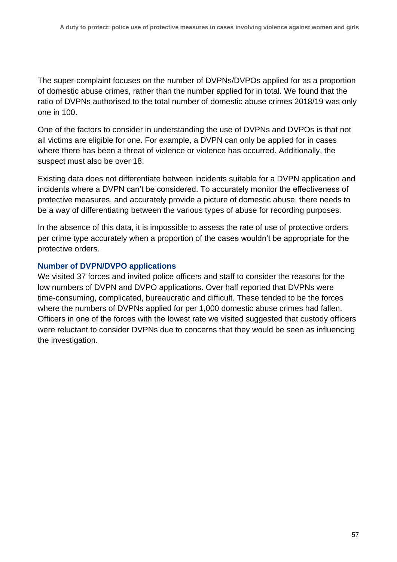The super-complaint focuses on the number of DVPNs/DVPOs applied for as a proportion of domestic abuse crimes, rather than the number applied for in total. We found that the ratio of DVPNs authorised to the total number of domestic abuse crimes 2018/19 was only one in 100.

One of the factors to consider in understanding the use of DVPNs and DVPOs is that not all victims are eligible for one. For example, a DVPN can only be applied for in cases where there has been a threat of violence or violence has occurred. Additionally, the suspect must also be over 18.

Existing data does not differentiate between incidents suitable for a DVPN application and incidents where a DVPN can't be considered. To accurately monitor the effectiveness of protective measures, and accurately provide a picture of domestic abuse, there needs to be a way of differentiating between the various types of abuse for recording purposes.

In the absence of this data, it is impossible to assess the rate of use of protective orders per crime type accurately when a proportion of the cases wouldn't be appropriate for the protective orders.

#### **Number of DVPN/DVPO applications**

We visited 37 forces and invited police officers and staff to consider the reasons for the low numbers of DVPN and DVPO applications. Over half reported that DVPNs were time-consuming, complicated, bureaucratic and difficult. These tended to be the forces where the numbers of DVPNs applied for per 1,000 domestic abuse crimes had fallen. Officers in one of the forces with the lowest rate we visited suggested that custody officers were reluctant to consider DVPNs due to concerns that they would be seen as influencing the investigation.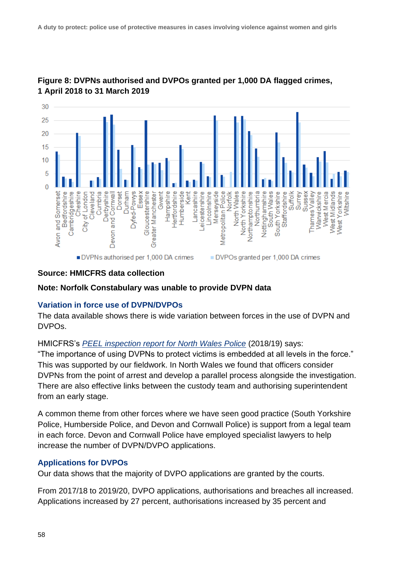

### **Figure 8: DVPNs authorised and DVPOs granted per 1,000 DA flagged crimes, 1 April 2018 to 31 March 2019**

#### **Source: HMICFRS data collection**

#### **Note: Norfolk Constabulary was unable to provide DVPN data**

#### **Variation in force use of DVPN/DVPOs**

The data available shows there is wide variation between forces in the use of DVPN and DVPOs.

#### HMICFRS's *[PEEL inspection report for North Wales Police](https://www.justiceinspectorates.gov.uk/hmicfrs/peel-assessments/peel-2018/north-wales/)* (2018/19) says:

"The importance of using DVPNs to protect victims is embedded at all levels in the force." This was supported by our fieldwork. In North Wales we found that officers consider DVPNs from the point of arrest and develop a parallel process alongside the investigation. There are also effective links between the custody team and authorising superintendent from an early stage.

A common theme from other forces where we have seen good practice (South Yorkshire Police, Humberside Police, and Devon and Cornwall Police) is support from a legal team in each force. Devon and Cornwall Police have employed specialist lawyers to help increase the number of DVPN/DVPO applications.

#### **Applications for DVPOs**

Our data shows that the majority of DVPO applications are granted by the courts.

From 2017/18 to 2019/20, DVPO applications, authorisations and breaches all increased. Applications increased by 27 percent, authorisations increased by 35 percent and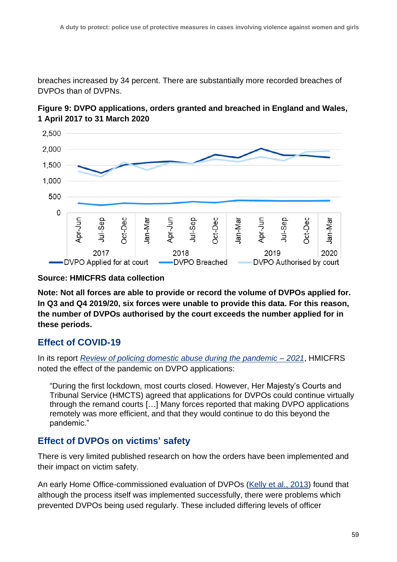breaches increased by 34 percent. There are substantially more recorded breaches of DVPOs than of DVPNs.



**Figure 9: DVPO applications, orders granted and breached in England and Wales, 1 April 2017 to 31 March 2020**

#### **Source: HMICFRS data collection**

**Note: Not all forces are able to provide or record the volume of DVPOs applied for. In Q3 and Q4 2019/20, six forces were unable to provide this data. For this reason, the number of DVPOs authorised by the court exceeds the number applied for in these periods.**

# **Effect of COVID-19**

In its report *[Review of policing domestic abuse during the pandemic –](https://www.justiceinspectorates.gov.uk/hmicfrs/publications/review-of-policing-domestic-abuse-during-pandemic/) 2021*, HMICFRS noted the effect of the pandemic on DVPO applications:

"During the first lockdown, most courts closed. However, Her Majesty's Courts and Tribunal Service (HMCTS) agreed that applications for DVPOs could continue virtually through the remand courts […] Many forces reported that making DVPO applications remotely was more efficient, and that they would continue to do this beyond the pandemic."

# **Effect of DVPOs on victims' safety**

There is very limited published research on how the orders have been implemented and their impact on victim safety.

An early Home Office-commissioned evaluation of DVPOs [\(Kelly et al., 2013\)](https://www.gov.uk/government/publications/evaluation-of-the-pilot-of-domestic-violence-protection-orders) found that although the process itself was implemented successfully, there were problems which prevented DVPOs being used regularly. These included differing levels of officer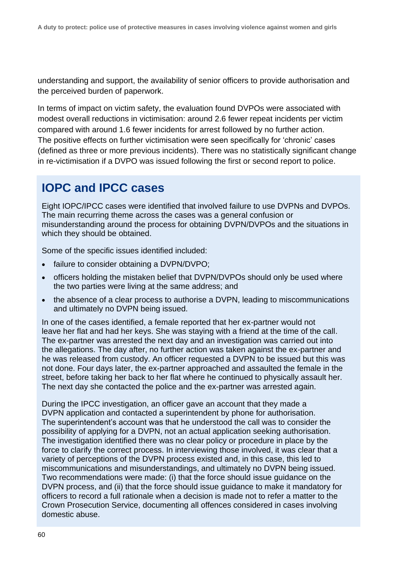understanding and support, the availability of senior officers to provide authorisation and the perceived burden of paperwork.

In terms of impact on victim safety, the evaluation found DVPOs were associated with modest overall reductions in victimisation: around 2.6 fewer repeat incidents per victim compared with around 1.6 fewer incidents for arrest followed by no further action. The positive effects on further victimisation were seen specifically for 'chronic' cases (defined as three or more previous incidents). There was no statistically significant change in re-victimisation if a DVPO was issued following the first or second report to police.

# **IOPC and IPCC cases**

Eight IOPC/IPCC cases were identified that involved failure to use DVPNs and DVPOs. The main recurring theme across the cases was a general confusion or misunderstanding around the process for obtaining DVPN/DVPOs and the situations in which they should be obtained.

Some of the specific issues identified included:

- failure to consider obtaining a DVPN/DVPO;
- officers holding the mistaken belief that DVPN/DVPOs should only be used where the two parties were living at the same address; and
- the absence of a clear process to authorise a DVPN, leading to miscommunications and ultimately no DVPN being issued.

In one of the cases identified, a female reported that her ex-partner would not leave her flat and had her keys. She was staying with a friend at the time of the call. The ex-partner was arrested the next day and an investigation was carried out into the allegations. The day after, no further action was taken against the ex-partner and he was released from custody. An officer requested a DVPN to be issued but this was not done. Four days later, the ex-partner approached and assaulted the female in the street, before taking her back to her flat where he continued to physically assault her. The next day she contacted the police and the ex-partner was arrested again.

During the IPCC investigation, an officer gave an account that they made a DVPN application and contacted a superintendent by phone for authorisation. The superintendent's account was that he understood the call was to consider the possibility of applying for a DVPN, not an actual application seeking authorisation. The investigation identified there was no clear policy or procedure in place by the force to clarify the correct process. In interviewing those involved, it was clear that a variety of perceptions of the DVPN process existed and, in this case, this led to miscommunications and misunderstandings, and ultimately no DVPN being issued. Two recommendations were made: (i) that the force should issue guidance on the DVPN process, and (ii) that the force should issue guidance to make it mandatory for officers to record a full rationale when a decision is made not to refer a matter to the Crown Prosecution Service, documenting all offences considered in cases involving domestic abuse.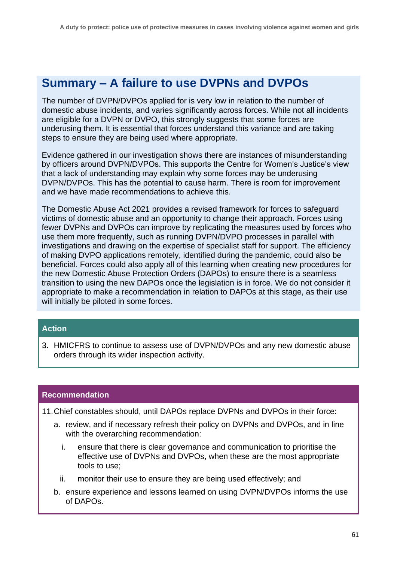# **Summary – A failure to use DVPNs and DVPOs**

The number of DVPN/DVPOs applied for is very low in relation to the number of domestic abuse incidents, and varies significantly across forces. While not all incidents are eligible for a DVPN or DVPO, this strongly suggests that some forces are underusing them. It is essential that forces understand this variance and are taking steps to ensure they are being used where appropriate.

Evidence gathered in our investigation shows there are instances of misunderstanding by officers around DVPN/DVPOs. This supports the Centre for Women's Justice's view that a lack of understanding may explain why some forces may be underusing DVPN/DVPOs. This has the potential to cause harm. There is room for improvement and we have made recommendations to achieve this.

The Domestic Abuse Act 2021 provides a revised framework for forces to safeguard victims of domestic abuse and an opportunity to change their approach. Forces using fewer DVPNs and DVPOs can improve by replicating the measures used by forces who use them more frequently, such as running DVPN/DVPO processes in parallel with investigations and drawing on the expertise of specialist staff for support. The efficiency of making DVPO applications remotely, identified during the pandemic, could also be beneficial. Forces could also apply all of this learning when creating new procedures for the new Domestic Abuse Protection Orders (DAPOs) to ensure there is a seamless transition to using the new DAPOs once the legislation is in force. We do not consider it appropriate to make a recommendation in relation to DAPOs at this stage, as their use will initially be piloted in some forces.

#### **Action**

3. HMICFRS to continue to assess use of DVPN/DVPOs and any new domestic abuse orders through its wider inspection activity.

#### **Recommendation**

11.Chief constables should, until DAPOs replace DVPNs and DVPOs in their force:

- a. review, and if necessary refresh their policy on DVPNs and DVPOs, and in line with the overarching recommendation:
	- i. ensure that there is clear governance and communication to prioritise the effective use of DVPNs and DVPOs, when these are the most appropriate tools to use;
	- ii. monitor their use to ensure they are being used effectively; and
- b. ensure experience and lessons learned on using DVPN/DVPOs informs the use of DAPOs.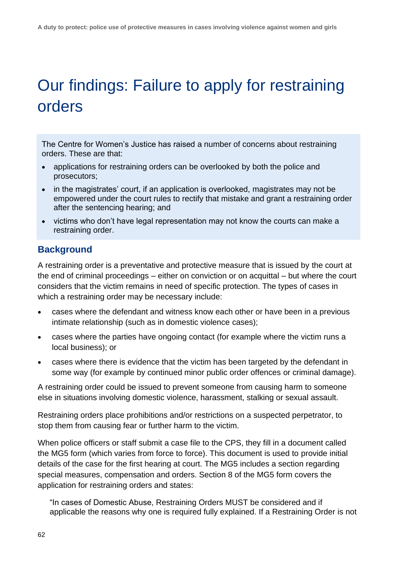# Our findings: Failure to apply for restraining orders

The Centre for Women's Justice has raised a number of concerns about restraining orders. These are that:

- applications for restraining orders can be overlooked by both the police and prosecutors;
- in the magistrates' court, if an application is overlooked, magistrates may not be empowered under the court rules to rectify that mistake and grant a restraining order after the sentencing hearing; and
- victims who don't have legal representation may not know the courts can make a restraining order.

### **Background**

A restraining order is a preventative and protective measure that is issued by the court at the end of criminal proceedings – either on conviction or on acquittal – but where the court considers that the victim remains in need of specific protection. The types of cases in which a restraining order may be necessary include:

- cases where the defendant and witness know each other or have been in a previous intimate relationship (such as in domestic violence cases);
- cases where the parties have ongoing contact (for example where the victim runs a local business); or
- cases where there is evidence that the victim has been targeted by the defendant in some way (for example by continued minor public order offences or criminal damage).

A restraining order could be issued to prevent someone from causing harm to someone else in situations involving domestic violence, harassment, stalking or sexual assault.

Restraining orders place prohibitions and/or restrictions on a suspected perpetrator, to stop them from causing fear or further harm to the victim.

When police officers or staff submit a case file to the CPS, they fill in a document called the MG5 form (which varies from force to force). This document is used to provide initial details of the case for the first hearing at court. The MG5 includes a section regarding special measures, compensation and orders. Section 8 of the MG5 form covers the application for restraining orders and states:

"In cases of Domestic Abuse, Restraining Orders MUST be considered and if applicable the reasons why one is required fully explained. If a Restraining Order is not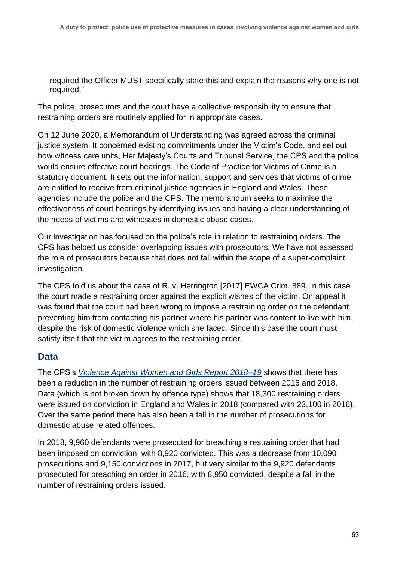required the Officer MUST specifically state this and explain the reasons why one is not required."

The police, prosecutors and the court have a collective responsibility to ensure that restraining orders are routinely applied for in appropriate cases.

On 12 June 2020, a Memorandum of Understanding was agreed across the criminal justice system. It concerned existing commitments under the Victim's Code, and set out how witness care units, Her Majesty's Courts and Tribunal Service, the CPS and the police would ensure effective court hearings. The Code of Practice for Victims of Crime is a statutory document. It sets out the information, support and services that victims of crime are entitled to receive from criminal justice agencies in England and Wales. These agencies include the police and the CPS. The memorandum seeks to maximise the effectiveness of court hearings by identifying issues and having a clear understanding of the needs of victims and witnesses in domestic abuse cases.

Our investigation has focused on the police's role in relation to restraining orders. The CPS has helped us consider overlapping issues with prosecutors. We have not assessed the role of prosecutors because that does not fall within the scope of a super-complaint investigation.

The CPS told us about the case of R. v. Herrington [2017] EWCA Crim. 889. In this case the court made a restraining order against the explicit wishes of the victim. On appeal it was found that the court had been wrong to impose a restraining order on the defendant preventing him from contacting his partner where his partner was content to live with him, despite the risk of domestic violence which she faced. Since this case the court must satisfy itself that the victim agrees to the restraining order.

## **Data**

The CPS's *[Violence Against Women and Girls Report 2018–19](https://www.cps.gov.uk/publication/violence-against-women-and-girls)* shows that there has been a reduction in the number of restraining orders issued between 2016 and 2018. Data (which is not broken down by offence type) shows that 18,300 restraining orders were issued on conviction in England and Wales in 2018 (compared with 23,100 in 2016). Over the same period there has also been a fall in the number of prosecutions for domestic abuse related offences.

In 2018, 9,960 defendants were prosecuted for breaching a restraining order that had been imposed on conviction, with 8,920 convicted. This was a decrease from 10,090 prosecutions and 9,150 convictions in 2017, but very similar to the 9,920 defendants prosecuted for breaching an order in 2016, with 8,950 convicted, despite a fall in the number of restraining orders issued.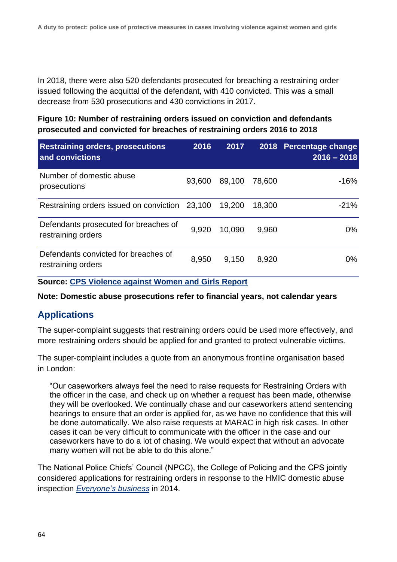In 2018, there were also 520 defendants prosecuted for breaching a restraining order issued following the acquittal of the defendant, with 410 convicted. This was a small decrease from 530 prosecutions and 430 convictions in 2017.

#### **Figure 10: Number of restraining orders issued on conviction and defendants prosecuted and convicted for breaches of restraining orders 2016 to 2018**

| <b>Restraining orders, prosecutions</b><br>and convictions  | 2016   | 2017   |        | 2018 Percentage change<br>$2016 - 2018$ |
|-------------------------------------------------------------|--------|--------|--------|-----------------------------------------|
| Number of domestic abuse<br>prosecutions                    | 93,600 | 89,100 | 78,600 | $-16%$                                  |
| Restraining orders issued on conviction                     | 23,100 | 19,200 | 18,300 | $-21%$                                  |
| Defendants prosecuted for breaches of<br>restraining orders | 9,920  | 10,090 | 9,960  | $0\%$                                   |
| Defendants convicted for breaches of<br>restraining orders  | 8,950  | 9.150  | 8,920  | $0\%$                                   |

**Source: [CPS Violence against Women and Girls Report](https://www.cps.gov.uk/sites/default/files/documents/publications/cps-vawg-report-2019.pdf)**

**Note: Domestic abuse prosecutions refer to financial years, not calendar years**

## **Applications**

The super-complaint suggests that restraining orders could be used more effectively, and more restraining orders should be applied for and granted to protect vulnerable victims.

The super-complaint includes a quote from an anonymous frontline organisation based in London:

"Our caseworkers always feel the need to raise requests for Restraining Orders with the officer in the case, and check up on whether a request has been made, otherwise they will be overlooked. We continually chase and our caseworkers attend sentencing hearings to ensure that an order is applied for, as we have no confidence that this will be done automatically. We also raise requests at MARAC in high risk cases. In other cases it can be very difficult to communicate with the officer in the case and our caseworkers have to do a lot of chasing. We would expect that without an advocate many women will not be able to do this alone."

The National Police Chiefs' Council (NPCC), the College of Policing and the CPS jointly considered applications for restraining orders in response to the HMIC domestic abuse inspection *[Everyone's business](https://www.justiceinspectorates.gov.uk/hmicfrs/publications/improving-the-police-response-to-domestic-abuse/)* in 2014.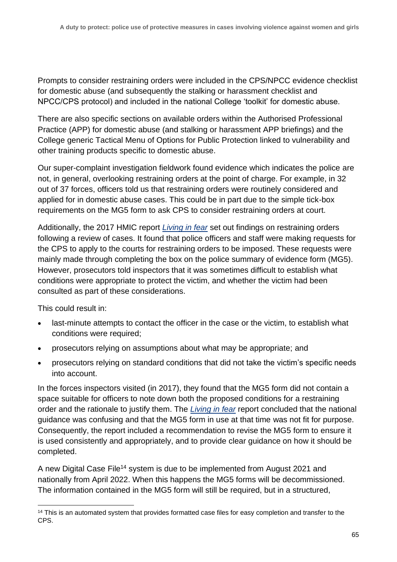Prompts to consider restraining orders were included in the CPS/NPCC evidence checklist for domestic abuse (and subsequently the stalking or harassment checklist and NPCC/CPS protocol) and included in the national College 'toolkit' for domestic abuse.

There are also specific sections on available orders within the Authorised Professional Practice (APP) for domestic abuse (and stalking or harassment APP briefings) and the College generic Tactical Menu of Options for Public Protection linked to vulnerability and other training products specific to domestic abuse.

Our super-complaint investigation fieldwork found evidence which indicates the police are not, in general, overlooking restraining orders at the point of charge. For example, in 32 out of 37 forces, officers told us that restraining orders were routinely considered and applied for in domestic abuse cases. This could be in part due to the simple tick-box requirements on the MG5 form to ask CPS to consider restraining orders at court.

Additionally, the 2017 HMIC report *[Living in fear](https://www.justiceinspectorates.gov.uk/hmicfrs/publications/living-in-fear-the-police-and-cps-response-to-harassment-and-stalking/#report)* set out findings on restraining orders following a review of cases. It found that police officers and staff were making requests for the CPS to apply to the courts for restraining orders to be imposed. These requests were mainly made through completing the box on the police summary of evidence form (MG5). However, prosecutors told inspectors that it was sometimes difficult to establish what conditions were appropriate to protect the victim, and whether the victim had been consulted as part of these considerations.

This could result in:

- last-minute attempts to contact the officer in the case or the victim, to establish what conditions were required;
- prosecutors relying on assumptions about what may be appropriate; and
- prosecutors relying on standard conditions that did not take the victim's specific needs into account.

In the forces inspectors visited (in 2017), they found that the MG5 form did not contain a space suitable for officers to note down both the proposed conditions for a restraining order and the rationale to justify them. The *[Living in fear](https://www.justiceinspectorates.gov.uk/hmicfrs/publications/living-in-fear-the-police-and-cps-response-to-harassment-and-stalking/#report)* report concluded that the national guidance was confusing and that the MG5 form in use at that time was not fit for purpose. Consequently, the report included a recommendation to revise the MG5 form to ensure it is used consistently and appropriately, and to provide clear guidance on how it should be completed.

A new Digital Case File<sup>14</sup> system is due to be implemented from August 2021 and nationally from April 2022. When this happens the MG5 forms will be decommissioned. The information contained in the MG5 form will still be required, but in a structured,

<sup>&</sup>lt;sup>14</sup> This is an automated system that provides formatted case files for easy completion and transfer to the CPS.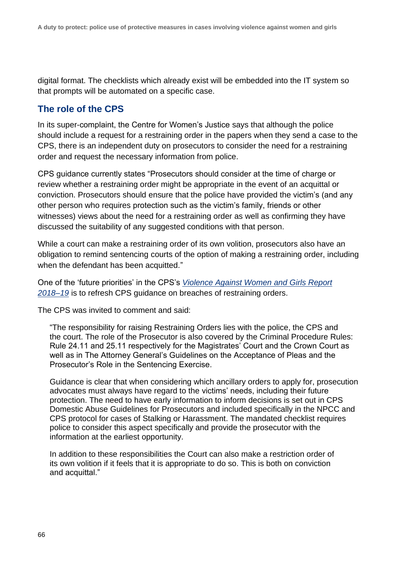digital format. The checklists which already exist will be embedded into the IT system so that prompts will be automated on a specific case.

## **The role of the CPS**

In its super-complaint, the Centre for Women's Justice says that although the police should include a request for a restraining order in the papers when they send a case to the CPS, there is an independent duty on prosecutors to consider the need for a restraining order and request the necessary information from police.

CPS guidance currently states "Prosecutors should consider at the time of charge or review whether a restraining order might be appropriate in the event of an acquittal or conviction. Prosecutors should ensure that the police have provided the victim's (and any other person who requires protection such as the victim's family, friends or other witnesses) views about the need for a restraining order as well as confirming they have discussed the suitability of any suggested conditions with that person.

While a court can make a restraining order of its own volition, prosecutors also have an obligation to remind sentencing courts of the option of making a restraining order, including when the defendant has been acquitted."

One of the 'future priorities' in the CPS's *[Violence Against Women and Girls Report](https://www.cps.gov.uk/publication/violence-against-women-and-girls)  [2018–19](https://www.cps.gov.uk/publication/violence-against-women-and-girls)* is to refresh CPS guidance on breaches of restraining orders.

The CPS was invited to comment and said:

"The responsibility for raising Restraining Orders lies with the police, the CPS and the court. The role of the Prosecutor is also covered by the Criminal Procedure Rules: Rule 24.11 and 25.11 respectively for the Magistrates' Court and the Crown Court as well as in The Attorney General's Guidelines on the Acceptance of Pleas and the Prosecutor's Role in the Sentencing Exercise.

Guidance is clear that when considering which ancillary orders to apply for, prosecution advocates must always have regard to the victims' needs, including their future protection. The need to have early information to inform decisions is set out in CPS Domestic Abuse Guidelines for Prosecutors and included specifically in the NPCC and CPS protocol for cases of Stalking or Harassment. The mandated checklist requires police to consider this aspect specifically and provide the prosecutor with the information at the earliest opportunity.

In addition to these responsibilities the Court can also make a restriction order of its own volition if it feels that it is appropriate to do so. This is both on conviction and acquittal."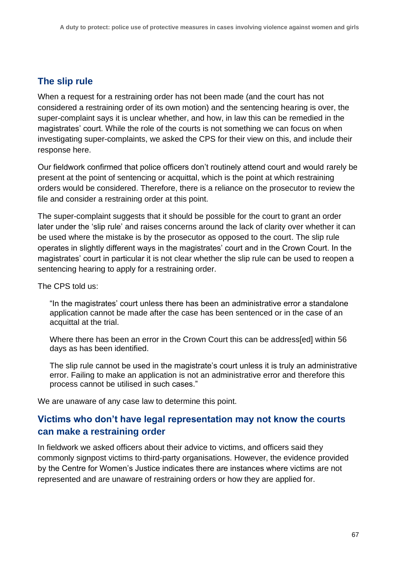# **The slip rule**

When a request for a restraining order has not been made (and the court has not considered a restraining order of its own motion) and the sentencing hearing is over, the super-complaint says it is unclear whether, and how, in law this can be remedied in the magistrates' court. While the role of the courts is not something we can focus on when investigating super-complaints, we asked the CPS for their view on this, and include their response here.

Our fieldwork confirmed that police officers don't routinely attend court and would rarely be present at the point of sentencing or acquittal, which is the point at which restraining orders would be considered. Therefore, there is a reliance on the prosecutor to review the file and consider a restraining order at this point.

The super-complaint suggests that it should be possible for the court to grant an order later under the 'slip rule' and raises concerns around the lack of clarity over whether it can be used where the mistake is by the prosecutor as opposed to the court. The slip rule operates in slightly different ways in the magistrates' court and in the Crown Court. In the magistrates' court in particular it is not clear whether the slip rule can be used to reopen a sentencing hearing to apply for a restraining order.

The CPS told us:

"In the magistrates' court unless there has been an administrative error a standalone application cannot be made after the case has been sentenced or in the case of an acquittal at the trial.

Where there has been an error in the Crown Court this can be address[ed] within 56 days as has been identified.

The slip rule cannot be used in the magistrate's court unless it is truly an administrative error. Failing to make an application is not an administrative error and therefore this process cannot be utilised in such cases."

We are unaware of any case law to determine this point.

# **Victims who don't have legal representation may not know the courts can make a restraining order**

In fieldwork we asked officers about their advice to victims, and officers said they commonly signpost victims to third-party organisations. However, the evidence provided by the Centre for Women's Justice indicates there are instances where victims are not represented and are unaware of restraining orders or how they are applied for.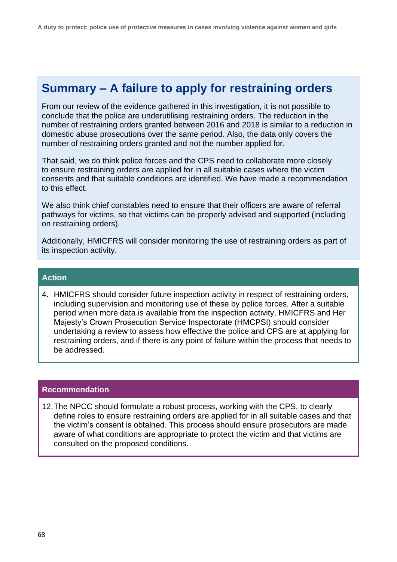# **Summary – A failure to apply for restraining orders**

From our review of the evidence gathered in this investigation, it is not possible to conclude that the police are underutilising restraining orders. The reduction in the number of restraining orders granted between 2016 and 2018 is similar to a reduction in domestic abuse prosecutions over the same period. Also, the data only covers the number of restraining orders granted and not the number applied for.

That said, we do think police forces and the CPS need to collaborate more closely to ensure restraining orders are applied for in all suitable cases where the victim consents and that suitable conditions are identified. We have made a recommendation to this effect.

We also think chief constables need to ensure that their officers are aware of referral pathways for victims, so that victims can be properly advised and supported (including on restraining orders).

Additionally, HMICFRS will consider monitoring the use of restraining orders as part of its inspection activity.

#### **Action**

4. HMICFRS should consider future inspection activity in respect of restraining orders, including supervision and monitoring use of these by police forces. After a suitable period when more data is available from the inspection activity, HMICFRS and Her Majesty's Crown Prosecution Service Inspectorate (HMCPSI) should consider undertaking a review to assess how effective the police and CPS are at applying for restraining orders, and if there is any point of failure within the process that needs to be addressed.

#### **Recommendation**

12.The NPCC should formulate a robust process, working with the CPS, to clearly define roles to ensure restraining orders are applied for in all suitable cases and that the victim's consent is obtained. This process should ensure prosecutors are made aware of what conditions are appropriate to protect the victim and that victims are consulted on the proposed conditions.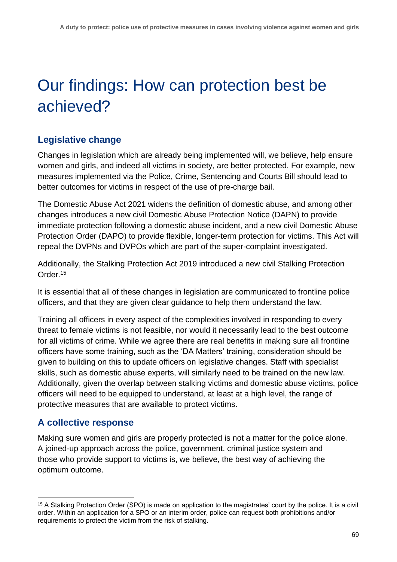# Our findings: How can protection best be achieved?

# **Legislative change**

Changes in legislation which are already being implemented will, we believe, help ensure women and girls, and indeed all victims in society, are better protected. For example, new measures implemented via the Police, Crime, Sentencing and Courts Bill should lead to better outcomes for victims in respect of the use of pre-charge bail.

The Domestic Abuse Act 2021 widens the definition of domestic abuse, and among other changes introduces a new civil Domestic Abuse Protection Notice (DAPN) to provide immediate protection following a domestic abuse incident, and a new civil Domestic Abuse Protection Order (DAPO) to provide flexible, longer-term protection for victims. This Act will repeal the DVPNs and DVPOs which are part of the super-complaint investigated.

Additionally, the Stalking Protection Act 2019 introduced a new civil Stalking Protection Order.<sup>15</sup>

It is essential that all of these changes in legislation are communicated to frontline police officers, and that they are given clear guidance to help them understand the law.

Training all officers in every aspect of the complexities involved in responding to every threat to female victims is not feasible, nor would it necessarily lead to the best outcome for all victims of crime. While we agree there are real benefits in making sure all frontline officers have some training, such as the 'DA Matters' training, consideration should be given to building on this to update officers on legislative changes. Staff with specialist skills, such as domestic abuse experts, will similarly need to be trained on the new law. Additionally, given the overlap between stalking victims and domestic abuse victims, police officers will need to be equipped to understand, at least at a high level, the range of protective measures that are available to protect victims.

# **A collective response**

Making sure women and girls are properly protected is not a matter for the police alone. A joined-up approach across the police, government, criminal justice system and those who provide support to victims is, we believe, the best way of achieving the optimum outcome.

<sup>15</sup> A Stalking Protection Order (SPO) is made on application to the magistrates' court by the police. It is a civil order. Within an application for a SPO or an interim order, police can request both prohibitions and/or requirements to protect the victim from the risk of stalking.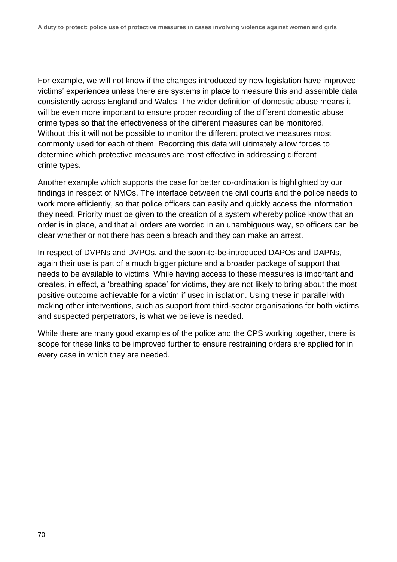For example, we will not know if the changes introduced by new legislation have improved victims' experiences unless there are systems in place to measure this and assemble data consistently across England and Wales. The wider definition of domestic abuse means it will be even more important to ensure proper recording of the different domestic abuse crime types so that the effectiveness of the different measures can be monitored. Without this it will not be possible to monitor the different protective measures most commonly used for each of them. Recording this data will ultimately allow forces to determine which protective measures are most effective in addressing different crime types.

Another example which supports the case for better co-ordination is highlighted by our findings in respect of NMOs. The interface between the civil courts and the police needs to work more efficiently, so that police officers can easily and quickly access the information they need. Priority must be given to the creation of a system whereby police know that an order is in place, and that all orders are worded in an unambiguous way, so officers can be clear whether or not there has been a breach and they can make an arrest.

In respect of DVPNs and DVPOs, and the soon-to-be-introduced DAPOs and DAPNs, again their use is part of a much bigger picture and a broader package of support that needs to be available to victims. While having access to these measures is important and creates, in effect, a 'breathing space' for victims, they are not likely to bring about the most positive outcome achievable for a victim if used in isolation. Using these in parallel with making other interventions, such as support from third-sector organisations for both victims and suspected perpetrators, is what we believe is needed.

While there are many good examples of the police and the CPS working together, there is scope for these links to be improved further to ensure restraining orders are applied for in every case in which they are needed.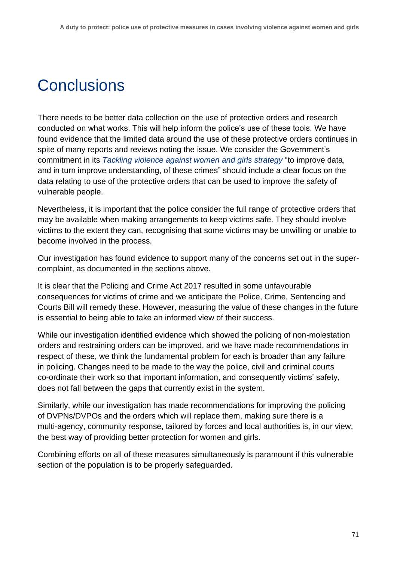# **Conclusions**

There needs to be better data collection on the use of protective orders and research conducted on what works. This will help inform the police's use of these tools. We have found evidence that the limited data around the use of these protective orders continues in spite of many reports and reviews noting the issue. We consider the Government's commitment in its *[Tackling violence against women and girls strategy](https://www.gov.uk/government/publications/tackling-violence-against-women-and-girls-strategy/tackling-violence-against-women-and-girls-strategy)* "to improve data, and in turn improve understanding, of these crimes" should include a clear focus on the data relating to use of the protective orders that can be used to improve the safety of vulnerable people.

Nevertheless, it is important that the police consider the full range of protective orders that may be available when making arrangements to keep victims safe. They should involve victims to the extent they can, recognising that some victims may be unwilling or unable to become involved in the process.

Our investigation has found evidence to support many of the concerns set out in the supercomplaint, as documented in the sections above.

It is clear that the Policing and Crime Act 2017 resulted in some unfavourable consequences for victims of crime and we anticipate the Police, Crime, Sentencing and Courts Bill will remedy these. However, measuring the value of these changes in the future is essential to being able to take an informed view of their success.

While our investigation identified evidence which showed the policing of non-molestation orders and restraining orders can be improved, and we have made recommendations in respect of these, we think the fundamental problem for each is broader than any failure in policing. Changes need to be made to the way the police, civil and criminal courts co-ordinate their work so that important information, and consequently victims' safety, does not fall between the gaps that currently exist in the system.

Similarly, while our investigation has made recommendations for improving the policing of DVPNs/DVPOs and the orders which will replace them, making sure there is a multi-agency, community response, tailored by forces and local authorities is, in our view, the best way of providing better protection for women and girls.

Combining efforts on all of these measures simultaneously is paramount if this vulnerable section of the population is to be properly safeguarded.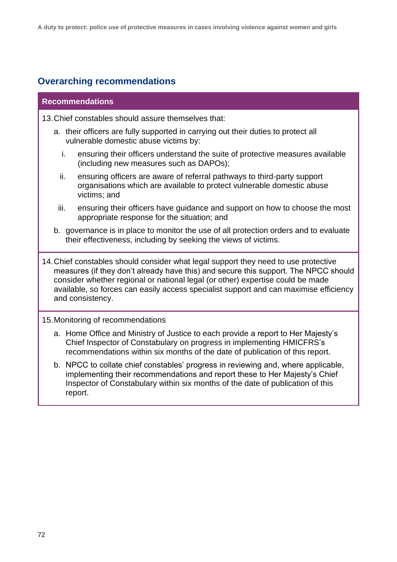## **Overarching recommendations**

#### **Recommendations**

13.Chief constables should assure themselves that:

- a. their officers are fully supported in carrying out their duties to protect all vulnerable domestic abuse victims by:
	- i. ensuring their officers understand the suite of protective measures available (including new measures such as DAPOs);
	- ii. ensuring officers are aware of referral pathways to third-party support organisations which are available to protect vulnerable domestic abuse victims; and
	- iii. ensuring their officers have guidance and support on how to choose the most appropriate response for the situation; and
- b. governance is in place to monitor the use of all protection orders and to evaluate their effectiveness, including by seeking the views of victims.
- 14.Chief constables should consider what legal support they need to use protective measures (if they don't already have this) and secure this support. The NPCC should consider whether regional or national legal (or other) expertise could be made available, so forces can easily access specialist support and can maximise efficiency and consistency.

#### 15.Monitoring of recommendations

- a. Home Office and Ministry of Justice to each provide a report to Her Majesty's Chief Inspector of Constabulary on progress in implementing HMICFRS's recommendations within six months of the date of publication of this report.
- b. NPCC to collate chief constables' progress in reviewing and, where applicable, implementing their recommendations and report these to Her Majesty's Chief Inspector of Constabulary within six months of the date of publication of this report.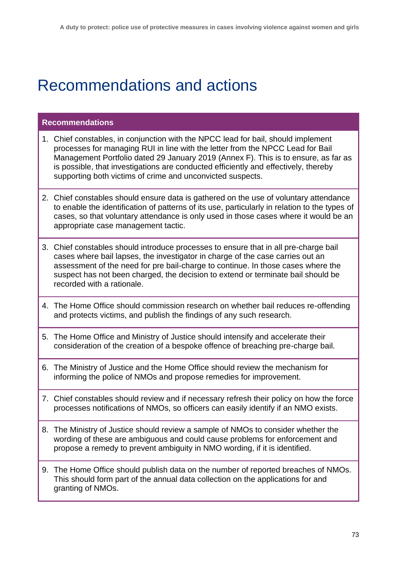## Recommendations and actions

#### **Recommendations**

- 1. Chief constables, in conjunction with the NPCC lead for bail, should implement processes for managing RUI in line with the letter from the NPCC Lead for Bail Management Portfolio dated 29 January 2019 (Annex F). This is to ensure, as far as is possible, that investigations are conducted efficiently and effectively, thereby supporting both victims of crime and unconvicted suspects.
- 2. Chief constables should ensure data is gathered on the use of voluntary attendance to enable the identification of patterns of its use, particularly in relation to the types of cases, so that voluntary attendance is only used in those cases where it would be an appropriate case management tactic.
- 3. Chief constables should introduce processes to ensure that in all pre-charge bail cases where bail lapses, the investigator in charge of the case carries out an assessment of the need for pre bail-charge to continue. In those cases where the suspect has not been charged, the decision to extend or terminate bail should be recorded with a rationale.
- 4. The Home Office should commission research on whether bail reduces re-offending and protects victims, and publish the findings of any such research.
- 5. The Home Office and Ministry of Justice should intensify and accelerate their consideration of the creation of a bespoke offence of breaching pre-charge bail.
- 6. The Ministry of Justice and the Home Office should review the mechanism for informing the police of NMOs and propose remedies for improvement.
- 7. Chief constables should review and if necessary refresh their policy on how the force processes notifications of NMOs, so officers can easily identify if an NMO exists.
- 8. The Ministry of Justice should review a sample of NMOs to consider whether the wording of these are ambiguous and could cause problems for enforcement and propose a remedy to prevent ambiguity in NMO wording, if it is identified.
- 9. The Home Office should publish data on the number of reported breaches of NMOs. This should form part of the annual data collection on the applications for and granting of NMOs.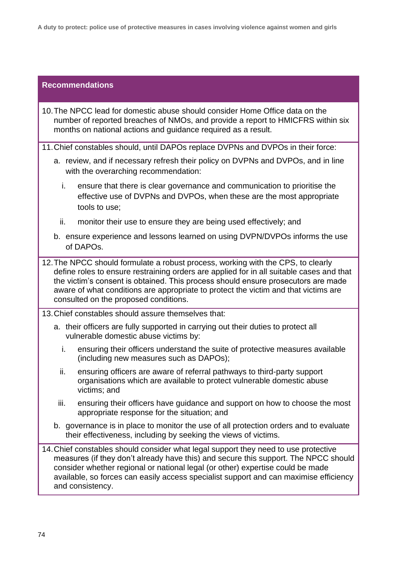**A duty to protect: police use of protective measures in cases involving violence against women and girls**

#### **Recommendations**

10.The NPCC lead for domestic abuse should consider Home Office data on the number of reported breaches of NMOs, and provide a report to HMICFRS within six months on national actions and guidance required as a result.

11.Chief constables should, until DAPOs replace DVPNs and DVPOs in their force:

- a. review, and if necessary refresh their policy on DVPNs and DVPOs, and in line with the overarching recommendation:
	- i. ensure that there is clear governance and communication to prioritise the effective use of DVPNs and DVPOs, when these are the most appropriate tools to use;
	- ii. monitor their use to ensure they are being used effectively; and
- b. ensure experience and lessons learned on using DVPN/DVPOs informs the use of DAPOs.
- 12.The NPCC should formulate a robust process, working with the CPS, to clearly define roles to ensure restraining orders are applied for in all suitable cases and that the victim's consent is obtained. This process should ensure prosecutors are made aware of what conditions are appropriate to protect the victim and that victims are consulted on the proposed conditions.
- 13.Chief constables should assure themselves that:
	- a. their officers are fully supported in carrying out their duties to protect all vulnerable domestic abuse victims by:
		- i. ensuring their officers understand the suite of protective measures available (including new measures such as DAPOs);
		- ii. ensuring officers are aware of referral pathways to third-party support organisations which are available to protect vulnerable domestic abuse victims; and
		- iii. ensuring their officers have guidance and support on how to choose the most appropriate response for the situation; and

b. governance is in place to monitor the use of all protection orders and to evaluate their effectiveness, including by seeking the views of victims.

14.Chief constables should consider what legal support they need to use protective measures (if they don't already have this) and secure this support. The NPCC should consider whether regional or national legal (or other) expertise could be made available, so forces can easily access specialist support and can maximise efficiency and consistency.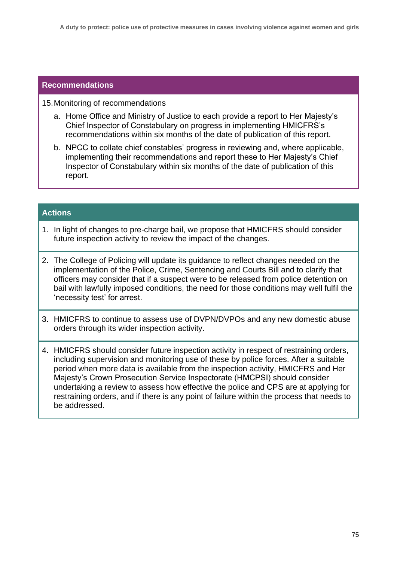#### **Recommendations**

15.Monitoring of recommendations

- a. Home Office and Ministry of Justice to each provide a report to Her Majesty's Chief Inspector of Constabulary on progress in implementing HMICFRS's recommendations within six months of the date of publication of this report.
- b. NPCC to collate chief constables' progress in reviewing and, where applicable, implementing their recommendations and report these to Her Majesty's Chief Inspector of Constabulary within six months of the date of publication of this report.

#### **Actions**

- 1. In light of changes to pre-charge bail, we propose that HMICFRS should consider future inspection activity to review the impact of the changes.
- 2. The College of Policing will update its guidance to reflect changes needed on the implementation of the Police, Crime, Sentencing and Courts Bill and to clarify that officers may consider that if a suspect were to be released from police detention on bail with lawfully imposed conditions, the need for those conditions may well fulfil the 'necessity test' for arrest.
- 3. HMICFRS to continue to assess use of DVPN/DVPOs and any new domestic abuse orders through its wider inspection activity.
- 4. HMICFRS should consider future inspection activity in respect of restraining orders, including supervision and monitoring use of these by police forces. After a suitable period when more data is available from the inspection activity, HMICFRS and Her Majesty's Crown Prosecution Service Inspectorate (HMCPSI) should consider undertaking a review to assess how effective the police and CPS are at applying for restraining orders, and if there is any point of failure within the process that needs to be addressed.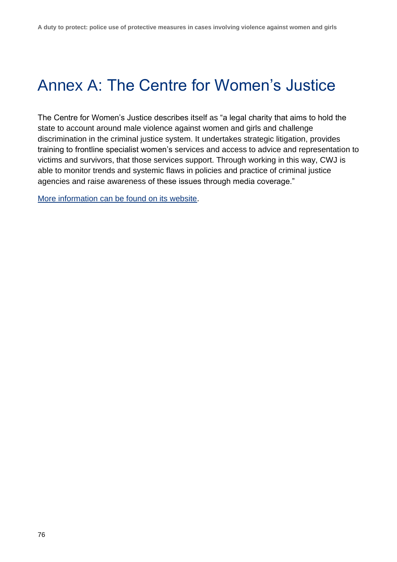# Annex A: The Centre for Women's Justice

The Centre for Women's Justice describes itself as "a legal charity that aims to hold the state to account around male violence against women and girls and challenge discrimination in the criminal justice system. It undertakes strategic litigation, provides training to frontline specialist women's services and access to advice and representation to victims and survivors, that those services support. Through working in this way, CWJ is able to monitor trends and systemic flaws in policies and practice of criminal justice agencies and raise awareness of these issues through media coverage."

[More information can be found on its website.](https://www.centreforwomensjustice.org.uk/)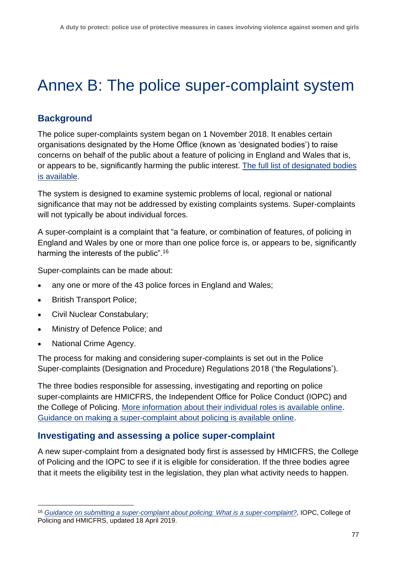# Annex B: The police super-complaint system

## **Background**

The police super-complaints system began on 1 November 2018. It enables certain organisations designated by the Home Office (known as 'designated bodies') to raise concerns on behalf of the public about a feature of policing in England and Wales that is, or appears to be, significantly harming the public interest. [The full list of designated bodies](http://www.gov.uk/government/publications/police-super-complaints-designated-bodies/designated-bodies)  [is available.](http://www.gov.uk/government/publications/police-super-complaints-designated-bodies/designated-bodies)

The system is designed to examine systemic problems of local, regional or national significance that may not be addressed by existing complaints systems. Super-complaints will not typically be about individual forces.

A super-complaint is a complaint that "a feature, or combination of features, of policing in England and Wales by one or more than one police force is, or appears to be, significantly harming the interests of the public".<sup>16</sup>

Super-complaints can be made about:

- any one or more of the 43 police forces in England and Wales;
- British Transport Police;
- Civil Nuclear Constabulary;
- Ministry of Defence Police; and
- National Crime Agency.

The process for making and considering super-complaints is set out in the Police Super-complaints (Designation and Procedure) Regulations 2018 ('the Regulations').

The three bodies responsible for assessing, investigating and reporting on police super-complaints are HMICFRS, the Independent Office for Police Conduct (IOPC) and the College of Policing. [More information about their individual roles is available online.](http://www.gov.uk/guidance/police-super-complaints#annex-b) [Guidance on making a super-complaint about policing is available online.](https://www.gov.uk/guidance/police-super-complaints)

## **Investigating and assessing a police super-complaint**

A new super-complaint from a designated body first is assessed by HMICFRS, the College of Policing and the IOPC to see if it is eligible for consideration. If the three bodies agree that it meets the eligibility test in the legislation, they plan what activity needs to happen.

<sup>16</sup> *[Guidance on submitting a super-complaint about policing: What is a super-complaint?](https://www.gov.uk/guidance/police-super-complaints#what-is-a-super-complaint)*, IOPC, College of Policing and HMICFRS, updated 18 April 2019.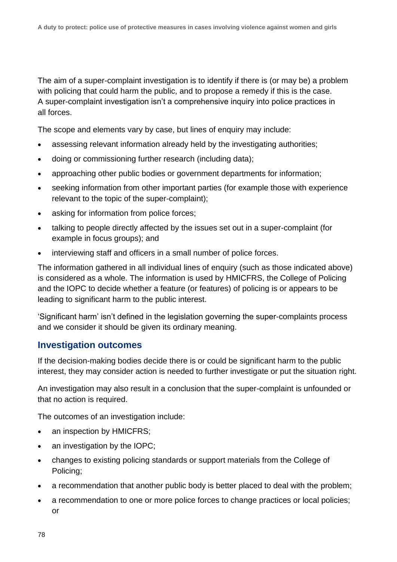The aim of a super-complaint investigation is to identify if there is (or may be) a problem with policing that could harm the public, and to propose a remedy if this is the case. A super-complaint investigation isn't a comprehensive inquiry into police practices in all forces.

The scope and elements vary by case, but lines of enquiry may include:

- assessing relevant information already held by the investigating authorities;
- doing or commissioning further research (including data);
- approaching other public bodies or government departments for information;
- seeking information from other important parties (for example those with experience relevant to the topic of the super-complaint);
- asking for information from police forces;
- talking to people directly affected by the issues set out in a super-complaint (for example in focus groups); and
- interviewing staff and officers in a small number of police forces.

The information gathered in all individual lines of enquiry (such as those indicated above) is considered as a whole. The information is used by HMICFRS, the College of Policing and the IOPC to decide whether a feature (or features) of policing is or appears to be leading to significant harm to the public interest.

'Significant harm' isn't defined in the legislation governing the super-complaints process and we consider it should be given its ordinary meaning.

#### **Investigation outcomes**

If the decision-making bodies decide there is or could be significant harm to the public interest, they may consider action is needed to further investigate or put the situation right.

An investigation may also result in a conclusion that the super-complaint is unfounded or that no action is required.

The outcomes of an investigation include:

- an inspection by HMICFRS;
- an investigation by the IOPC;
- changes to existing policing standards or support materials from the College of Policing;
- a recommendation that another public body is better placed to deal with the problem;
- a recommendation to one or more police forces to change practices or local policies; or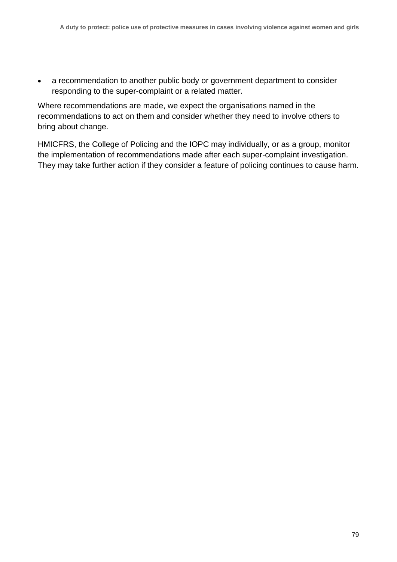• a recommendation to another public body or government department to consider responding to the super-complaint or a related matter.

Where recommendations are made, we expect the organisations named in the recommendations to act on them and consider whether they need to involve others to bring about change.

HMICFRS, the College of Policing and the IOPC may individually, or as a group, monitor the implementation of recommendations made after each super-complaint investigation. They may take further action if they consider a feature of policing continues to cause harm.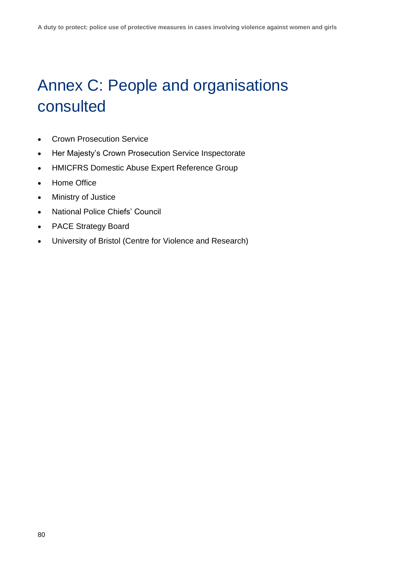# Annex C: People and organisations consulted

- Crown Prosecution Service
- Her Majesty's Crown Prosecution Service Inspectorate
- HMICFRS Domestic Abuse Expert Reference Group
- Home Office
- Ministry of Justice
- National Police Chiefs' Council
- PACE Strategy Board
- University of Bristol (Centre for Violence and Research)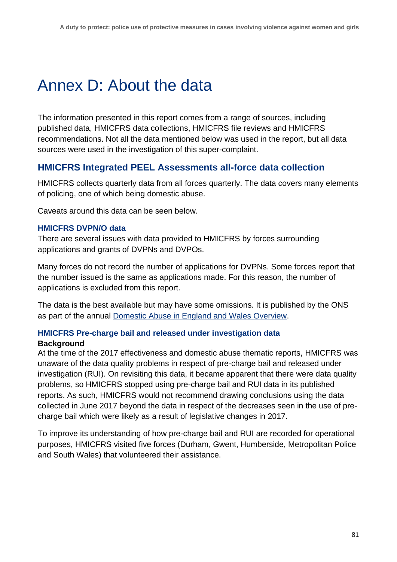# Annex D: About the data

The information presented in this report comes from a range of sources, including published data, HMICFRS data collections, HMICFRS file reviews and HMICFRS recommendations. Not all the data mentioned below was used in the report, but all data sources were used in the investigation of this super-complaint.

## **HMICFRS Integrated PEEL Assessments all-force data collection**

HMICFRS collects quarterly data from all forces quarterly. The data covers many elements of policing, one of which being domestic abuse.

Caveats around this data can be seen below.

#### **HMICFRS DVPN/O data**

There are several issues with data provided to HMICFRS by forces surrounding applications and grants of DVPNs and DVPOs.

Many forces do not record the number of applications for DVPNs. Some forces report that the number issued is the same as applications made. For this reason, the number of applications is excluded from this report.

The data is the best available but may have some omissions. It is published by the ONS as part of the annual [Domestic Abuse in England and Wales Overview.](https://www.ons.gov.uk/redir/eyJhbGciOiJIUzI1NiJ9.eyJpbmRleCI6MSwicGFnZVNpemUiOjEwLCJwYWdlIjoxLCJ1cmkiOiIvcGVvcGxlcG9wdWxhdGlvbmFuZGNvbW11bml0eS9jcmltZWFuZGp1c3RpY2UvZGF0YXNldHMvZG9tZXN0aWNhYnVzZWFuZHRoZWNyaW1pbmFsanVzdGljZXN5c3RlbWFwcGVuZGl4dGFibGVzIiwibGlzdFR5cGUiOiJyZWxhdGVkZGF0YSJ9.tu4epumDKRPyYsO15d_Y9Ijjx-dtuHtaQTU4DdO56PQ)

#### **HMICFRS Pre-charge bail and released under investigation data Background**

At the time of the 2017 effectiveness and domestic abuse thematic reports, HMICFRS was unaware of the data quality problems in respect of pre-charge bail and released under investigation (RUI). On revisiting this data, it became apparent that there were data quality problems, so HMICFRS stopped using pre-charge bail and RUI data in its published reports. As such, HMICFRS would not recommend drawing conclusions using the data collected in June 2017 beyond the data in respect of the decreases seen in the use of precharge bail which were likely as a result of legislative changes in 2017.

To improve its understanding of how pre-charge bail and RUI are recorded for operational purposes, HMICFRS visited five forces (Durham, Gwent, Humberside, Metropolitan Police and South Wales) that volunteered their assistance.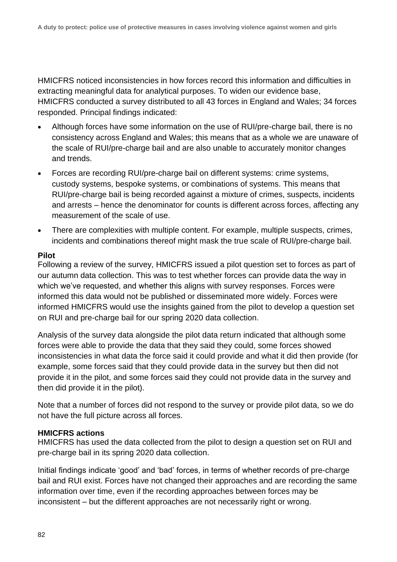HMICFRS noticed inconsistencies in how forces record this information and difficulties in extracting meaningful data for analytical purposes. To widen our evidence base, HMICFRS conducted a survey distributed to all 43 forces in England and Wales; 34 forces responded. Principal findings indicated:

- Although forces have some information on the use of RUI/pre-charge bail, there is no consistency across England and Wales; this means that as a whole we are unaware of the scale of RUI/pre-charge bail and are also unable to accurately monitor changes and trends.
- Forces are recording RUI/pre-charge bail on different systems: crime systems, custody systems, bespoke systems, or combinations of systems. This means that RUI/pre-charge bail is being recorded against a mixture of crimes, suspects, incidents and arrests – hence the denominator for counts is different across forces, affecting any measurement of the scale of use.
- There are complexities with multiple content. For example, multiple suspects, crimes, incidents and combinations thereof might mask the true scale of RUI/pre-charge bail.

#### **Pilot**

Following a review of the survey, HMICFRS issued a pilot question set to forces as part of our autumn data collection. This was to test whether forces can provide data the way in which we've requested, and whether this aligns with survey responses. Forces were informed this data would not be published or disseminated more widely. Forces were informed HMICFRS would use the insights gained from the pilot to develop a question set on RUI and pre-charge bail for our spring 2020 data collection.

Analysis of the survey data alongside the pilot data return indicated that although some forces were able to provide the data that they said they could, some forces showed inconsistencies in what data the force said it could provide and what it did then provide (for example, some forces said that they could provide data in the survey but then did not provide it in the pilot, and some forces said they could not provide data in the survey and then did provide it in the pilot).

Note that a number of forces did not respond to the survey or provide pilot data, so we do not have the full picture across all forces.

#### **HMICFRS actions**

HMICFRS has used the data collected from the pilot to design a question set on RUI and pre-charge bail in its spring 2020 data collection.

Initial findings indicate 'good' and 'bad' forces, in terms of whether records of pre-charge bail and RUI exist. Forces have not changed their approaches and are recording the same information over time, even if the recording approaches between forces may be inconsistent – but the different approaches are not necessarily right or wrong.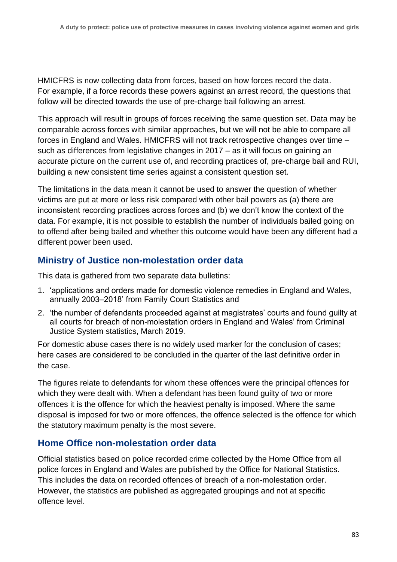HMICFRS is now collecting data from forces, based on how forces record the data. For example, if a force records these powers against an arrest record, the questions that follow will be directed towards the use of pre-charge bail following an arrest.

This approach will result in groups of forces receiving the same question set. Data may be comparable across forces with similar approaches, but we will not be able to compare all forces in England and Wales. HMICFRS will not track retrospective changes over time – such as differences from legislative changes in 2017 – as it will focus on gaining an accurate picture on the current use of, and recording practices of, pre-charge bail and RUI, building a new consistent time series against a consistent question set.

The limitations in the data mean it cannot be used to answer the question of whether victims are put at more or less risk compared with other bail powers as (a) there are inconsistent recording practices across forces and (b) we don't know the context of the data. For example, it is not possible to establish the number of individuals bailed going on to offend after being bailed and whether this outcome would have been any different had a different power been used.

## **Ministry of Justice non-molestation order data**

This data is gathered from two separate data bulletins:

- 1. 'applications and orders made for domestic violence remedies in England and Wales, annually 2003–2018' from Family Court Statistics and
- 2. 'the number of defendants proceeded against at magistrates' courts and found guilty at all courts for breach of non-molestation orders in England and Wales' from Criminal Justice System statistics, March 2019.

For domestic abuse cases there is no widely used marker for the conclusion of cases; here cases are considered to be concluded in the quarter of the last definitive order in the case.

The figures relate to defendants for whom these offences were the principal offences for which they were dealt with. When a defendant has been found guilty of two or more offences it is the offence for which the heaviest penalty is imposed. Where the same disposal is imposed for two or more offences, the offence selected is the offence for which the statutory maximum penalty is the most severe.

### **Home Office non-molestation order data**

Official statistics based on police recorded crime collected by the Home Office from all police forces in England and Wales are published by the Office for National Statistics. This includes the data on recorded offences of breach of a non-molestation order. However, the statistics are published as aggregated groupings and not at specific offence level.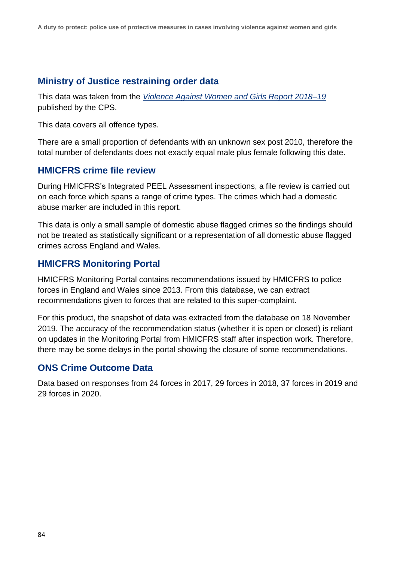## **Ministry of Justice restraining order data**

This data was taken from the *[Violence Against Women and Girls Report 2018–19](https://www.cps.gov.uk/publication/violence-against-women-and-girls)* published by the CPS.

This data covers all offence types.

There are a small proportion of defendants with an unknown sex post 2010, therefore the total number of defendants does not exactly equal male plus female following this date.

### **HMICFRS crime file review**

During HMICFRS's Integrated PEEL Assessment inspections, a file review is carried out on each force which spans a range of crime types. The crimes which had a domestic abuse marker are included in this report.

This data is only a small sample of domestic abuse flagged crimes so the findings should not be treated as statistically significant or a representation of all domestic abuse flagged crimes across England and Wales.

## **HMICFRS Monitoring Portal**

HMICFRS Monitoring Portal contains recommendations issued by HMICFRS to police forces in England and Wales since 2013. From this database, we can extract recommendations given to forces that are related to this super-complaint.

For this product, the snapshot of data was extracted from the database on 18 November 2019. The accuracy of the recommendation status (whether it is open or closed) is reliant on updates in the Monitoring Portal from HMICFRS staff after inspection work. Therefore, there may be some delays in the portal showing the closure of some recommendations.

## **ONS Crime Outcome Data**

Data based on responses from 24 forces in 2017, 29 forces in 2018, 37 forces in 2019 and 29 forces in 2020.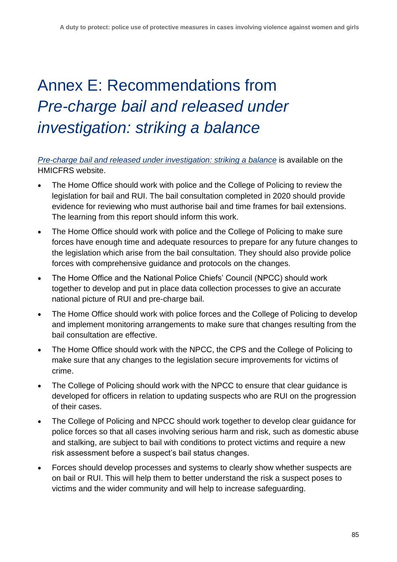# Annex E: Recommendations from *Pre-charge bail and released under investigation: striking a balance*

*[Pre-charge bail and released under investigation: striking a balance](https://www.justiceinspectorates.gov.uk/hmicfrs/publications/pre-charge-bail-and-released-under-investigation-striking-a-balance/)* is available on the HMICFRS website.

- The Home Office should work with police and the College of Policing to review the legislation for bail and RUI. The bail consultation completed in 2020 should provide evidence for reviewing who must authorise bail and time frames for bail extensions. The learning from this report should inform this work.
- The Home Office should work with police and the College of Policing to make sure forces have enough time and adequate resources to prepare for any future changes to the legislation which arise from the bail consultation. They should also provide police forces with comprehensive guidance and protocols on the changes.
- The Home Office and the National Police Chiefs' Council (NPCC) should work together to develop and put in place data collection processes to give an accurate national picture of RUI and pre-charge bail.
- The Home Office should work with police forces and the College of Policing to develop and implement monitoring arrangements to make sure that changes resulting from the bail consultation are effective.
- The Home Office should work with the NPCC, the CPS and the College of Policing to make sure that any changes to the legislation secure improvements for victims of crime.
- The College of Policing should work with the NPCC to ensure that clear guidance is developed for officers in relation to updating suspects who are RUI on the progression of their cases.
- The College of Policing and NPCC should work together to develop clear guidance for police forces so that all cases involving serious harm and risk, such as domestic abuse and stalking, are subject to bail with conditions to protect victims and require a new risk assessment before a suspect's bail status changes.
- Forces should develop processes and systems to clearly show whether suspects are on bail or RUI. This will help them to better understand the risk a suspect poses to victims and the wider community and will help to increase safeguarding.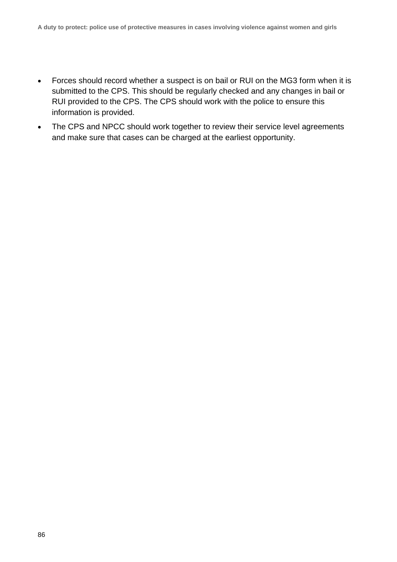- Forces should record whether a suspect is on bail or RUI on the MG3 form when it is submitted to the CPS. This should be regularly checked and any changes in bail or RUI provided to the CPS. The CPS should work with the police to ensure this information is provided.
- The CPS and NPCC should work together to review their service level agreements and make sure that cases can be charged at the earliest opportunity.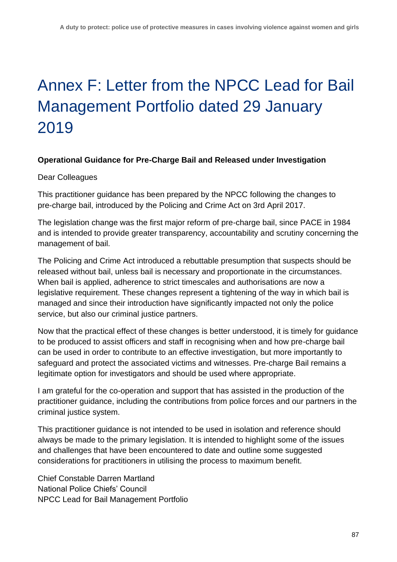# Annex F: Letter from the NPCC Lead for Bail Management Portfolio dated 29 January 2019

#### **Operational Guidance for Pre-Charge Bail and Released under Investigation**

#### Dear Colleagues

This practitioner guidance has been prepared by the NPCC following the changes to pre-charge bail, introduced by the Policing and Crime Act on 3rd April 2017.

The legislation change was the first major reform of pre-charge bail, since PACE in 1984 and is intended to provide greater transparency, accountability and scrutiny concerning the management of bail.

The Policing and Crime Act introduced a rebuttable presumption that suspects should be released without bail, unless bail is necessary and proportionate in the circumstances. When bail is applied, adherence to strict timescales and authorisations are now a legislative requirement. These changes represent a tightening of the way in which bail is managed and since their introduction have significantly impacted not only the police service, but also our criminal justice partners.

Now that the practical effect of these changes is better understood, it is timely for guidance to be produced to assist officers and staff in recognising when and how pre-charge bail can be used in order to contribute to an effective investigation, but more importantly to safeguard and protect the associated victims and witnesses. Pre-charge Bail remains a legitimate option for investigators and should be used where appropriate.

I am grateful for the co-operation and support that has assisted in the production of the practitioner guidance, including the contributions from police forces and our partners in the criminal justice system.

This practitioner guidance is not intended to be used in isolation and reference should always be made to the primary legislation. It is intended to highlight some of the issues and challenges that have been encountered to date and outline some suggested considerations for practitioners in utilising the process to maximum benefit.

Chief Constable Darren Martland National Police Chiefs' Council NPCC Lead for Bail Management Portfolio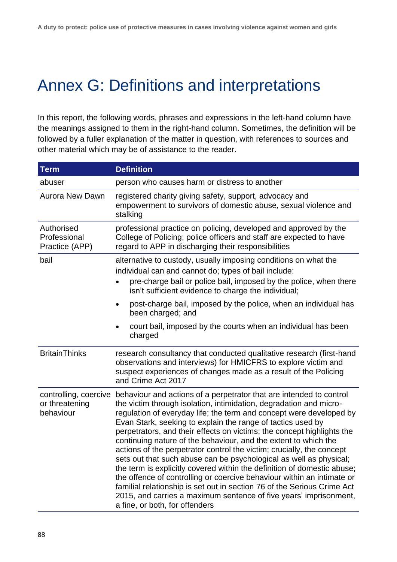# Annex G: Definitions and interpretations

In this report, the following words, phrases and expressions in the left-hand column have the meanings assigned to them in the right-hand column. Sometimes, the definition will be followed by a fuller explanation of the matter in question, with references to sources and other material which may be of assistance to the reader.

| <b>Term</b>                                  | <b>Definition</b>                                                                                                                                                                                                                                                                                                                                                                                                                                                                                                                                                                                                                                                                                                                                                                                                                                                                                                                        |
|----------------------------------------------|------------------------------------------------------------------------------------------------------------------------------------------------------------------------------------------------------------------------------------------------------------------------------------------------------------------------------------------------------------------------------------------------------------------------------------------------------------------------------------------------------------------------------------------------------------------------------------------------------------------------------------------------------------------------------------------------------------------------------------------------------------------------------------------------------------------------------------------------------------------------------------------------------------------------------------------|
| abuser                                       | person who causes harm or distress to another                                                                                                                                                                                                                                                                                                                                                                                                                                                                                                                                                                                                                                                                                                                                                                                                                                                                                            |
| <b>Aurora New Dawn</b>                       | registered charity giving safety, support, advocacy and<br>empowerment to survivors of domestic abuse, sexual violence and<br>stalking                                                                                                                                                                                                                                                                                                                                                                                                                                                                                                                                                                                                                                                                                                                                                                                                   |
| Authorised<br>Professional<br>Practice (APP) | professional practice on policing, developed and approved by the<br>College of Policing; police officers and staff are expected to have<br>regard to APP in discharging their responsibilities                                                                                                                                                                                                                                                                                                                                                                                                                                                                                                                                                                                                                                                                                                                                           |
| bail                                         | alternative to custody, usually imposing conditions on what the<br>individual can and cannot do; types of bail include:<br>pre-charge bail or police bail, imposed by the police, when there<br>isn't sufficient evidence to charge the individual;                                                                                                                                                                                                                                                                                                                                                                                                                                                                                                                                                                                                                                                                                      |
|                                              | post-charge bail, imposed by the police, when an individual has<br>٠<br>been charged; and                                                                                                                                                                                                                                                                                                                                                                                                                                                                                                                                                                                                                                                                                                                                                                                                                                                |
|                                              | court bail, imposed by the courts when an individual has been<br>٠<br>charged                                                                                                                                                                                                                                                                                                                                                                                                                                                                                                                                                                                                                                                                                                                                                                                                                                                            |
| <b>BritainThinks</b>                         | research consultancy that conducted qualitative research (first-hand<br>observations and interviews) for HMICFRS to explore victim and<br>suspect experiences of changes made as a result of the Policing<br>and Crime Act 2017                                                                                                                                                                                                                                                                                                                                                                                                                                                                                                                                                                                                                                                                                                          |
| or threatening<br>behaviour                  | controlling, coercive behaviour and actions of a perpetrator that are intended to control<br>the victim through isolation, intimidation, degradation and micro-<br>regulation of everyday life; the term and concept were developed by<br>Evan Stark, seeking to explain the range of tactics used by<br>perpetrators, and their effects on victims; the concept highlights the<br>continuing nature of the behaviour, and the extent to which the<br>actions of the perpetrator control the victim; crucially, the concept<br>sets out that such abuse can be psychological as well as physical;<br>the term is explicitly covered within the definition of domestic abuse;<br>the offence of controlling or coercive behaviour within an intimate or<br>familial relationship is set out in section 76 of the Serious Crime Act<br>2015, and carries a maximum sentence of five years' imprisonment,<br>a fine, or both, for offenders |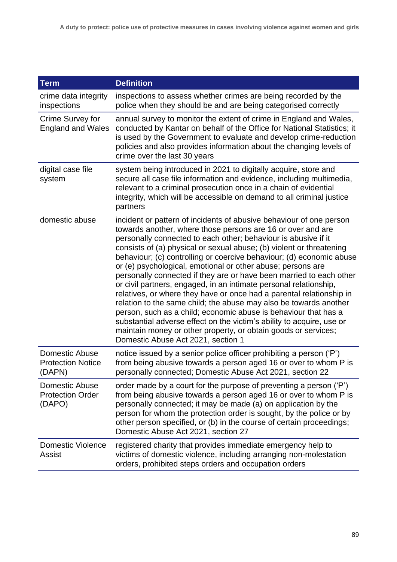| <b>Term</b>                                          | <b>Definition</b>                                                                                                                                                                                                                                                                                                                                                                                                                                                                                                                                                                                                                                                                                                                                                                                                                                                                                                                                                |
|------------------------------------------------------|------------------------------------------------------------------------------------------------------------------------------------------------------------------------------------------------------------------------------------------------------------------------------------------------------------------------------------------------------------------------------------------------------------------------------------------------------------------------------------------------------------------------------------------------------------------------------------------------------------------------------------------------------------------------------------------------------------------------------------------------------------------------------------------------------------------------------------------------------------------------------------------------------------------------------------------------------------------|
| crime data integrity<br>inspections                  | inspections to assess whether crimes are being recorded by the<br>police when they should be and are being categorised correctly                                                                                                                                                                                                                                                                                                                                                                                                                                                                                                                                                                                                                                                                                                                                                                                                                                 |
| Crime Survey for<br><b>England and Wales</b>         | annual survey to monitor the extent of crime in England and Wales,<br>conducted by Kantar on behalf of the Office for National Statistics; it<br>is used by the Government to evaluate and develop crime-reduction<br>policies and also provides information about the changing levels of<br>crime over the last 30 years                                                                                                                                                                                                                                                                                                                                                                                                                                                                                                                                                                                                                                        |
| digital case file<br>system                          | system being introduced in 2021 to digitally acquire, store and<br>secure all case file information and evidence, including multimedia,<br>relevant to a criminal prosecution once in a chain of evidential<br>integrity, which will be accessible on demand to all criminal justice<br>partners                                                                                                                                                                                                                                                                                                                                                                                                                                                                                                                                                                                                                                                                 |
| domestic abuse                                       | incident or pattern of incidents of abusive behaviour of one person<br>towards another, where those persons are 16 or over and are<br>personally connected to each other; behaviour is abusive if it<br>consists of (a) physical or sexual abuse; (b) violent or threatening<br>behaviour; (c) controlling or coercive behaviour; (d) economic abuse<br>or (e) psychological, emotional or other abuse; persons are<br>personally connected if they are or have been married to each other<br>or civil partners, engaged, in an intimate personal relationship,<br>relatives, or where they have or once had a parental relationship in<br>relation to the same child; the abuse may also be towards another<br>person, such as a child; economic abuse is behaviour that has a<br>substantial adverse effect on the victim's ability to acquire, use or<br>maintain money or other property, or obtain goods or services;<br>Domestic Abuse Act 2021, section 1 |
| Domestic Abuse<br><b>Protection Notice</b><br>(DAPN) | notice issued by a senior police officer prohibiting a person ('P')<br>from being abusive towards a person aged 16 or over to whom P is<br>personally connected; Domestic Abuse Act 2021, section 22                                                                                                                                                                                                                                                                                                                                                                                                                                                                                                                                                                                                                                                                                                                                                             |
| Domestic Abuse<br><b>Protection Order</b><br>(DAPO)  | order made by a court for the purpose of preventing a person ('P')<br>from being abusive towards a person aged 16 or over to whom P is<br>personally connected; it may be made (a) on application by the<br>person for whom the protection order is sought, by the police or by<br>other person specified, or (b) in the course of certain proceedings;<br>Domestic Abuse Act 2021, section 27                                                                                                                                                                                                                                                                                                                                                                                                                                                                                                                                                                   |
| <b>Domestic Violence</b><br><b>Assist</b>            | registered charity that provides immediate emergency help to<br>victims of domestic violence, including arranging non-molestation<br>orders, prohibited steps orders and occupation orders                                                                                                                                                                                                                                                                                                                                                                                                                                                                                                                                                                                                                                                                                                                                                                       |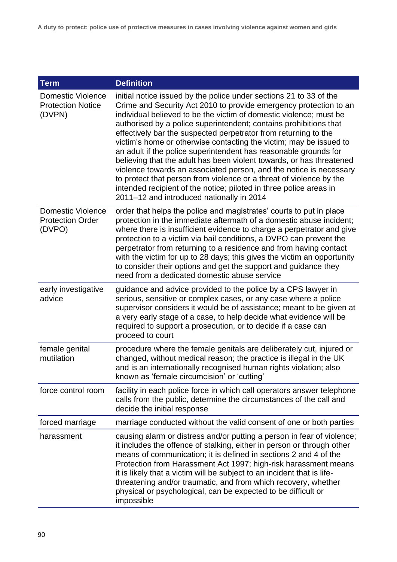| <b>Term</b>                                                    | <b>Definition</b>                                                                                                                                                                                                                                                                                                                                                                                                                                                                                                                                                                                                                                                                                                                                                                                                                       |
|----------------------------------------------------------------|-----------------------------------------------------------------------------------------------------------------------------------------------------------------------------------------------------------------------------------------------------------------------------------------------------------------------------------------------------------------------------------------------------------------------------------------------------------------------------------------------------------------------------------------------------------------------------------------------------------------------------------------------------------------------------------------------------------------------------------------------------------------------------------------------------------------------------------------|
| <b>Domestic Violence</b><br><b>Protection Notice</b><br>(DVPN) | initial notice issued by the police under sections 21 to 33 of the<br>Crime and Security Act 2010 to provide emergency protection to an<br>individual believed to be the victim of domestic violence; must be<br>authorised by a police superintendent; contains prohibitions that<br>effectively bar the suspected perpetrator from returning to the<br>victim's home or otherwise contacting the victim; may be issued to<br>an adult if the police superintendent has reasonable grounds for<br>believing that the adult has been violent towards, or has threatened<br>violence towards an associated person, and the notice is necessary<br>to protect that person from violence or a threat of violence by the<br>intended recipient of the notice; piloted in three police areas in<br>2011-12 and introduced nationally in 2014 |
| <b>Domestic Violence</b><br><b>Protection Order</b><br>(DVPO)  | order that helps the police and magistrates' courts to put in place<br>protection in the immediate aftermath of a domestic abuse incident;<br>where there is insufficient evidence to charge a perpetrator and give<br>protection to a victim via bail conditions, a DVPO can prevent the<br>perpetrator from returning to a residence and from having contact<br>with the victim for up to 28 days; this gives the victim an opportunity<br>to consider their options and get the support and guidance they<br>need from a dedicated domestic abuse service                                                                                                                                                                                                                                                                            |
| early investigative<br>advice                                  | guidance and advice provided to the police by a CPS lawyer in<br>serious, sensitive or complex cases, or any case where a police<br>supervisor considers it would be of assistance; meant to be given at<br>a very early stage of a case, to help decide what evidence will be<br>required to support a prosecution, or to decide if a case can<br>proceed to court                                                                                                                                                                                                                                                                                                                                                                                                                                                                     |
| female genital<br>mutilation                                   | procedure where the female genitals are deliberately cut, injured or<br>changed, without medical reason; the practice is illegal in the UK<br>and is an internationally recognised human rights violation; also<br>known as 'female circumcision' or 'cutting'                                                                                                                                                                                                                                                                                                                                                                                                                                                                                                                                                                          |
| force control room                                             | facility in each police force in which call operators answer telephone<br>calls from the public, determine the circumstances of the call and<br>decide the initial response                                                                                                                                                                                                                                                                                                                                                                                                                                                                                                                                                                                                                                                             |
| forced marriage                                                | marriage conducted without the valid consent of one or both parties                                                                                                                                                                                                                                                                                                                                                                                                                                                                                                                                                                                                                                                                                                                                                                     |
| harassment                                                     | causing alarm or distress and/or putting a person in fear of violence;<br>it includes the offence of stalking, either in person or through other<br>means of communication; it is defined in sections 2 and 4 of the<br>Protection from Harassment Act 1997; high-risk harassment means<br>it is likely that a victim will be subject to an incident that is life-<br>threatening and/or traumatic, and from which recovery, whether<br>physical or psychological, can be expected to be difficult or<br>impossible                                                                                                                                                                                                                                                                                                                     |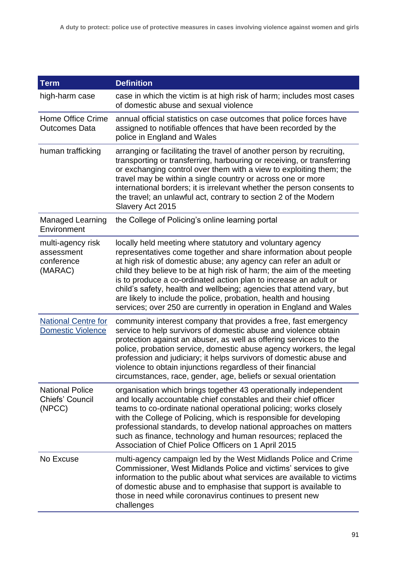| <b>Term</b>                                                | <b>Definition</b>                                                                                                                                                                                                                                                                                                                                                                                                                                                                                                                                               |
|------------------------------------------------------------|-----------------------------------------------------------------------------------------------------------------------------------------------------------------------------------------------------------------------------------------------------------------------------------------------------------------------------------------------------------------------------------------------------------------------------------------------------------------------------------------------------------------------------------------------------------------|
| high-harm case                                             | case in which the victim is at high risk of harm; includes most cases<br>of domestic abuse and sexual violence                                                                                                                                                                                                                                                                                                                                                                                                                                                  |
| <b>Home Office Crime</b><br><b>Outcomes Data</b>           | annual official statistics on case outcomes that police forces have<br>assigned to notifiable offences that have been recorded by the<br>police in England and Wales                                                                                                                                                                                                                                                                                                                                                                                            |
| human trafficking                                          | arranging or facilitating the travel of another person by recruiting,<br>transporting or transferring, harbouring or receiving, or transferring<br>or exchanging control over them with a view to exploiting them; the<br>travel may be within a single country or across one or more<br>international borders; it is irrelevant whether the person consents to<br>the travel; an unlawful act, contrary to section 2 of the Modern<br>Slavery Act 2015                                                                                                         |
| <b>Managed Learning</b><br>Environment                     | the College of Policing's online learning portal                                                                                                                                                                                                                                                                                                                                                                                                                                                                                                                |
| multi-agency risk<br>assessment<br>conference<br>(MARAC)   | locally held meeting where statutory and voluntary agency<br>representatives come together and share information about people<br>at high risk of domestic abuse; any agency can refer an adult or<br>child they believe to be at high risk of harm; the aim of the meeting<br>is to produce a co-ordinated action plan to increase an adult or<br>child's safety, health and wellbeing; agencies that attend vary, but<br>are likely to include the police, probation, health and housing<br>services; over 250 are currently in operation in England and Wales |
| <b>National Centre for</b><br>Domestic Violence            | community interest company that provides a free, fast emergency<br>service to help survivors of domestic abuse and violence obtain<br>protection against an abuser, as well as offering services to the<br>police, probation service, domestic abuse agency workers, the legal<br>profession and judiciary; it helps survivors of domestic abuse and<br>violence to obtain injunctions regardless of their financial<br>circumstances, race, gender, age, beliefs or sexual orientation                                                                         |
| <b>National Police</b><br><b>Chiefs' Council</b><br>(NPCC) | organisation which brings together 43 operationally independent<br>and locally accountable chief constables and their chief officer<br>teams to co-ordinate national operational policing; works closely<br>with the College of Policing, which is responsible for developing<br>professional standards, to develop national approaches on matters<br>such as finance, technology and human resources; replaced the<br>Association of Chief Police Officers on 1 April 2015                                                                                     |
| No Excuse                                                  | multi-agency campaign led by the West Midlands Police and Crime<br>Commissioner, West Midlands Police and victims' services to give<br>information to the public about what services are available to victims<br>of domestic abuse and to emphasise that support is available to<br>those in need while coronavirus continues to present new<br>challenges                                                                                                                                                                                                      |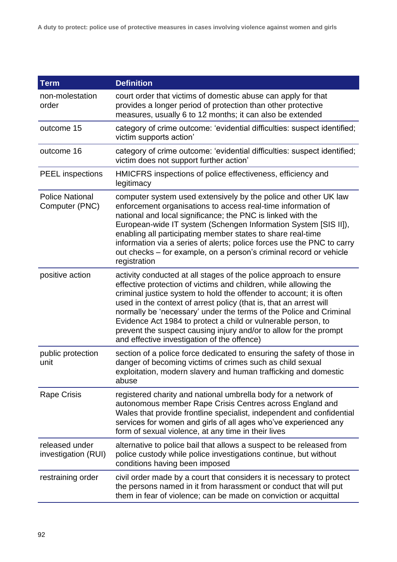| <b>Term</b>                              | <b>Definition</b>                                                                                                                                                                                                                                                                                                                                                                                                                                                                                                                              |
|------------------------------------------|------------------------------------------------------------------------------------------------------------------------------------------------------------------------------------------------------------------------------------------------------------------------------------------------------------------------------------------------------------------------------------------------------------------------------------------------------------------------------------------------------------------------------------------------|
| non-molestation<br>order                 | court order that victims of domestic abuse can apply for that<br>provides a longer period of protection than other protective<br>measures, usually 6 to 12 months; it can also be extended                                                                                                                                                                                                                                                                                                                                                     |
| outcome 15                               | category of crime outcome: 'evidential difficulties: suspect identified;<br>victim supports action'                                                                                                                                                                                                                                                                                                                                                                                                                                            |
| outcome 16                               | category of crime outcome: 'evidential difficulties: suspect identified;<br>victim does not support further action'                                                                                                                                                                                                                                                                                                                                                                                                                            |
| <b>PEEL</b> inspections                  | HMICFRS inspections of police effectiveness, efficiency and<br>legitimacy                                                                                                                                                                                                                                                                                                                                                                                                                                                                      |
| <b>Police National</b><br>Computer (PNC) | computer system used extensively by the police and other UK law<br>enforcement organisations to access real-time information of<br>national and local significance; the PNC is linked with the<br>European-wide IT system (Schengen Information System [SIS II]),<br>enabling all participating member states to share real-time<br>information via a series of alerts; police forces use the PNC to carry<br>out checks – for example, on a person's criminal record or vehicle<br>registration                                               |
| positive action                          | activity conducted at all stages of the police approach to ensure<br>effective protection of victims and children, while allowing the<br>criminal justice system to hold the offender to account; it is often<br>used in the context of arrest policy (that is, that an arrest will<br>normally be 'necessary' under the terms of the Police and Criminal<br>Evidence Act 1984 to protect a child or vulnerable person, to<br>prevent the suspect causing injury and/or to allow for the prompt<br>and effective investigation of the offence) |
| public protection<br>unit                | section of a police force dedicated to ensuring the safety of those in<br>danger of becoming victims of crimes such as child sexual<br>exploitation, modern slavery and human trafficking and domestic<br>abuse                                                                                                                                                                                                                                                                                                                                |
| <b>Rape Crisis</b>                       | registered charity and national umbrella body for a network of<br>autonomous member Rape Crisis Centres across England and<br>Wales that provide frontline specialist, independent and confidential<br>services for women and girls of all ages who've experienced any<br>form of sexual violence, at any time in their lives                                                                                                                                                                                                                  |
| released under<br>investigation (RUI)    | alternative to police bail that allows a suspect to be released from<br>police custody while police investigations continue, but without<br>conditions having been imposed                                                                                                                                                                                                                                                                                                                                                                     |
| restraining order                        | civil order made by a court that considers it is necessary to protect<br>the persons named in it from harassment or conduct that will put<br>them in fear of violence; can be made on conviction or acquittal                                                                                                                                                                                                                                                                                                                                  |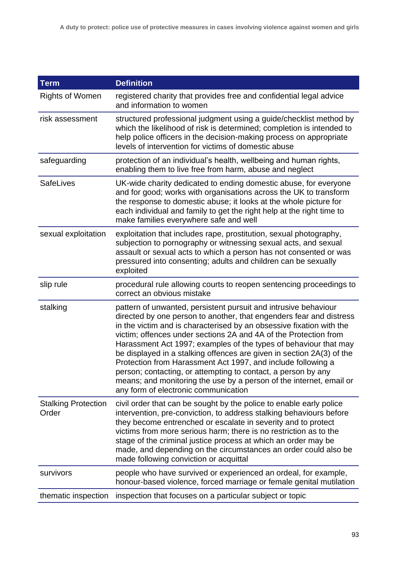| <b>Term</b>                         | <b>Definition</b>                                                                                                                                                                                                                                                                                                                                                                                                                                                                                                                                                                                                                                                               |
|-------------------------------------|---------------------------------------------------------------------------------------------------------------------------------------------------------------------------------------------------------------------------------------------------------------------------------------------------------------------------------------------------------------------------------------------------------------------------------------------------------------------------------------------------------------------------------------------------------------------------------------------------------------------------------------------------------------------------------|
| <b>Rights of Women</b>              | registered charity that provides free and confidential legal advice<br>and information to women                                                                                                                                                                                                                                                                                                                                                                                                                                                                                                                                                                                 |
| risk assessment                     | structured professional judgment using a guide/checklist method by<br>which the likelihood of risk is determined; completion is intended to<br>help police officers in the decision-making process on appropriate<br>levels of intervention for victims of domestic abuse                                                                                                                                                                                                                                                                                                                                                                                                       |
| safeguarding                        | protection of an individual's health, wellbeing and human rights,<br>enabling them to live free from harm, abuse and neglect                                                                                                                                                                                                                                                                                                                                                                                                                                                                                                                                                    |
| <b>SafeLives</b>                    | UK-wide charity dedicated to ending domestic abuse, for everyone<br>and for good; works with organisations across the UK to transform<br>the response to domestic abuse; it looks at the whole picture for<br>each individual and family to get the right help at the right time to<br>make families everywhere safe and well                                                                                                                                                                                                                                                                                                                                                   |
| sexual exploitation                 | exploitation that includes rape, prostitution, sexual photography,<br>subjection to pornography or witnessing sexual acts, and sexual<br>assault or sexual acts to which a person has not consented or was<br>pressured into consenting; adults and children can be sexually<br>exploited                                                                                                                                                                                                                                                                                                                                                                                       |
| slip rule                           | procedural rule allowing courts to reopen sentencing proceedings to<br>correct an obvious mistake                                                                                                                                                                                                                                                                                                                                                                                                                                                                                                                                                                               |
| stalking                            | pattern of unwanted, persistent pursuit and intrusive behaviour<br>directed by one person to another, that engenders fear and distress<br>in the victim and is characterised by an obsessive fixation with the<br>victim; offences under sections 2A and 4A of the Protection from<br>Harassment Act 1997; examples of the types of behaviour that may<br>be displayed in a stalking offences are given in section 2A(3) of the<br>Protection from Harassment Act 1997, and include following a<br>person; contacting, or attempting to contact, a person by any<br>means; and monitoring the use by a person of the internet, email or<br>any form of electronic communication |
| <b>Stalking Protection</b><br>Order | civil order that can be sought by the police to enable early police<br>intervention, pre-conviction, to address stalking behaviours before<br>they become entrenched or escalate in severity and to protect<br>victims from more serious harm; there is no restriction as to the<br>stage of the criminal justice process at which an order may be<br>made, and depending on the circumstances an order could also be<br>made following conviction or acquittal                                                                                                                                                                                                                 |
| survivors                           | people who have survived or experienced an ordeal, for example,<br>honour-based violence, forced marriage or female genital mutilation                                                                                                                                                                                                                                                                                                                                                                                                                                                                                                                                          |
| thematic inspection                 | inspection that focuses on a particular subject or topic                                                                                                                                                                                                                                                                                                                                                                                                                                                                                                                                                                                                                        |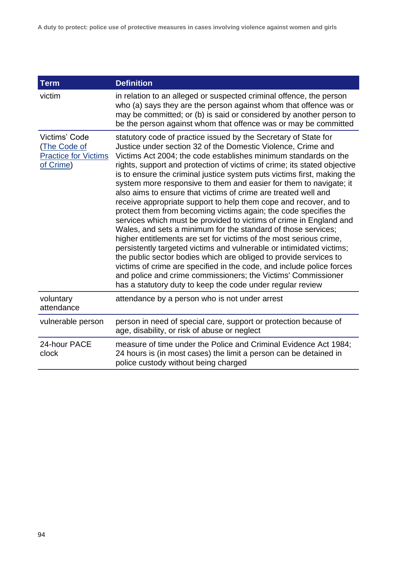| <b>Term</b>                                                               | <b>Definition</b>                                                                                                                                                                                                                                                                                                                                                                                                                                                                                                                                                                                                                                                                                                                                                                                                                                                                                                                                                                                                                                                                                                                                                                                            |
|---------------------------------------------------------------------------|--------------------------------------------------------------------------------------------------------------------------------------------------------------------------------------------------------------------------------------------------------------------------------------------------------------------------------------------------------------------------------------------------------------------------------------------------------------------------------------------------------------------------------------------------------------------------------------------------------------------------------------------------------------------------------------------------------------------------------------------------------------------------------------------------------------------------------------------------------------------------------------------------------------------------------------------------------------------------------------------------------------------------------------------------------------------------------------------------------------------------------------------------------------------------------------------------------------|
| victim                                                                    | in relation to an alleged or suspected criminal offence, the person<br>who (a) says they are the person against whom that offence was or<br>may be committed; or (b) is said or considered by another person to<br>be the person against whom that offence was or may be committed                                                                                                                                                                                                                                                                                                                                                                                                                                                                                                                                                                                                                                                                                                                                                                                                                                                                                                                           |
| Victims' Code<br>(The Code of<br><b>Practice for Victims</b><br>of Crime) | statutory code of practice issued by the Secretary of State for<br>Justice under section 32 of the Domestic Violence, Crime and<br>Victims Act 2004; the code establishes minimum standards on the<br>rights, support and protection of victims of crime; its stated objective<br>is to ensure the criminal justice system puts victims first, making the<br>system more responsive to them and easier for them to navigate; it<br>also aims to ensure that victims of crime are treated well and<br>receive appropriate support to help them cope and recover, and to<br>protect them from becoming victims again; the code specifies the<br>services which must be provided to victims of crime in England and<br>Wales, and sets a minimum for the standard of those services;<br>higher entitlements are set for victims of the most serious crime,<br>persistently targeted victims and vulnerable or intimidated victims;<br>the public sector bodies which are obliged to provide services to<br>victims of crime are specified in the code, and include police forces<br>and police and crime commissioners; the Victims' Commissioner<br>has a statutory duty to keep the code under regular review |
| voluntary<br>attendance                                                   | attendance by a person who is not under arrest                                                                                                                                                                                                                                                                                                                                                                                                                                                                                                                                                                                                                                                                                                                                                                                                                                                                                                                                                                                                                                                                                                                                                               |
| vulnerable person                                                         | person in need of special care, support or protection because of<br>age, disability, or risk of abuse or neglect                                                                                                                                                                                                                                                                                                                                                                                                                                                                                                                                                                                                                                                                                                                                                                                                                                                                                                                                                                                                                                                                                             |
| 24-hour PACE<br>clock                                                     | measure of time under the Police and Criminal Evidence Act 1984;<br>24 hours is (in most cases) the limit a person can be detained in<br>police custody without being charged                                                                                                                                                                                                                                                                                                                                                                                                                                                                                                                                                                                                                                                                                                                                                                                                                                                                                                                                                                                                                                |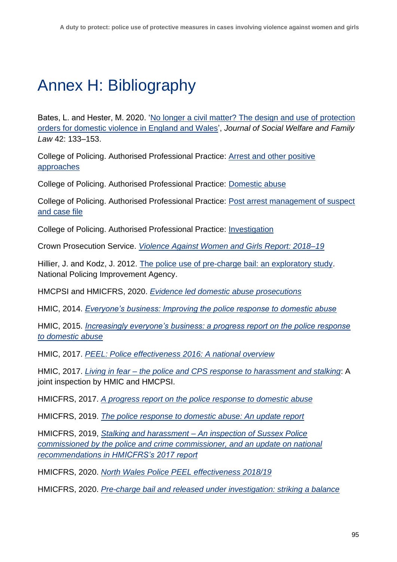# Annex H: Bibliography

Bates, L. and Hester, M. 2020. ['No longer a civil matter? The design and use of protection](https://www.tandfonline.com/doi/full/10.1080/09649069.2020.1751943)  [orders for domestic violence in England and Wales'](https://www.tandfonline.com/doi/full/10.1080/09649069.2020.1751943), *Journal of Social Welfare and Family Law* 42: 133–153.

College of Policing. Authorised Professional Practice: [Arrest and other positive](https://www.app.college.police.uk/app-content/major-investigation-and-public-protection/domestic-abuse/arrest-and-other-positive-approaches/?highlight=positive%20action?s=positive+action)  [approaches](https://www.app.college.police.uk/app-content/major-investigation-and-public-protection/domestic-abuse/arrest-and-other-positive-approaches/?highlight=positive%20action?s=positive+action)

College of Policing. Authorised Professional Practice: [Domestic abuse](https://www.app.college.police.uk/app-content/major-investigation-and-public-protection/domestic-abuse/)

College of Policing. Authorised Professional Practice: [Post arrest management of suspect](https://www.app.college.police.uk/app-content/major-investigation-and-public-protection/domestic-abuse/post-arrest-management-of-suspect-and-casefile/)  [and case file](https://www.app.college.police.uk/app-content/major-investigation-and-public-protection/domestic-abuse/post-arrest-management-of-suspect-and-casefile/)

College of Policing. Authorised Professional Practice: [Investigation](https://www.app.college.police.uk/app-content/investigations/?s=)

Crown Prosecution Service. *Violence [Against Women and Girls Report: 2018–19](https://www.cps.gov.uk/publication/violence-against-women-and-girls)*

Hillier, J. and Kodz, J. 2012. [The police use of pre-charge bail: an exploratory study.](https://whatworks.college.police.uk/Research/Documents/Pre_charge_bail.pdf) National Policing Improvement Agency.

HMCPSI and HMICFRS, 2020. *[Evidence led domestic abuse prosecutions](https://www.justiceinspectorates.gov.uk/hmicfrs/publications/evidence-led-domestic-abuse-prosecutions/)*

HMIC, 2014. *[Everyone's business: Improving the police response to domestic abuse](https://www.justiceinspectorates.gov.uk/hmicfrs/publications/improving-the-police-response-to-domestic-abuse/)*

HMIC, 2015. *[Increasingly everyone's business: a progress report on the police response](https://www.justiceinspectorates.gov.uk/hmicfrs/publications/increasingly-everyones-business-a-progress-report-on-the-police-response-to-domestic-abuse/)  [to domestic abuse](https://www.justiceinspectorates.gov.uk/hmicfrs/publications/increasingly-everyones-business-a-progress-report-on-the-police-response-to-domestic-abuse/)*

HMIC, 2017. *[PEEL: Police effectiveness 2016: A national overview](https://www.justiceinspectorates.gov.uk/hmicfrs/publications/peel-police-effectiveness-2016/)*

HMIC, 2017. *Living in fear – [the police and CPS response to harassment](https://www.justiceinspectorates.gov.uk/hmicfrs/publications/living-in-fear-the-police-and-cps-response-to-harassment-and-stalking/#report) and stalking*: A joint inspection by HMIC and HMCPSI.

HMICFRS, 2017. *[A progress report on the police response to domestic abuse](https://www.justiceinspectorates.gov.uk/hmicfrs/publications/a-progress-report-on-the-police-response-to-domestic-abuse/)*

HMICFRS, 2019. *[The police response to domestic abuse: An update report](https://www.justiceinspectorates.gov.uk/hmicfrs/publications/the-police-response-to-domestic-abuse-an-update-report/)*

HMICFRS, 2019, *Stalking and harassment – [An inspection of Sussex Police](https://www.justiceinspectorates.gov.uk/hmicfrs/publications/sussex-police-response-to-stalking-and-harassment/)  [commissioned by the police and crime commissioner, and an update on national](https://www.justiceinspectorates.gov.uk/hmicfrs/publications/sussex-police-response-to-stalking-and-harassment/)  [recommendations in HMICFRS's 2017 report](https://www.justiceinspectorates.gov.uk/hmicfrs/publications/sussex-police-response-to-stalking-and-harassment/)*

HMICFRS, 2020. *[North Wales Police PEEL effectiveness 2018/19](https://www.justiceinspectorates.gov.uk/hmicfrs/publications/peel-assessment-2018-19-north-wales/)*

HMICFRS, 2020. *[Pre-charge bail and released under investigation: striking a balance](https://www.justiceinspectorates.gov.uk/hmicfrs/publications/pre-charge-bail-and-released-under-investigation-striking-a-balance/)*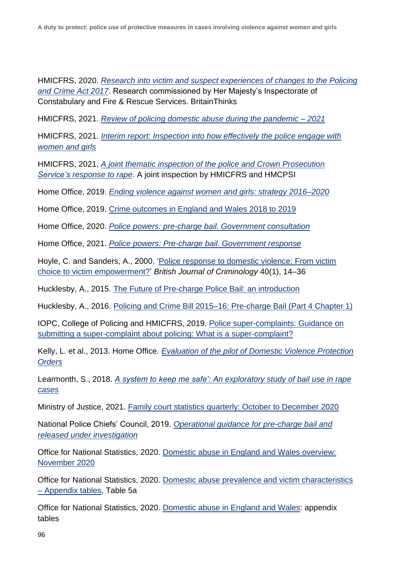HMICFRS, 2020. *[Research into victim and suspect experiences of changes to the Policing](https://www.justiceinspectorates.gov.uk/hmicfrs/publications/research-into-victim-and-suspect-experiences-of-changes-to-the-police-and-crime-act-2017/)  [and Crime Act 2017](https://www.justiceinspectorates.gov.uk/hmicfrs/publications/research-into-victim-and-suspect-experiences-of-changes-to-the-police-and-crime-act-2017/)*. Research commissioned by Her Majesty's Inspectorate of Constabulary and Fire & Rescue Services. BritainThinks

HMICFRS, 2021. *[Review of policing domestic abuse during the pandemic –](https://www.justiceinspectorates.gov.uk/hmicfrs/publications/review-of-policing-domestic-abuse-during-pandemic/) 2021*

HMICFRS, 2021. *[Interim report: Inspection into how effectively the police engage with](https://www.justiceinspectorates.gov.uk/hmicfrs/publications/interim-report-inspection-into-how-effectively-the-police-engage-with-women-and-girls/)  [women and girls](https://www.justiceinspectorates.gov.uk/hmicfrs/publications/interim-report-inspection-into-how-effectively-the-police-engage-with-women-and-girls/)*

HMICFRS, 2021, *[A joint thematic inspection of the police and Crown Prosecution](https://www.justiceinspectorates.gov.uk/hmicfrs/publications/a-joint-thematic-inspection-of-the-police-and-crown-prosecution-services-response-to-rape/)  [Service's response to rape](https://www.justiceinspectorates.gov.uk/hmicfrs/publications/a-joint-thematic-inspection-of-the-police-and-crown-prosecution-services-response-to-rape/)*. A joint inspection by HMICFRS and HMCPSI

Home Office, 2019. *[Ending violence against women and girls: strategy 2016–2020](https://www.gov.uk/government/publications/strategy-to-end-violence-against-women-and-girls-2016-to-2020)*

Home Office, 2019. [Crime outcomes in England and Wales 2018 to 2019](https://www.gov.uk/government/statistics/crime-outcomes-in-england-and-wales-2018-to-2019)

Home Office, 2020. *[Police powers: pre-charge bail. Government consultation](https://www.gov.uk/government/consultations/police-powers-pre-charge-bail)*

Home Office, 2021. *[Police powers: Pre-charge bail. Government response](https://www.gov.uk/government/consultations/police-powers-pre-charge-bail)*

Hoyle, C. and Sanders, A., 2000. 'Police response [to domestic violence: From victim](https://www.jstor.org/stable/23638528)  [choice to victim empowerment?'](https://www.jstor.org/stable/23638528) *British Journal of Criminology* 40(1), 14–36

Hucklesby, A., 2015. [The Future of Pre-charge Police Bail: an introduction](https://essl.leeds.ac.uk/download/downloads/id/636/the_future_of_pre-charge_police_bail_an_introduction.pdf)

Hucklesby, A., 2016. [Policing and Crime Bill 2015–16: Pre-charge Bail \(Part 4 Chapter 1\)](https://publications.parliament.uk/pa/cm201516/cmpublic/policingandcrime/memo/pcb40.htm)

IOPC, College of Policing and HMICFRS, 2019. [Police super-complaints: Guidance on](https://www.gov.uk/guidance/police-super-complaints#what-is-a-super-complaint)  [submitting a super-complaint about policing: What is a super-complaint?](https://www.gov.uk/guidance/police-super-complaints#what-is-a-super-complaint)

Kelly, L. et al., 2013. Home Office. *[Evaluation of the pilot of Domestic Violence Protection](https://www.gov.uk/government/publications/evaluation-of-the-pilot-of-domestic-violence-protection-orders)  [Orders](https://www.gov.uk/government/publications/evaluation-of-the-pilot-of-domestic-violence-protection-orders)*

Learmonth, S., 2018. *[A system to keep me safe': An exploratory study of bail use in rape](https://assets.publishing.service.gov.uk/government/uploads/system/uploads/attachment_data/file/797416/Sarah_Learmonth_Masters_dissertation.pdf)  [cases](https://assets.publishing.service.gov.uk/government/uploads/system/uploads/attachment_data/file/797416/Sarah_Learmonth_Masters_dissertation.pdf)*

Ministry of Justice, 2021. [Family court statistics quarterly: October to December 2020](https://www.gov.uk/government/statistics/family-court-statistics-quarterly-october-to-december-2020)

National Police Chiefs' Council, 2019. *[Operational guidance for pre-charge bail and](https://cdn.prgloo.com/media/832fb4a76353450ab555b7db1c93ed48.pdf)  [released under investigation](https://cdn.prgloo.com/media/832fb4a76353450ab555b7db1c93ed48.pdf)*

Office for National Statistics, 2020. [Domestic abuse in England and Wales overview:](https://www.ons.gov.uk/peoplepopulationandcommunity/crimeandjustice/bulletins/domesticabuseinenglandandwalesoverview/november2020)  [November 2020](https://www.ons.gov.uk/peoplepopulationandcommunity/crimeandjustice/bulletins/domesticabuseinenglandandwalesoverview/november2020)

Office for National Statistics, 2020. [Domestic abuse prevalence and victim characteristics](https://www.ons.gov.uk/peoplepopulationandcommunity/crimeandjustice/datasets/domesticabuseprevalenceandvictimcharacteristicsappendixtables)  – [Appendix tables,](https://www.ons.gov.uk/peoplepopulationandcommunity/crimeandjustice/datasets/domesticabuseprevalenceandvictimcharacteristicsappendixtables) Table 5a

Office for National Statistics, 2020. [Domestic abuse in England and Wales:](https://www.ons.gov.uk/file?uri=/peoplepopulationandcommunity/crimeandjustice/datasets/domesticabuseandthecriminaljusticesystemappendixtables/november2020/appendixtablesdaandthecjs2020corrected.xlsx) appendix tables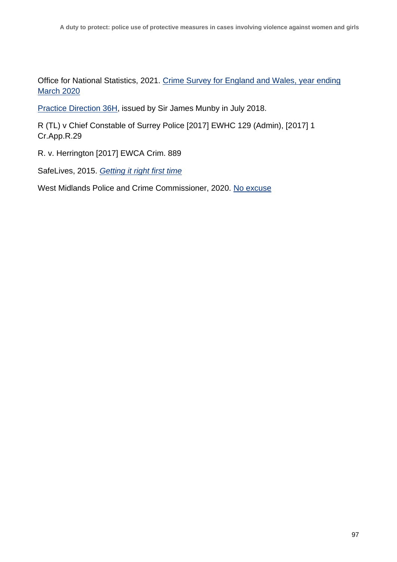Office for National Statistics, 2021. [Crime Survey for England and Wales, year ending](https://www.ons.gov.uk/peoplepopulationandcommunity/crimeandjustice/articles/natureofsexualassaultbyrapeorpenetrationenglandandwales/yearendingmarch2020)  [March 2020](https://www.ons.gov.uk/peoplepopulationandcommunity/crimeandjustice/articles/natureofsexualassaultbyrapeorpenetrationenglandandwales/yearendingmarch2020)

[Practice Direction 36H,](https://www.familylaw.co.uk/news_and_comment/new-pilot-pd-36h-for-fgm-and-forced-marriage-protection-orders) issued by Sir James Munby in July 2018.

R (TL) v Chief Constable of Surrey Police [2017] EWHC 129 (Admin), [2017] 1 Cr.App.R.29

R. v. Herrington [2017] EWCA Crim. 889

SafeLives, 2015. *[Getting it right first time](https://safelives.org.uk/policy-evidence/getting-it-right-first-time)*

West Midlands Police and Crime Commissioner, 2020. [No excuse](https://www.westmidlands-pcc.gov.uk/police-say-noexcuseforabuse-as-new-campaign-launched-to-prevent-domestic-violence/)